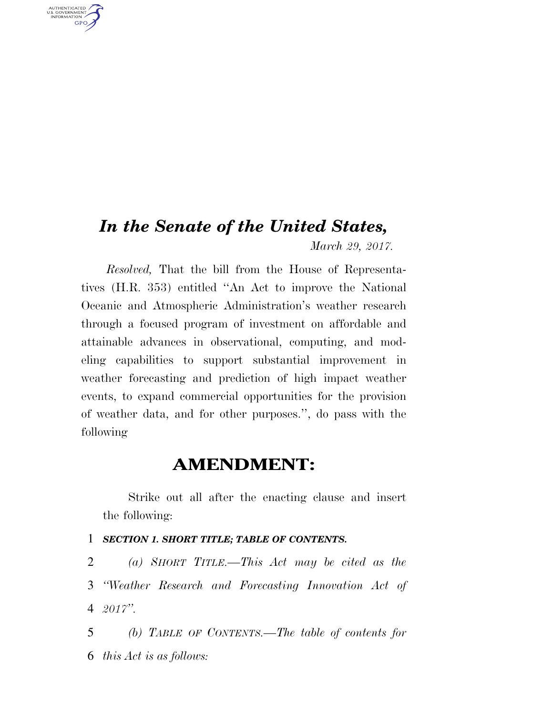# *In the Senate of the United States, March 29, 2017.*

U.S. GOVERNMENT GPO

> *Resolved,* That the bill from the House of Representatives (H.R. 353) entitled ''An Act to improve the National Oceanic and Atmospheric Administration's weather research through a focused program of investment on affordable and attainable advances in observational, computing, and modeling capabilities to support substantial improvement in weather forecasting and prediction of high impact weather events, to expand commercial opportunities for the provision of weather data, and for other purposes.'', do pass with the following

# **AMENDMENT:**

Strike out all after the enacting clause and insert the following:

#### 1 *SECTION 1. SHORT TITLE; TABLE OF CONTENTS.*

2 *(a) SHORT TITLE.—This Act may be cited as the*  3 *''Weather Research and Forecasting Innovation Act of*  4 *2017''.* 

5 *(b) TABLE OF CONTENTS.—The table of contents for*  6 *this Act is as follows:*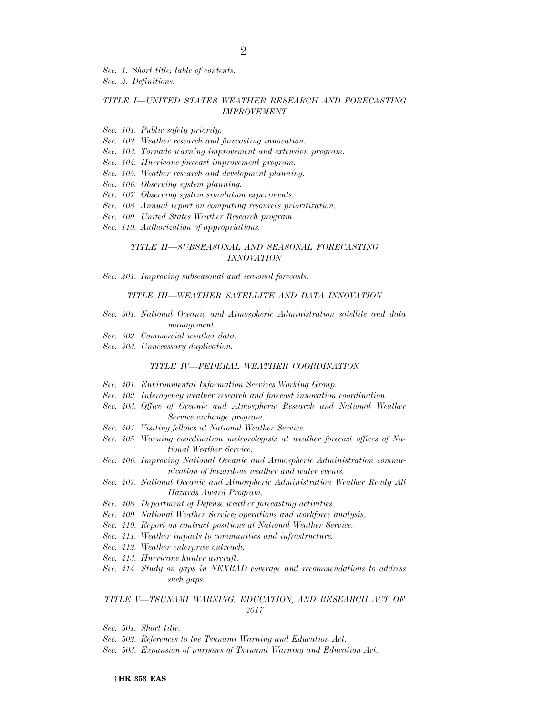*Sec. 1. Short title; table of contents. Sec. 2. Definitions.* 

#### *TITLE I—UNITED STATES WEATHER RESEARCH AND FORECASTING IMPROVEMENT*

- *Sec. 101. Public safety priority.*
- *Sec. 102. Weather research and forecasting innovation.*
- *Sec. 103. Tornado warning improvement and extension program.*
- *Sec. 104. Hurricane forecast improvement program.*
- *Sec. 105. Weather research and development planning.*
- *Sec. 106. Observing system planning.*
- *Sec. 107. Observing system simulation experiments.*
- *Sec. 108. Annual report on computing resources prioritization.*
- *Sec. 109. United States Weather Research program.*
- *Sec. 110. Authorization of appropriations.*

#### *TITLE II—SUBSEASONAL AND SEASONAL FORECASTING INNOVATION*

*Sec. 201. Improving subseasonal and seasonal forecasts.* 

#### *TITLE III—WEATHER SATELLITE AND DATA INNOVATION*

- *Sec. 301. National Oceanic and Atmospheric Administration satellite and data management.*
- *Sec. 302. Commercial weather data.*
- *Sec. 303. Unnecessary duplication.*

#### *TITLE IV—FEDERAL WEATHER COORDINATION*

- *Sec. 401. Environmental Information Services Working Group.*
- *Sec. 402. Interagency weather research and forecast innovation coordination.*
- Sec. 403. Office of Oceanic and Atmospheric Research and National Weather *Service exchange program.*
- *Sec. 404. Visiting fellows at National Weather Service.*
- *Sec. 405. Warning coordination meteorologists at weather forecast offices of National Weather Service.*
- *Sec. 406. Improving National Oceanic and Atmospheric Administration communication of hazardous weather and water events.*
- *Sec. 407. National Oceanic and Atmospheric Administration Weather Ready All Hazards Award Program.*
- *Sec. 408. Department of Defense weather forecasting activities.*
- *Sec. 409. National Weather Service; operations and workforce analysis.*
- *Sec. 410. Report on contract positions at National Weather Service.*
- *Sec. 411. Weather impacts to communities and infrastructure.*
- *Sec. 412. Weather enterprise outreach.*
- *Sec. 413. Hurricane hunter aircraft.*
- *Sec. 414. Study on gaps in NEXRAD coverage and recommendations to address such gaps.*

#### *TITLE V—TSUNAMI WARNING, EDUCATION, AND RESEARCH ACT OF 2017*

- *Sec. 501. Short title.*
- *Sec. 502. References to the Tsunami Warning and Education Act.*
- *Sec. 503. Expansion of purposes of Tsunami Warning and Education Act.*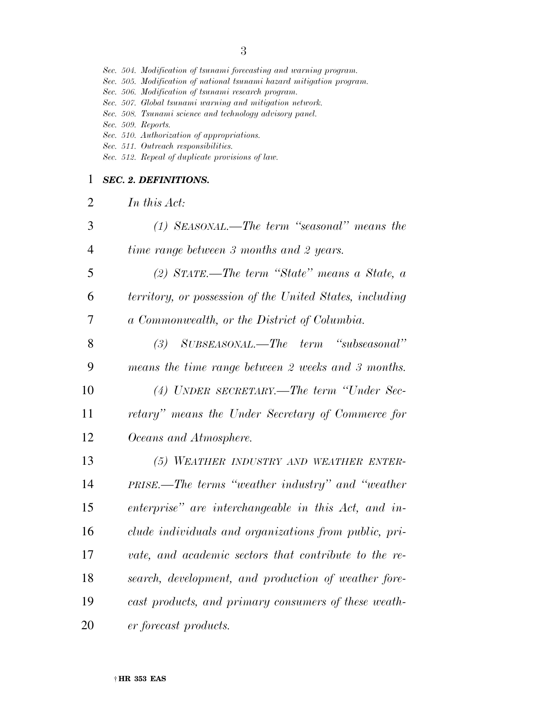|                | Sec. 504. Modification of tsunami forecasting and warning program.<br>Sec. 505. Modification of national tsunami hazard mitigation program.<br>Sec. 506. Modification of tsunami research program.<br>Sec. 507. Global tsunami warning and mitigation network.<br>Sec. 508. Tsunami science and technology advisory panel.<br>Sec. 509. Reports.<br>Sec. 510. Authorization of appropriations.<br>Sec. 511. Outreach responsibilities.<br>Sec. 512. Repeal of duplicate provisions of law. |
|----------------|--------------------------------------------------------------------------------------------------------------------------------------------------------------------------------------------------------------------------------------------------------------------------------------------------------------------------------------------------------------------------------------------------------------------------------------------------------------------------------------------|
| 1              | <b>SEC. 2. DEFINITIONS.</b>                                                                                                                                                                                                                                                                                                                                                                                                                                                                |
| $\overline{2}$ | In this Act:                                                                                                                                                                                                                                                                                                                                                                                                                                                                               |
| 3              | $(1)$ SEASONAL.—The term "seasonal" means the                                                                                                                                                                                                                                                                                                                                                                                                                                              |
| $\overline{4}$ | time range between 3 months and 2 years.                                                                                                                                                                                                                                                                                                                                                                                                                                                   |
| 5              | (2) STATE.—The term "State" means a State, $\alpha$                                                                                                                                                                                                                                                                                                                                                                                                                                        |
| 6              | territory, or possession of the United States, including                                                                                                                                                                                                                                                                                                                                                                                                                                   |
| 7              | a Commonwealth, or the District of Columbia.                                                                                                                                                                                                                                                                                                                                                                                                                                               |
| 8              | "subseasonal"<br>$SUBSEASONAL. - The term$<br>(3)                                                                                                                                                                                                                                                                                                                                                                                                                                          |
| 9              | means the time range between 2 weeks and 3 months.                                                                                                                                                                                                                                                                                                                                                                                                                                         |
| 10             | (4) UNDER SECRETARY.—The term "Under Sec-                                                                                                                                                                                                                                                                                                                                                                                                                                                  |
| 11             | retary" means the Under Secretary of Commerce for                                                                                                                                                                                                                                                                                                                                                                                                                                          |
| 12             | Oceans and Atmosphere.                                                                                                                                                                                                                                                                                                                                                                                                                                                                     |
| 13             | (5) WEATHER INDUSTRY AND WEATHER ENTER-                                                                                                                                                                                                                                                                                                                                                                                                                                                    |
| 14             | PRISE.—The terms "weather industry" and "weather                                                                                                                                                                                                                                                                                                                                                                                                                                           |
| 15             | enterprise" are interchangeable in this Act, and in-                                                                                                                                                                                                                                                                                                                                                                                                                                       |
| 16             | clude individuals and organizations from public, pri-                                                                                                                                                                                                                                                                                                                                                                                                                                      |
| 17             | vate, and academic sectors that contribute to the re-                                                                                                                                                                                                                                                                                                                                                                                                                                      |
| 18             | search, development, and production of weather fore-                                                                                                                                                                                                                                                                                                                                                                                                                                       |
| 19             | cast products, and primary consumers of these weath-                                                                                                                                                                                                                                                                                                                                                                                                                                       |
| 20             | er forecast products.                                                                                                                                                                                                                                                                                                                                                                                                                                                                      |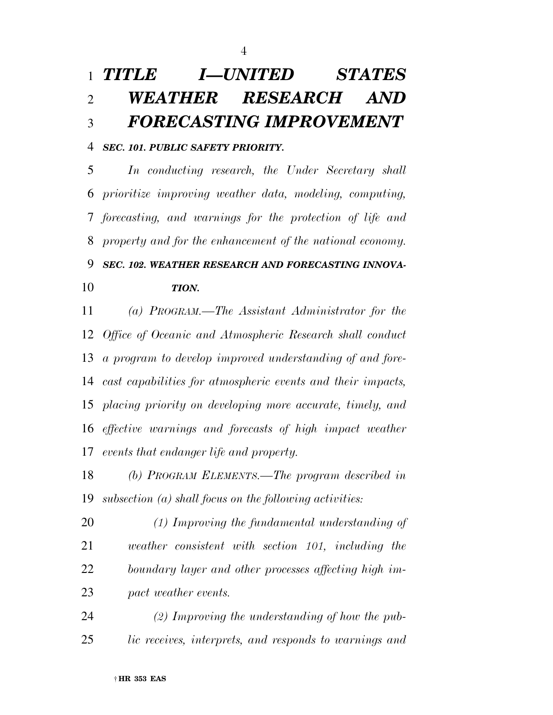# *TITLE I—UNITED STATES WEATHER RESEARCH AND FORECASTING IMPROVEMENT*

### *SEC. 101. PUBLIC SAFETY PRIORITY.*

 *In conducting research, the Under Secretary shall prioritize improving weather data, modeling, computing, forecasting, and warnings for the protection of life and property and for the enhancement of the national economy.* 

*SEC. 102. WEATHER RESEARCH AND FORECASTING INNOVA-*

## *TION.*

 *(a) PROGRAM.—The Assistant Administrator for the Office of Oceanic and Atmospheric Research shall conduct a program to develop improved understanding of and fore- cast capabilities for atmospheric events and their impacts, placing priority on developing more accurate, timely, and effective warnings and forecasts of high impact weather events that endanger life and property.* 

 *(b) PROGRAM ELEMENTS.—The program described in subsection (a) shall focus on the following activities:* 

 *(1) Improving the fundamental understanding of weather consistent with section 101, including the boundary layer and other processes affecting high im-pact weather events.* 

 *(2) Improving the understanding of how the pub-lic receives, interprets, and responds to warnings and*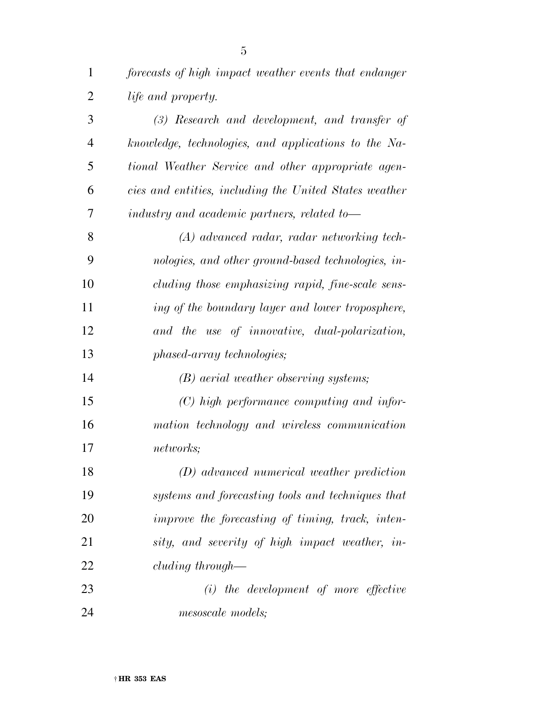*forecasts of high impact weather events that endanger* 

 *life and property. (3) Research and development, and transfer of knowledge, technologies, and applications to the Na- tional Weather Service and other appropriate agen- cies and entities, including the United States weather industry and academic partners, related to— (A) advanced radar, radar networking tech- nologies, and other ground-based technologies, in- cluding those emphasizing rapid, fine-scale sens- ing of the boundary layer and lower troposphere, and the use of innovative, dual-polarization, phased-array technologies; (B) aerial weather observing systems; (C) high performance computing and infor- mation technology and wireless communication networks; (D) advanced numerical weather prediction systems and forecasting tools and techniques that improve the forecasting of timing, track, inten- sity, and severity of high impact weather, in- cluding through— (i) the development of more effective mesoscale models;*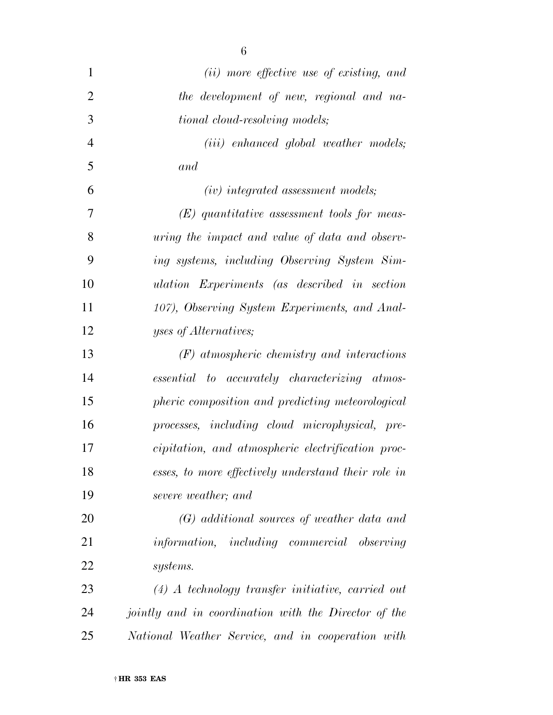| $\mathbf{1}$   | (ii) more effective use of existing, and             |
|----------------|------------------------------------------------------|
| $\overline{2}$ | the development of new, regional and na-             |
| 3              | tional cloud-resolving models;                       |
| $\overline{4}$ | $(iii)$ enhanced global weather models;              |
| 5              | and                                                  |
| 6              | $(iv)$ integrated assessment models;                 |
| 7              | $(E)$ quantitative assessment tools for meas-        |
| 8              | uring the impact and value of data and observ-       |
| 9              | ing systems, including Observing System Sim-         |
| 10             | ulation Experiments (as described in section         |
| 11             | 107), Observing System Experiments, and Anal-        |
| 12             | yses of Alternatives;                                |
| 13             | $(F)$ atmospheric chemistry and interactions         |
| 14             | essential to accurately characterizing atmos-        |
| 15             | pheric composition and predicting meteorological     |
| 16             | processes, including cloud microphysical, pre-       |
| 17             | cipitation, and atmospheric electrification proc-    |
| 18             | esses, to more effectively understand their role in  |
| 19             | severe weather; and                                  |
| 20             | $(G)$ additional sources of weather data and         |
| 21             | information, including commercial observing          |
| <u>22</u>      | systems.                                             |
| 23             | $(4)$ A technology transfer initiative, carried out  |
| 24             | jointly and in coordination with the Director of the |
| 25             | National Weather Service, and in cooperation with    |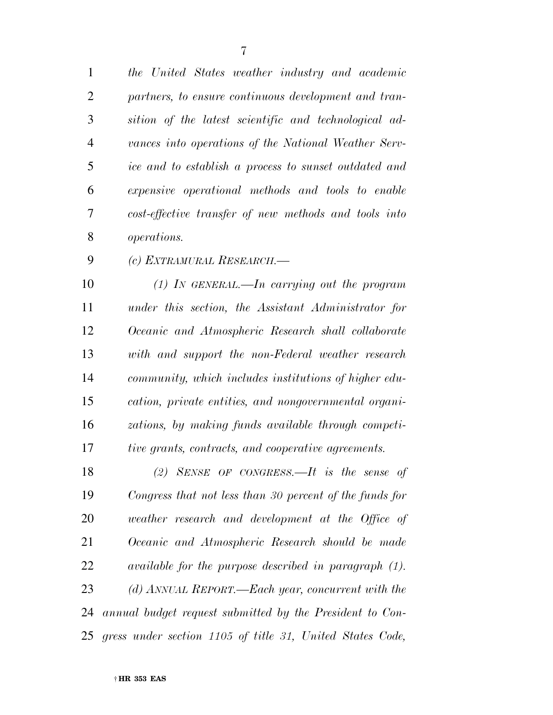*the United States weather industry and academic partners, to ensure continuous development and tran- sition of the latest scientific and technological ad- vances into operations of the National Weather Serv- ice and to establish a process to sunset outdated and expensive operational methods and tools to enable cost-effective transfer of new methods and tools into operations.* 

*(c) EXTRAMURAL RESEARCH.—* 

 *(1) IN GENERAL.—In carrying out the program under this section, the Assistant Administrator for Oceanic and Atmospheric Research shall collaborate with and support the non-Federal weather research community, which includes institutions of higher edu- cation, private entities, and nongovernmental organi- zations, by making funds available through competi-tive grants, contracts, and cooperative agreements.* 

 *(2) SENSE OF CONGRESS.—It is the sense of Congress that not less than 30 percent of the funds for weather research and development at the Office of Oceanic and Atmospheric Research should be made available for the purpose described in paragraph (1). (d) ANNUAL REPORT.—Each year, concurrent with the annual budget request submitted by the President to Con-gress under section 1105 of title 31, United States Code,*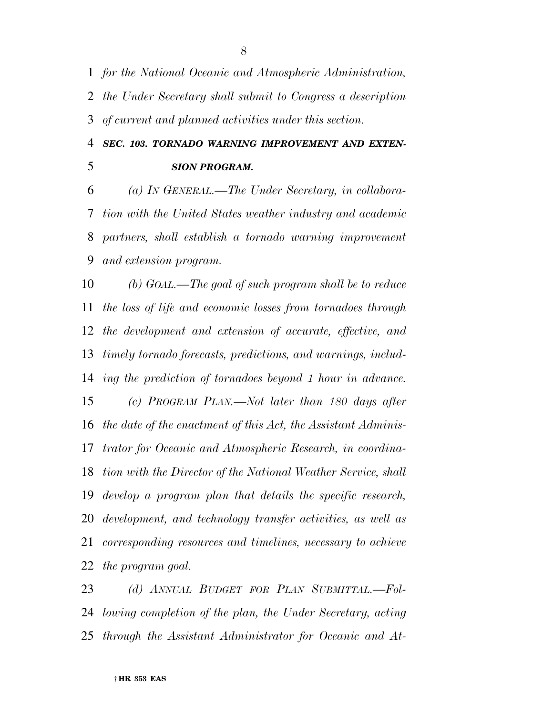*for the National Oceanic and Atmospheric Administration, the Under Secretary shall submit to Congress a description of current and planned activities under this section.* 

 *SEC. 103. TORNADO WARNING IMPROVEMENT AND EXTEN-SION PROGRAM.* 

 *(a) IN GENERAL.—The Under Secretary, in collabora- tion with the United States weather industry and academic partners, shall establish a tornado warning improvement and extension program.* 

 *(b) GOAL.—The goal of such program shall be to reduce the loss of life and economic losses from tornadoes through the development and extension of accurate, effective, and timely tornado forecasts, predictions, and warnings, includ- ing the prediction of tornadoes beyond 1 hour in advance. (c) PROGRAM PLAN.—Not later than 180 days after the date of the enactment of this Act, the Assistant Adminis- trator for Oceanic and Atmospheric Research, in coordina- tion with the Director of the National Weather Service, shall develop a program plan that details the specific research, development, and technology transfer activities, as well as corresponding resources and timelines, necessary to achieve the program goal.* 

 *(d) ANNUAL BUDGET FOR PLAN SUBMITTAL.—Fol- lowing completion of the plan, the Under Secretary, acting through the Assistant Administrator for Oceanic and At-*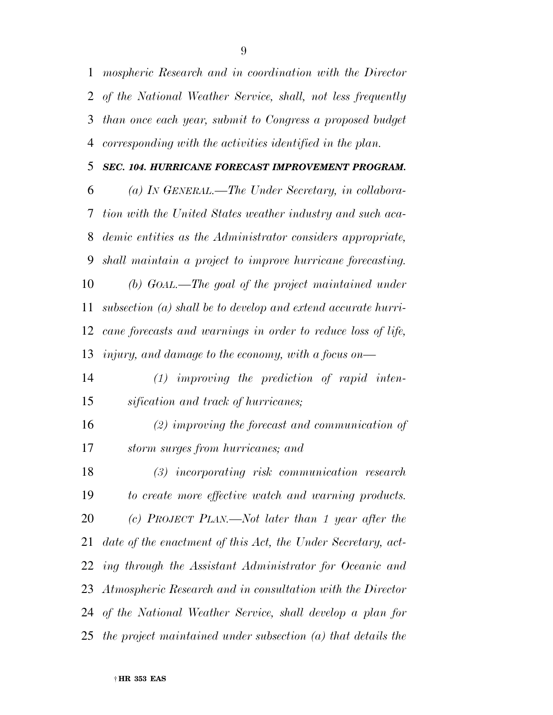*mospheric Research and in coordination with the Director of the National Weather Service, shall, not less frequently than once each year, submit to Congress a proposed budget corresponding with the activities identified in the plan.* 

#### *SEC. 104. HURRICANE FORECAST IMPROVEMENT PROGRAM.*

 *(a) IN GENERAL.—The Under Secretary, in collabora- tion with the United States weather industry and such aca- demic entities as the Administrator considers appropriate, shall maintain a project to improve hurricane forecasting. (b) GOAL.—The goal of the project maintained under subsection (a) shall be to develop and extend accurate hurri- cane forecasts and warnings in order to reduce loss of life, injury, and damage to the economy, with a focus on—* 

 *(1) improving the prediction of rapid inten-sification and track of hurricanes;* 

 *(2) improving the forecast and communication of storm surges from hurricanes; and* 

 *(3) incorporating risk communication research to create more effective watch and warning products. (c) PROJECT PLAN.—Not later than 1 year after the date of the enactment of this Act, the Under Secretary, act- ing through the Assistant Administrator for Oceanic and Atmospheric Research and in consultation with the Director of the National Weather Service, shall develop a plan for the project maintained under subsection (a) that details the*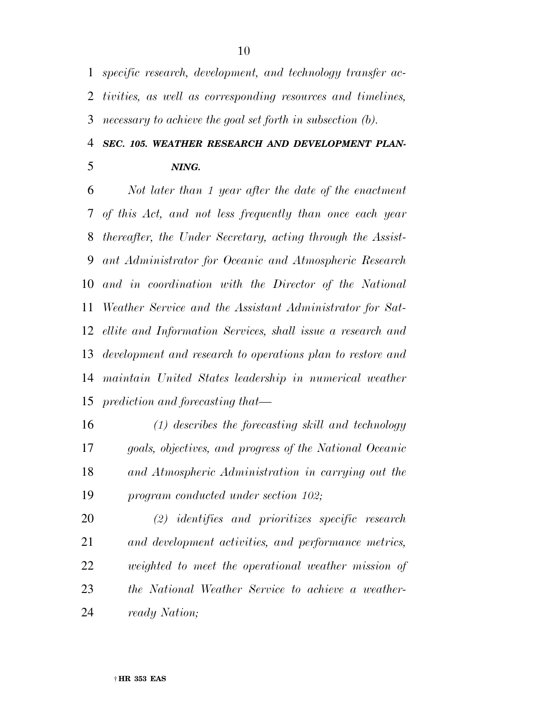*specific research, development, and technology transfer ac- tivities, as well as corresponding resources and timelines, necessary to achieve the goal set forth in subsection (b).* 

## *SEC. 105. WEATHER RESEARCH AND DEVELOPMENT PLAN-NING.*

 *Not later than 1 year after the date of the enactment of this Act, and not less frequently than once each year thereafter, the Under Secretary, acting through the Assist- ant Administrator for Oceanic and Atmospheric Research and in coordination with the Director of the National Weather Service and the Assistant Administrator for Sat- ellite and Information Services, shall issue a research and development and research to operations plan to restore and maintain United States leadership in numerical weather prediction and forecasting that—* 

 *(1) describes the forecasting skill and technology goals, objectives, and progress of the National Oceanic and Atmospheric Administration in carrying out the program conducted under section 102;* 

 *(2) identifies and prioritizes specific research and development activities, and performance metrics, weighted to meet the operational weather mission of the National Weather Service to achieve a weather-ready Nation;*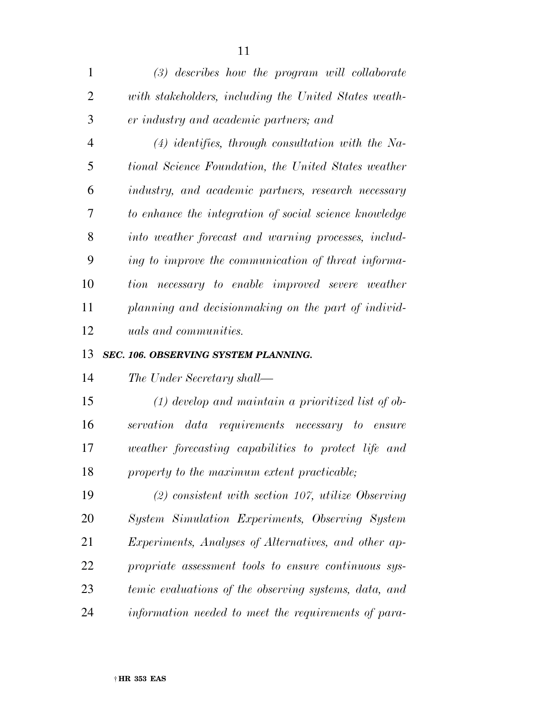| $\mathbf{1}$   | $(3)$ describes how the program will collaborate       |
|----------------|--------------------------------------------------------|
| $\overline{2}$ | with stakeholders, including the United States weath-  |
| 3              | er industry and academic partners; and                 |
| $\overline{4}$ | $(4)$ identifies, through consultation with the Na-    |
| 5              | tional Science Foundation, the United States weather   |
| 6              | industry, and academic partners, research necessary    |
| 7              | to enhance the integration of social science knowledge |
| 8              | into weather forecast and warning processes, includ-   |
| 9              | ing to improve the communication of threat informa-    |
| 10             | tion necessary to enable improved severe weather       |
| 11             | planning and decision making on the part of individ-   |
| 12             | <i>uals and communities.</i>                           |

#### *SEC. 106. OBSERVING SYSTEM PLANNING.*

*The Under Secretary shall—* 

 *(1) develop and maintain a prioritized list of ob- servation data requirements necessary to ensure weather forecasting capabilities to protect life and property to the maximum extent practicable;* 

 *(2) consistent with section 107, utilize Observing System Simulation Experiments, Observing System Experiments, Analyses of Alternatives, and other ap- propriate assessment tools to ensure continuous sys- temic evaluations of the observing systems, data, and information needed to meet the requirements of para-*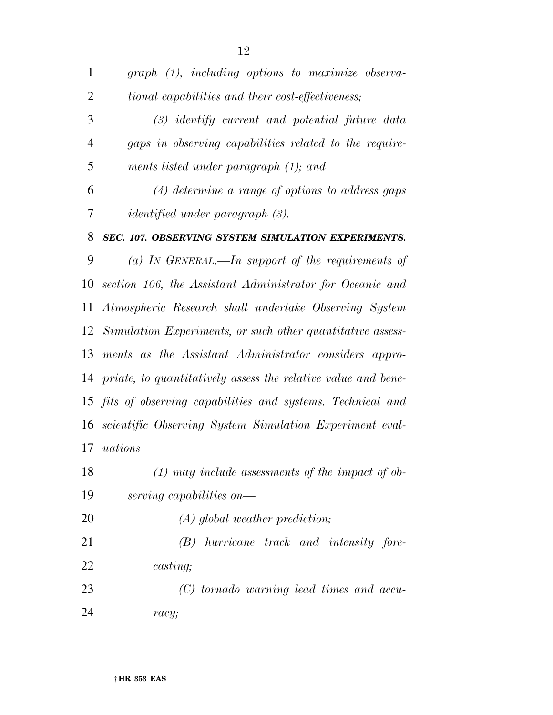*graph (1), including options to maximize observa- tional capabilities and their cost-effectiveness; (3) identify current and potential future data gaps in observing capabilities related to the require- ments listed under paragraph (1); and (4) determine a range of options to address gaps identified under paragraph (3). SEC. 107. OBSERVING SYSTEM SIMULATION EXPERIMENTS. (a) IN GENERAL.—In support of the requirements of section 106, the Assistant Administrator for Oceanic and Atmospheric Research shall undertake Observing System Simulation Experiments, or such other quantitative assess- ments as the Assistant Administrator considers appro- priate, to quantitatively assess the relative value and bene- fits of observing capabilities and systems. Technical and scientific Observing System Simulation Experiment eval- uations— (1) may include assessments of the impact of ob-serving capabilities on—* 

*(A) global weather prediction;* 

 *(B) hurricane track and intensity fore-casting;* 

 *(C) tornado warning lead times and accu-racy;*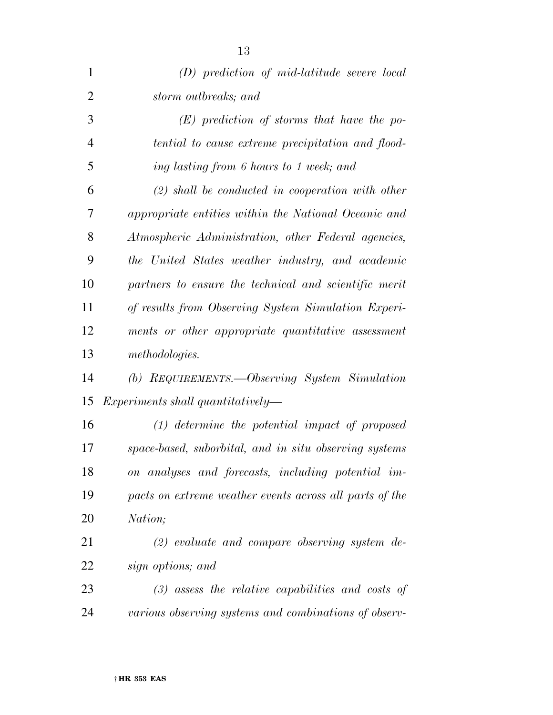| $\mathbf{1}$   | $(D)$ prediction of mid-latitude severe local           |
|----------------|---------------------------------------------------------|
| $\overline{2}$ | storm outbreaks; and                                    |
| 3              | $(E)$ prediction of storms that have the po-            |
| $\overline{4}$ | tential to cause extreme precipitation and flood-       |
| 5              | ing lasting from 6 hours to 1 week; and                 |
| 6              | $(2)$ shall be conducted in cooperation with other      |
| 7              | appropriate entities within the National Oceanic and    |
| 8              | Atmospheric Administration, other Federal agencies,     |
| 9              | the United States weather industry, and academic        |
| 10             | partners to ensure the technical and scientific merit   |
| 11             | of results from Observing System Simulation Experi-     |
| 12             | ments or other appropriate quantitative assessment      |
| 13             | methodologies.                                          |
| 14             | (b) REQUIREMENTS.—Observing System Simulation           |
| 15             | $Experiments$ shall quantitatively—                     |
| 16             | $(1)$ determine the potential impact of proposed        |
| 17             | space-based, suborbital, and in situ observing systems  |
| 18             | on analyses and forecasts, including potential im-      |
| 19             | pacts on extreme weather events across all parts of the |
| 20             | Nation;                                                 |
| 21             | $(2)$ evaluate and compare observing system de-         |
| 22             | sign options; and                                       |
| 23             | $(3)$ assess the relative capabilities and costs of     |
| 24             | various observing systems and combinations of observ-   |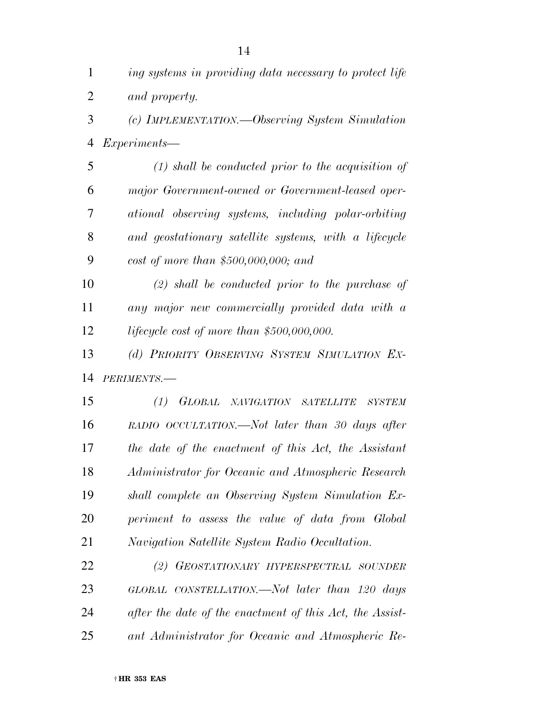| $\mathbf{1}$   | ing systems in providing data necessary to protect life       |
|----------------|---------------------------------------------------------------|
| $\overline{2}$ | and property.                                                 |
| 3              | (c) IMPLEMENTATION.—Observing System Simulation               |
| $\overline{4}$ | <i>Experiments—</i>                                           |
| 5              | $(1)$ shall be conducted prior to the acquisition of          |
| 6              | major Government-owned or Government-leased oper-             |
| 7              | ational observing systems, including polar-orbiting           |
| 8              | and geostationary satellite systems, with a lifecycle         |
| 9              | cost of more than \$500,000,000; and                          |
| 10             | $(2)$ shall be conducted prior to the purchase of             |
| 11             | any major new commercially provided data with a               |
| 12             | lifecycle cost of more than $$500,000,000$ .                  |
| 13             | (d) PRIORITY OBSERVING SYSTEM SIMULATION EX-                  |
| 14             | PERIMENTS.-                                                   |
| 15             | GLOBAL<br>(1)<br>NAVIGATION SATELLITE<br><i><b>SYSTEM</b></i> |
| 16             | RADIO OCCULTATION.—Not later than 30 days after               |
| 17             | the date of the enactment of this Act, the Assistant          |
| 18             | Administrator for Oceanic and Atmospheric Research            |
| 19             | shall complete an Observing System Simulation Ex-             |
| 20             | periment to assess the value of data from Global              |
| 21             | Navigation Satellite System Radio Occultation.                |
| 22             | (2) GEOSTATIONARY HYPERSPECTRAL SOUNDER                       |
| 23             | GLOBAL CONSTELLATION.—Not later than 120 days                 |
| 24             | after the date of the enactment of this Act, the Assist-      |
| 25             | ant Administrator for Oceanic and Atmospheric Re-             |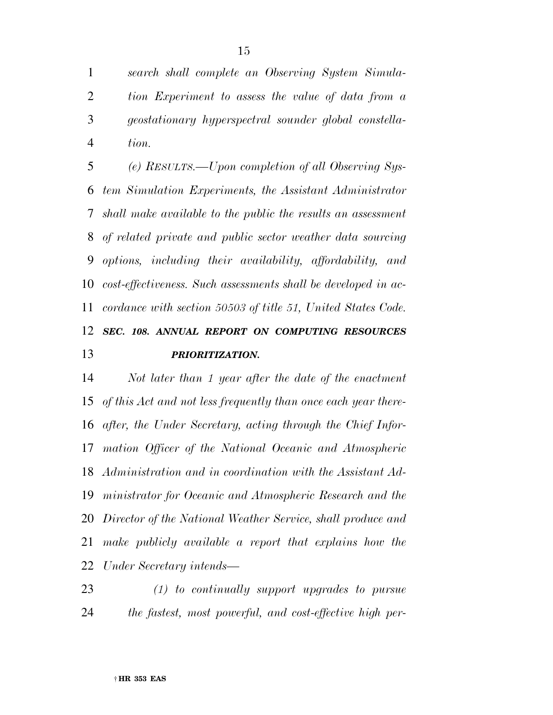*search shall complete an Observing System Simula- tion Experiment to assess the value of data from a geostationary hyperspectral sounder global constella-tion.* 

 *(e) RESULTS.—Upon completion of all Observing Sys- tem Simulation Experiments, the Assistant Administrator shall make available to the public the results an assessment of related private and public sector weather data sourcing options, including their availability, affordability, and cost-effectiveness. Such assessments shall be developed in ac- cordance with section 50503 of title 51, United States Code. SEC. 108. ANNUAL REPORT ON COMPUTING RESOURCES PRIORITIZATION.* 

 *Not later than 1 year after the date of the enactment of this Act and not less frequently than once each year there- after, the Under Secretary, acting through the Chief Infor- mation Officer of the National Oceanic and Atmospheric Administration and in coordination with the Assistant Ad- ministrator for Oceanic and Atmospheric Research and the Director of the National Weather Service, shall produce and make publicly available a report that explains how the Under Secretary intends—* 

 *(1) to continually support upgrades to pursue the fastest, most powerful, and cost-effective high per-*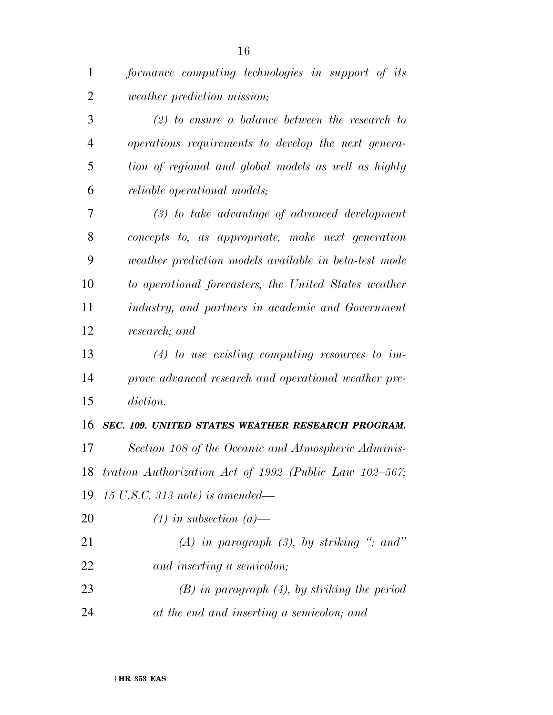| $\overline{2}$ | <i>weather prediction mission;</i>                    |
|----------------|-------------------------------------------------------|
| 3              | $(2)$ to ensure a balance between the research to     |
| $\overline{4}$ | operations requirements to develop the next genera-   |
| 5              | tion of regional and global models as well as highly  |
| 6              | <i>reliable operational models;</i>                   |
| 7              | $(3)$ to take advantage of advanced development       |
| 8              | concepts to, as appropriate, make next generation     |
| 9              | weather prediction models available in beta-test mode |
| 10             | to operational forecasters, the United States weather |
| 11             | industry, and partners in academic and Government     |
|                |                                                       |

*research; and* 

 *(4) to use existing computing resources to im- prove advanced research and operational weather pre-diction.* 

### *SEC. 109. UNITED STATES WEATHER RESEARCH PROGRAM.*

 *Section 108 of the Oceanic and Atmospheric Adminis- tration Authorization Act of 1992 (Public Law 102–567; 15 U.S.C. 313 note) is amended—* 

- *(1) in subsection (a)—*
- *(A) in paragraph (3), by striking ''; and'' and inserting a semicolon;*
- *(B) in paragraph (4), by striking the period at the end and inserting a semicolon; and*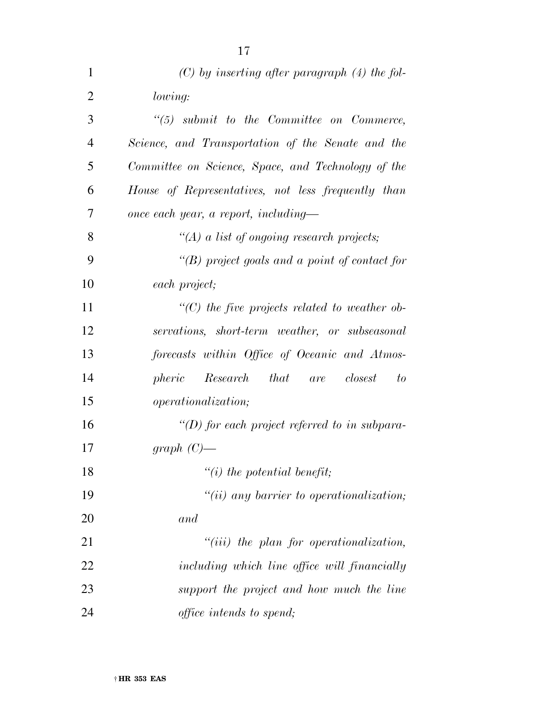| 1              | $(C)$ by inserting after paragraph $(4)$ the fol-   |
|----------------|-----------------------------------------------------|
| $\overline{2}$ | lowing:                                             |
| 3              | $\lq(5)$ submit to the Committee on Commerce,       |
| $\overline{4}$ | Science, and Transportation of the Senate and the   |
| 5              | Committee on Science, Space, and Technology of the  |
| 6              | House of Representatives, not less frequently than  |
| 7              | once each year, a report, including—                |
| 8              | "(A) a list of ongoing research projects;           |
| 9              | "(B) project goals and a point of contact for       |
| 10             | each project;                                       |
| 11             | $\lq\lq C$ the five projects related to weather ob- |
| 12             | servations, short-term weather, or subseasonal      |
| 13             | forecasts within Office of Oceanic and Atmos-       |
| 14             | Research that are closest<br>pheric<br>to           |
| 15             | <i>operationalization</i> ;                         |
| 16             | "(D) for each project referred to in subpara-       |
| 17             | $graph (C)$ —                                       |
| 18             | $``(i)$ the potential benefit;                      |
| 19             | $"(ii)$ any barrier to operationalization;          |
| 20             | and                                                 |
| 21             | $"(iii)$ the plan for operationalization,           |
| 22             | including which line office will financially        |
| 23             | support the project and how much the line           |
| 24             | <i>office intends to spend;</i>                     |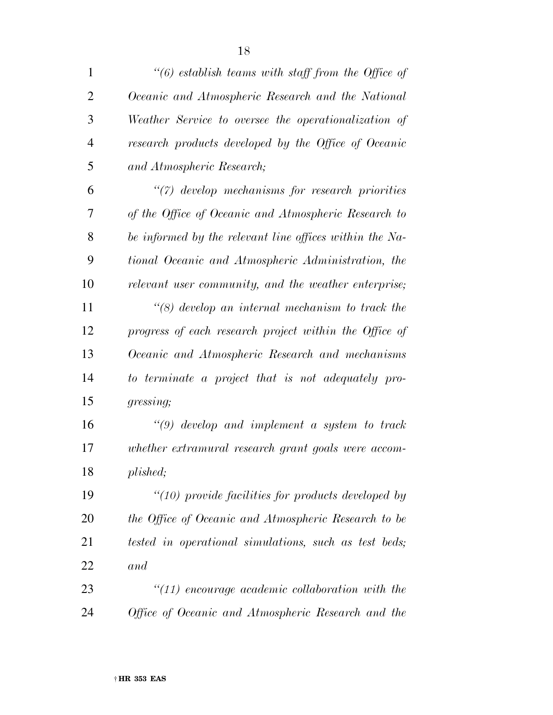| $\mathbf{1}$   | $\lq(6)$ establish teams with staff from the Office of  |
|----------------|---------------------------------------------------------|
| $\overline{2}$ | Oceanic and Atmospheric Research and the National       |
| 3              | Weather Service to oversee the operationalization of    |
| $\overline{4}$ | research products developed by the Office of Oceanic    |
| 5              | and Atmospheric Research;                               |
| 6              | "(7) develop mechanisms for research priorities         |
| 7              | of the Office of Oceanic and Atmospheric Research to    |
| 8              | be informed by the relevant line offices within the Na- |
| 9              | tional Oceanic and Atmospheric Administration, the      |
| 10             | relevant user community, and the weather enterprise;    |
| 11             | $\lq(8)$ develop an internal mechanism to track the     |
| 12             | progress of each research project within the Office of  |
| 13             | Oceanic and Atmospheric Research and mechanisms         |
| 14             | to terminate a project that is not adequately pro-      |
| 15             | gressing;                                               |
| 16             | $\lq(9)$ develop and implement a system to track        |
| 17             | whether extramural research grant goals were accom-     |
| 18             | plished;                                                |
| 19             | $"(10)$ provide facilities for products developed by    |
| 20             | the Office of Oceanic and Atmospheric Research to be    |
| 21             | tested in operational simulations, such as test beds;   |
| 22             | and                                                     |
| 23             | $"(11)$ encourage academic collaboration with the       |
| 24             | Office of Oceanic and Atmospheric Research and the      |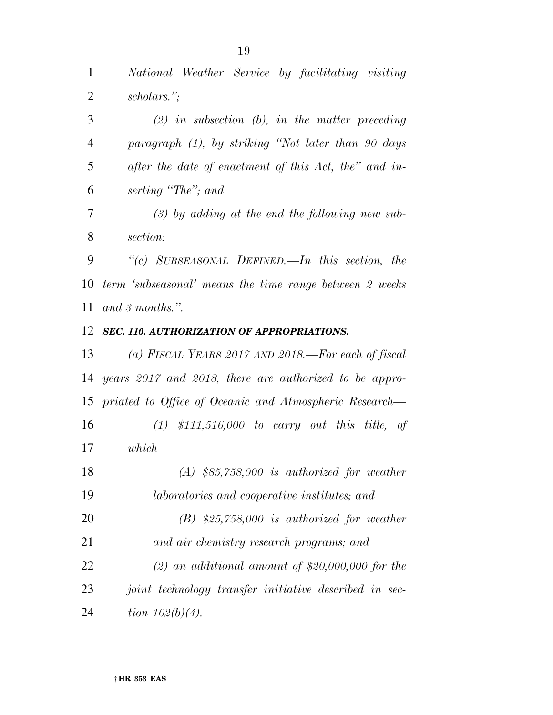*National Weather Service by facilitating visiting* 

 *scholars.''; (2) in subsection (b), in the matter preceding paragraph (1), by striking ''Not later than 90 days after the date of enactment of this Act, the'' and in- serting ''The''; and section: ''(c) SUBSEASONAL DEFINED.—In this section, the term 'subseasonal' means the time range between 2 weeks and 3 months.''. SEC. 110. AUTHORIZATION OF APPROPRIATIONS. (a) FISCAL YEARS 2017 AND 2018.—For each of fiscal years 2017 and 2018, there are authorized to be appro-priated to Office of Oceanic and Atmospheric Research—* 

 *(1) \$111,516,000 to carry out this title, of which—* 

 *(A) \$85,758,000 is authorized for weather laboratories and cooperative institutes; and (B) \$25,758,000 is authorized for weather and air chemistry research programs; and (2) an additional amount of \$20,000,000 for the joint technology transfer initiative described in sec-tion 102(b)(4).* 

*(3) by adding at the end the following new sub-*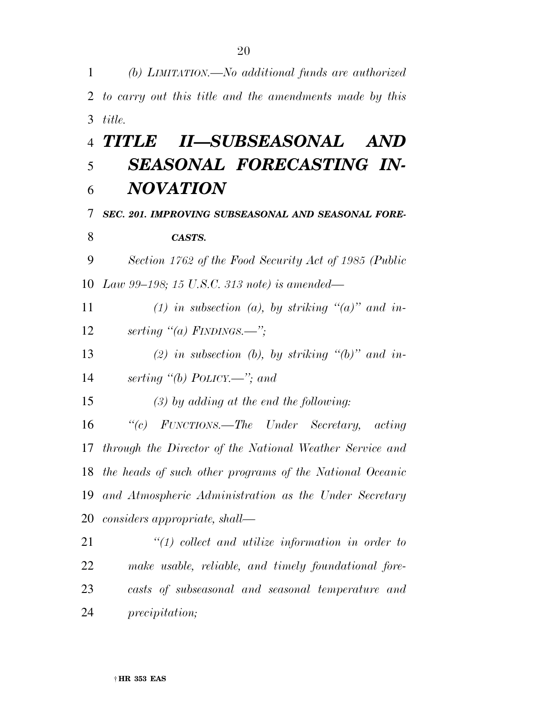*(b) LIMITATION.—No additional funds are authorized to carry out this title and the amendments made by this title.* 

# *TITLE II—SUBSEASONAL AND SEASONAL FORECASTING IN-NOVATION*

*SEC. 201. IMPROVING SUBSEASONAL AND SEASONAL FORE-*

### *CASTS.*

 *Section 1762 of the Food Security Act of 1985 (Public Law 99–198; 15 U.S.C. 313 note) is amended—* 

 *(1) in subsection (a), by striking ''(a)'' and in-serting ''(a) FINDINGS.—'';* 

 *(2) in subsection (b), by striking ''(b)'' and in-serting ''(b) POLICY.—''; and* 

*(3) by adding at the end the following:* 

 *''(c) FUNCTIONS.—The Under Secretary, acting through the Director of the National Weather Service and the heads of such other programs of the National Oceanic and Atmospheric Administration as the Under Secretary considers appropriate, shall—* 

 *''(1) collect and utilize information in order to make usable, reliable, and timely foundational fore- casts of subseasonal and seasonal temperature and precipitation;*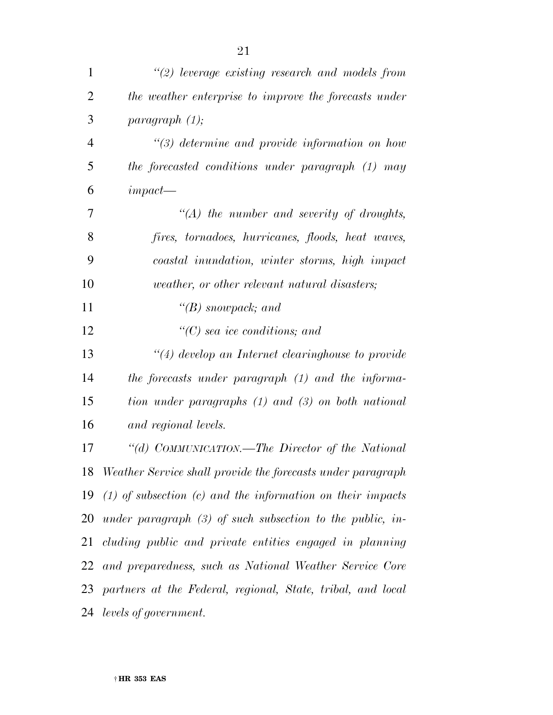| 1              | $\lq(2)$ leverage existing research and models from            |
|----------------|----------------------------------------------------------------|
| $\overline{2}$ | the weather enterprise to improve the forecasts under          |
| 3              | paragnath (1);                                                 |
| $\overline{4}$ | $\lq(3)$ determine and provide information on how              |
| 5              | the forecasted conditions under paragraph (1) may              |
| 6              | $impect-$                                                      |
| 7              | $\lq (A)$ the number and severity of droughts,                 |
| 8              | fires, tornadoes, hurricanes, floods, heat waves,              |
| 9              | coastal inundation, winter storms, high impact                 |
| 10             | <i>weather, or other relevant natural disasters;</i>           |
| 11             | $\lq\lq(B)$ snowpack; and                                      |
| 12             | $\lq\lq$ sea ice conditions; and                               |
| 13             | $\lq(4)$ develop an Internet clearinghouse to provide          |
| 14             | the forecasts under paragraph (1) and the informa-             |
| 15             | tion under paragraphs (1) and (3) on both national             |
| 16             | and regional levels.                                           |
| 17             | "(d) COMMUNICATION.—The Director of the National               |
|                | 18 Weather Service shall provide the forecasts under paragraph |
| 19             | $(1)$ of subsection $(c)$ and the information on their impacts |
|                | 20 under paragraph $(3)$ of such subsection to the public, in- |
|                | 21 cluding public and private entities engaged in planning     |
| 22             | and preparedness, such as National Weather Service Core        |
|                | 23 partners at the Federal, regional, State, tribal, and local |
|                | 24 levels of government.                                       |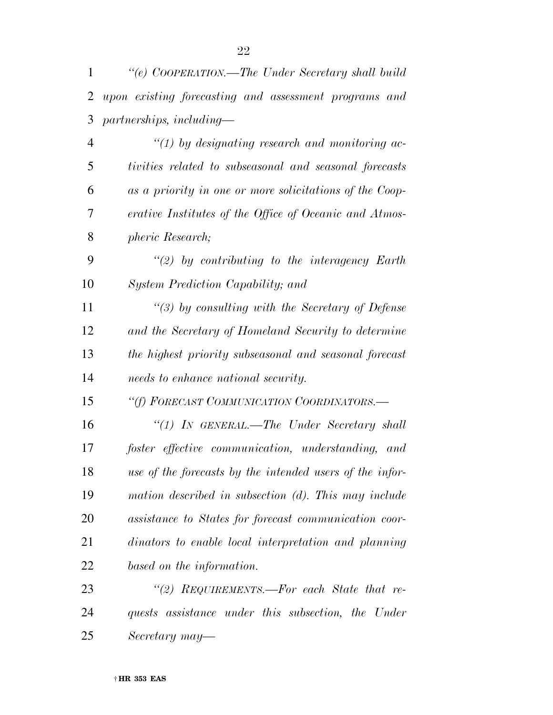|   | "(e) COOPERATION.—The Under Secretary shall build       |
|---|---------------------------------------------------------|
|   | 2 upon existing forecasting and assessment programs and |
|   | $3$ partnerships, including—                            |
|   | $\lq(1)$ by designating research and monitoring ac-     |
| 5 | tivities related to subseasonal and seasonal forecasts  |
| 6 | as a priority in one or more solicitations of the Coop- |

 *erative Institutes of the Office of Oceanic and Atmos-pheric Research;* 

 *''(2) by contributing to the interagency Earth System Prediction Capability; and* 

 *''(3) by consulting with the Secretary of Defense and the Secretary of Homeland Security to determine the highest priority subseasonal and seasonal forecast needs to enhance national security.* 

*''(f) FORECAST COMMUNICATION COORDINATORS.—* 

 *''(1) IN GENERAL.—The Under Secretary shall foster effective communication, understanding, and use of the forecasts by the intended users of the infor- mation described in subsection (d). This may include assistance to States for forecast communication coor- dinators to enable local interpretation and planning based on the information.* 

 *''(2) REQUIREMENTS.—For each State that re- quests assistance under this subsection, the Under Secretary may—*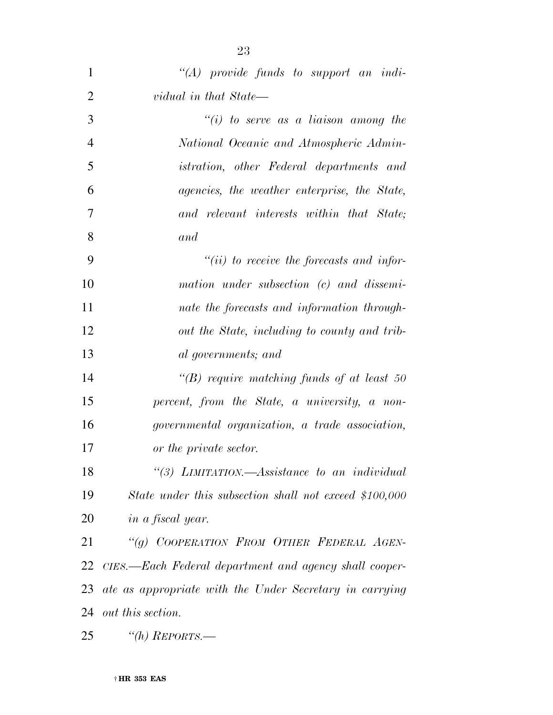| 1              | $\lq\lq (A)$ provide funds to support an indi-          |
|----------------|---------------------------------------------------------|
| $\overline{2}$ | vidual in that State—                                   |
| 3              | "(i) to serve as a liaison among the                    |
| $\overline{4}$ | National Oceanic and Atmospheric Admin-                 |
| $\mathfrak{S}$ | <i>istration, other Federal departments and</i>         |
| 6              | agencies, the weather enterprise, the State,            |
| 7              | and relevant interests within that State;               |
| 8              | and                                                     |
| 9              | $``(ii)$ to receive the forecasts and infor-            |
| 10             | mation under subsection (c) and dissemi-                |
| 11             | nate the forecasts and information through-             |
| 12             | out the State, including to county and trib-            |
| 13             | al governments; and                                     |
| 14             | "(B) require matching funds of at least $50$            |
| 15             | percent, from the State, a university, a non-           |
| 16             | governmental organization, a trade association,         |
| 17             | or the private sector.                                  |
| 18             | "(3) LIMITATION.—Assistance to an individual            |
| 19             | State under this subsection shall not exceed \$100,000  |
| 20             | <i>in a fiscal year.</i>                                |
| 21             | "(g) COOPERATION FROM OTHER FEDERAL AGEN-               |
| 22             | CIES.—Each Federal department and agency shall cooper-  |
| 23             | ate as appropriate with the Under Secretary in carrying |
| 24             | <i>out this section.</i>                                |
| 25             | "(h) $REPORTS$ .—                                       |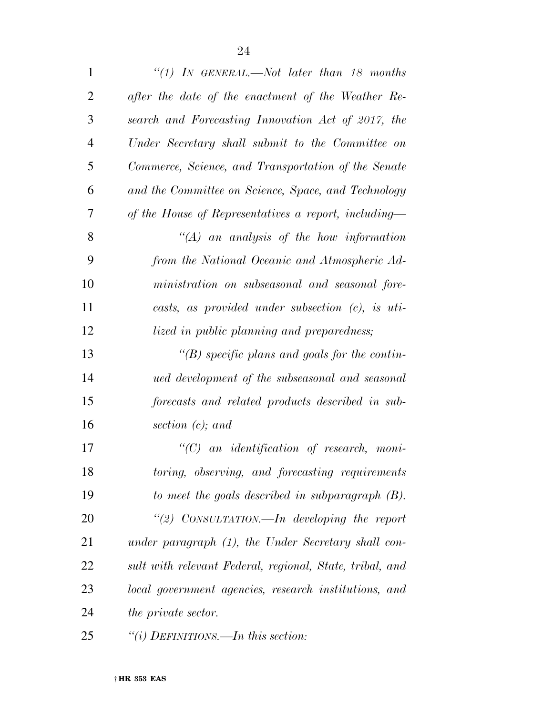| $\mathbf{1}$   | "(1) In GENERAL.—Not later than 18 months                |
|----------------|----------------------------------------------------------|
| $\overline{2}$ | after the date of the enactment of the Weather Re-       |
| 3              | search and Forecasting Innovation Act of 2017, the       |
| $\overline{4}$ | Under Secretary shall submit to the Committee on         |
| 5              | Commerce, Science, and Transportation of the Senate      |
| 6              | and the Committee on Science, Space, and Technology      |
| 7              | of the House of Representatives a report, including—     |
| 8              | $\lq\lq (A)$ an analysis of the how information          |
| 9              | from the National Oceanic and Atmospheric Ad-            |
| 10             | ministration on subseasonal and seasonal fore-           |
| 11             | casts, as provided under subsection $(c)$ , is uti-      |
| 12             | lized in public planning and preparedness;               |
| 13             | "(B) specific plans and goals for the contin-            |
| 14             | ued development of the subseasonal and seasonal          |
| 15             | forecasts and related products described in sub-         |
| 16             | section $(c)$ ; and                                      |
| 17             | $\lq\lq C$ an identification of research, moni-          |
| 18             | toring, observing, and forecasting requirements          |
| 19             | to meet the goals described in subparagraph $(B)$ .      |
| 20             | "(2) CONSULTATION.—In developing the report              |
| 21             | under paragraph (1), the Under Secretary shall con-      |
| 22             | sult with relevant Federal, regional, State, tribal, and |
| 23             | local government agencies, research institutions, and    |
| 24             | <i>the private sector.</i>                               |
| 25             | "(i) DEFINITIONS.—In this section:                       |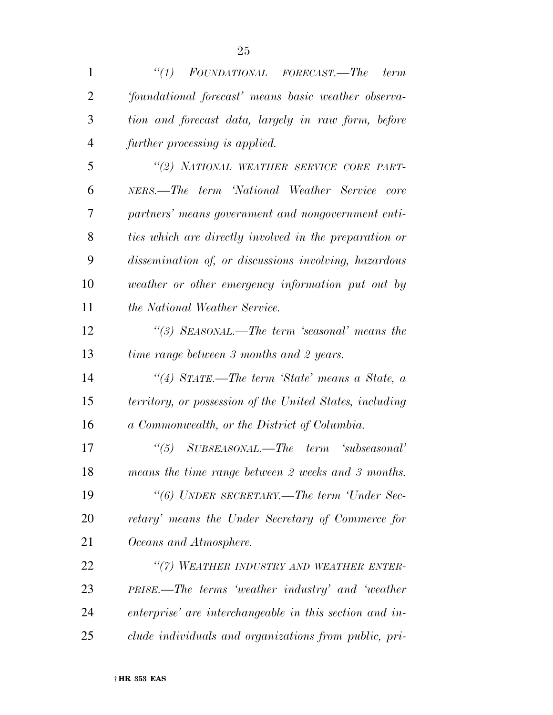| $\mathbf{1}$   | ``(1)<br>FOUNDATIONAL FORECAST.—The<br>term              |
|----------------|----------------------------------------------------------|
| $\overline{2}$ | 'foundational forecast' means basic weather observa-     |
| 3              | tion and forecast data, largely in raw form, before      |
| 4              | further processing is applied.                           |
| 5              | "(2) NATIONAL WEATHER SERVICE CORE PART-                 |
| 6              | NERS.—The term 'National Weather Service core            |
| 7              | partners' means government and nongovernment enti-       |
| 8              | ties which are directly involved in the preparation or   |
| 9              | dissemination of, or discussions involving, hazardous    |
| 10             | weather or other emergency information put out by        |
| 11             | <i>the National Weather Service.</i>                     |
| 12             | "(3) SEASONAL.—The term 'seasonal' means the             |
| 13             | time range between 3 months and 2 years.                 |
| 14             | "(4) STATE.—The term 'State' means a State, a            |
| 15             | territory, or possession of the United States, including |
| 16             | a Commonwealth, or the District of Columbia.             |
| 17             | $SUBSEASONAL.$ The term 'subseasonal'<br>$\frac{1}{1}$   |
| 18             | means the time range between 2 weeks and 3 months.       |
| 19             | "(6) UNDER SECRETARY.—The term 'Under Sec-               |
| 20             | retary' means the Under Secretary of Commerce for        |
| 21             | Oceans and Atmosphere.                                   |
| 22             | "(7) WEATHER INDUSTRY AND WEATHER ENTER-                 |
| 23             | PRISE.—The terms 'weather industry' and 'weather         |
| 24             | enterprise' are interchangeable in this section and in-  |
| 25             | clude individuals and organizations from public, pri-    |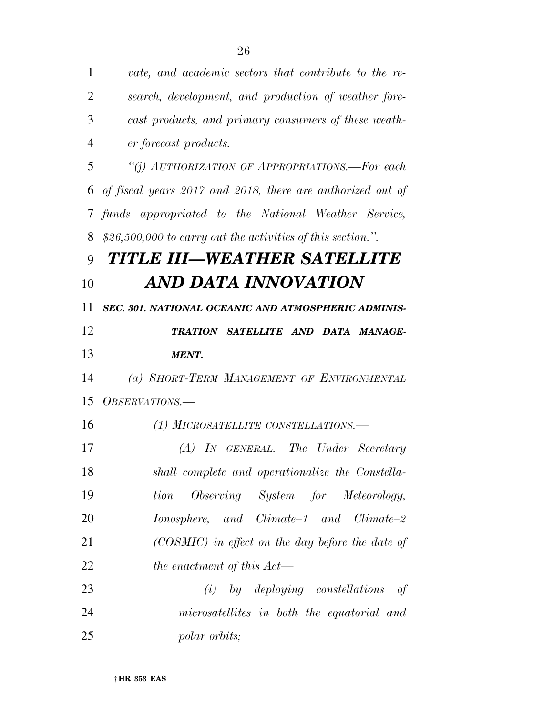| 1              | vate, and academic sectors that contribute to the re-        |
|----------------|--------------------------------------------------------------|
| $\overline{2}$ | search, development, and production of weather fore-         |
| 3              | cast products, and primary consumers of these weath-         |
| $\overline{4}$ | er forecast products.                                        |
| 5              | "(j) AUTHORIZATION OF APPROPRIATIONS.—For each               |
| 6              | of fiscal years 2017 and 2018, there are authorized out of   |
| $\tau$         | funds appropriated to the National Weather Service,          |
| 8              | $$26,500,000$ to carry out the activities of this section.". |
| 9              | TITLE III—WEATHER SATELLITE                                  |
| 10             | AND DATA INNOVATION                                          |
| 11             | SEC. 301. NATIONAL OCEANIC AND ATMOSPHERIC ADMINIS-          |
| 12             | TRATION SATELLITE AND DATA MANAGE-                           |
| 13             | <b>MENT.</b>                                                 |
| 14             | (a) SHORT-TERM MANAGEMENT OF ENVIRONMENTAL                   |
| 15             | <i>OBSERVATIONS.—</i>                                        |
| 16             | (1) MICROSATELLITE CONSTELLATIONS.-                          |
| 17             | $(A)$ In GENERAL.—The Under Secretary                        |
| 18             | shall complete and operationalize the Constella-             |
| 19             | Observing System for Meteorology,<br>tion                    |
| 20             | $Ionosphere, and Climate-1 and Climate-2$                    |
| 21             | (COSMIC) in effect on the day before the date of             |
| 22             | the enactment of this Act—                                   |
| 23             | by deploying constellations<br>(i)<br>of                     |
| 24             | microsatellites in both the equatorial and                   |
| 25             | <i>polar orbits;</i>                                         |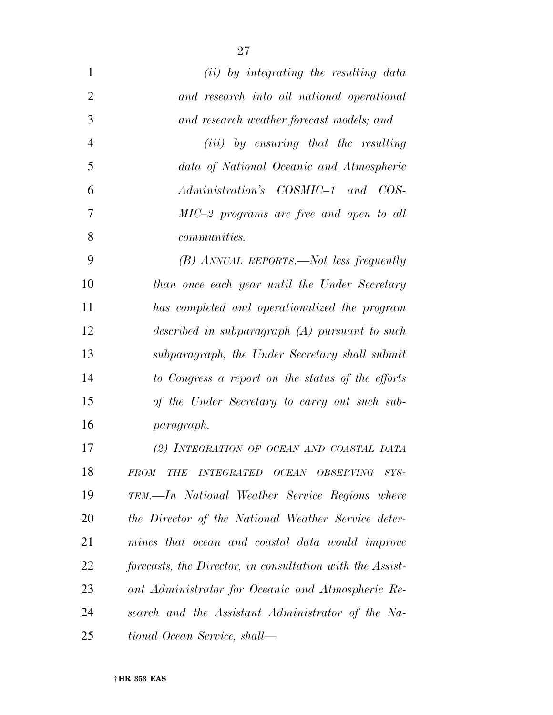| $\mathbf{1}$   | (ii) by integrating the resulting data                    |
|----------------|-----------------------------------------------------------|
| $\overline{2}$ | and research into all national operational                |
| 3              | and research weather forecast models; and                 |
| $\overline{4}$ | ( <i>iii</i> ) by ensuring that the resulting             |
| 5              | data of National Oceanic and Atmospheric                  |
| 6              | Administration's COSMIC-1 and COS-                        |
| 7              | $MIC-2$ programs are free and open to all                 |
| 8              | <i>communities.</i>                                       |
| 9              | $(B)$ ANNUAL REPORTS.—Not less frequently                 |
| 10             | than once each year until the Under Secretary             |
| 11             | has completed and operationalized the program             |
| 12             | described in subparagraph $(A)$ pursuant to such          |
| 13             | subparagraph, the Under Secretary shall submit            |
| 14             | to Congress a report on the status of the efforts         |
| 15             | of the Under Secretary to carry out such sub-             |
| 16             | paragraph.                                                |
| 17             | (2) INTEGRATION OF OCEAN AND COASTAL DATA                 |
| 18             | FROM THE INTEGRATED OCEAN OBSERVING SYS-                  |
| 19             | TEM.—In National Weather Service Regions where            |
| 20             | the Director of the National Weather Service deter-       |
| 21             | mines that ocean and coastal data would improve           |
| 22             | forecasts, the Director, in consultation with the Assist- |
| 23             | ant Administrator for Oceanic and Atmospheric Re-         |
| 24             | search and the Assistant Administrator of the Na-         |
| 25             | tional Ocean Service, shall—                              |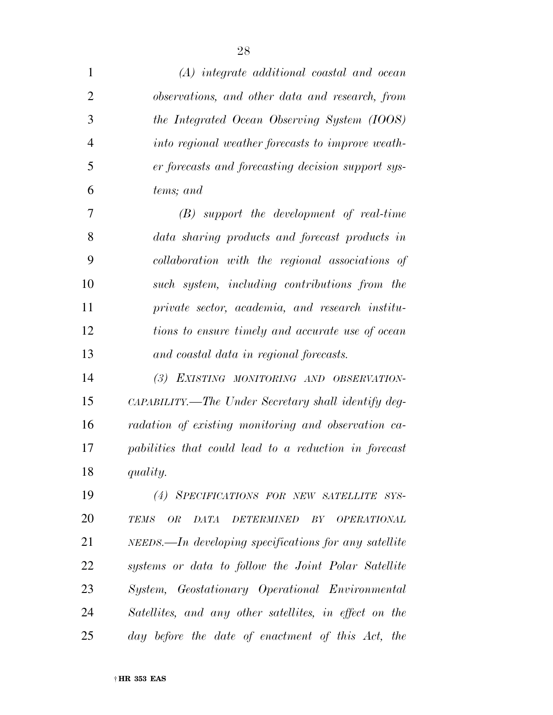| $\mathbf{1}$   | (A) integrate additional coastal and ocean                                               |
|----------------|------------------------------------------------------------------------------------------|
| $\overline{2}$ | observations, and other data and research, from                                          |
| 3              | the Integrated Ocean Observing System (IOOS)                                             |
| $\overline{4}$ | into regional weather forecasts to improve weath-                                        |
| 5              | er forecasts and forecasting decision support sys-                                       |
| 6              | tems; and                                                                                |
| 7              | $(B)$ support the development of real-time                                               |
| 8              | data sharing products and forecast products in                                           |
| 9              | collaboration with the regional associations of                                          |
| 10             | such system, including contributions from the                                            |
| 11             | private sector, academia, and research institu-                                          |
| 12             | tions to ensure timely and accurate use of ocean                                         |
| 13             | and coastal data in regional forecasts.                                                  |
| 14             | (3) EXISTING MONITORING AND OBSERVATION-                                                 |
| 15             | CAPABILITY.—The Under Secretary shall identify deg-                                      |
| 16             | radation of existing monitoring and observation ca-                                      |
| 17             | pabilities that could lead to a reduction in forecast                                    |
| 18             | quality.                                                                                 |
| 19             | (4) SPECIFICATIONS FOR NEW SATELLITE SYS-                                                |
| 20             | <b>OR</b><br><b>DATA</b><br><b>TEMS</b><br><b>DETERMINED</b><br>BY<br><b>OPERATIONAL</b> |
| 21             | NEEDS.—In developing specifications for any satellite                                    |
| 22             | systems or data to follow the Joint Polar Satellite                                      |
| 23             | System, Geostationary Operational Environmental                                          |
| 24             | Satellites, and any other satellites, in effect on the                                   |
| 25             | day before the date of enactment of this Act, the                                        |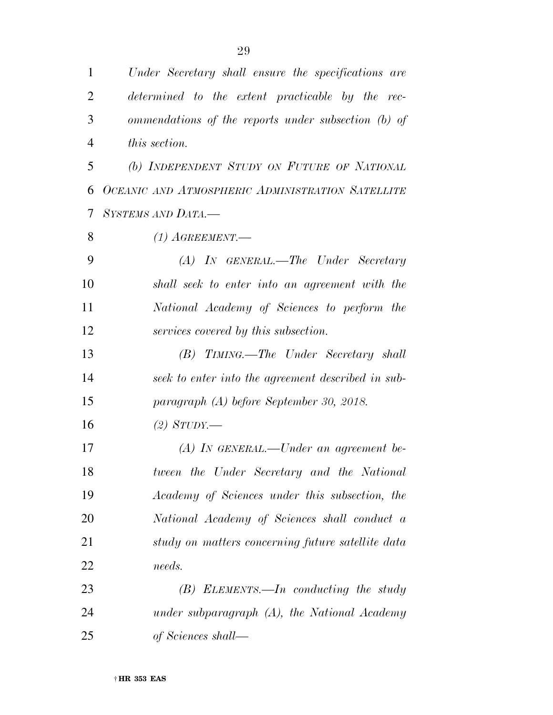| $\mathbf{1}$   | Under Secretary shall ensure the specifications are |
|----------------|-----------------------------------------------------|
| $\overline{2}$ | determined to the extent practicable by the rec-    |
| 3              | ommendations of the reports under subsection (b) of |
| $\overline{4}$ | this section.                                       |
| 5              | (b) INDEPENDENT STUDY ON FUTURE OF NATIONAL         |
| 6              | OCEANIC AND ATMOSPHERIC ADMINISTRATION SATELLITE    |
| 7              | SYSTEMS AND DATA.-                                  |
| 8              | $(1)$ AGREEMENT.—                                   |
| 9              | $(A)$ In GENERAL.—The Under Secretary               |
| 10             | shall seek to enter into an agreement with the      |
| 11             | National Academy of Sciences to perform the         |
| 12             | services covered by this subsection.                |
| 13             | (B) TIMING.—The Under Secretary shall               |
| 14             | seek to enter into the agreement described in sub-  |
| 15             | paragraph (A) before September 30, 2018.            |
| 16             | $(2)$ STUDY.—                                       |
| 17             | $(A)$ In GENERAL.—Under an agreement be-            |
| 18             | tween the Under Secretary and the National          |
| 19             | Academy of Sciences under this subsection, the      |
| 20             | National Academy of Sciences shall conduct a        |
| 21             | study on matters concerning future satellite data   |
| 22             | needs.                                              |
| 23             | $(B)$ ELEMENTS.—In conducting the study             |
| 24             | under subparagraph $(A)$ , the National Academy     |
| 25             | of Sciences shall—                                  |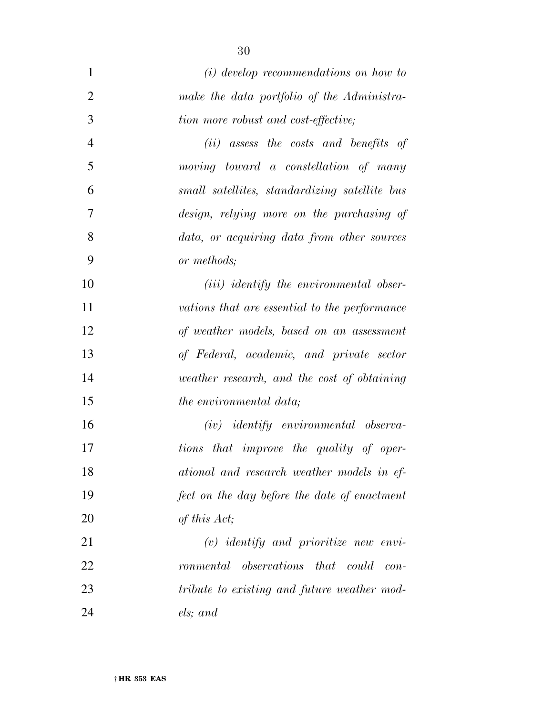| $\mathbf{1}$   | $(i)$ develop recommendations on how to                |
|----------------|--------------------------------------------------------|
| $\overline{2}$ | make the data portfolio of the Administra-             |
| 3              | tion more robust and cost-effective;                   |
| $\overline{4}$ | $(ii)$ assess the costs and benefits of                |
| 5              | $moving$ toward a constellation of many                |
| 6              | small satellites, standardizing satellite bus          |
| 7              | design, relying more on the purchasing of              |
| 8              | data, or acquiring data from other sources             |
| 9              | or methods;                                            |
| 10             | ( <i>iii</i> ) identify the environmental obser-       |
| 11             | vations that are essential to the performance          |
| 12             | of weather models, based on an assessment              |
| 13             | of Federal, academic, and private sector               |
| 14             | weather research, and the cost of obtaining            |
| 15             | <i>the environmental data</i> ;                        |
| 16             | $(iv)$ identify environmental observa-                 |
| 17             | tions that improve the quality of oper-                |
| 18             | ational and research weather models in ef-             |
| 19             | fect on the day before the date of enactment           |
| 20             | of this Act;                                           |
| 21             | $(v)$ identify and prioritize new envi-                |
| 22             | $\omega$ bservations that could<br>ronmental<br>$con-$ |
| 23             | tribute to existing and future weather mod-            |
| 24             | els; and                                               |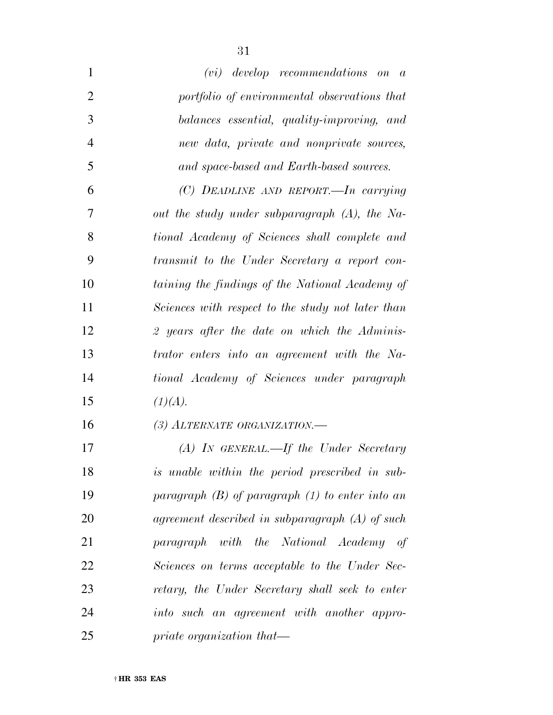| $\mathbf{1}$   | $(vi)$ develop recommendations on $a$               |
|----------------|-----------------------------------------------------|
| $\overline{2}$ | portfolio of environmental observations that        |
| 3              | balances essential, quality-improving, and          |
| $\overline{4}$ | new data, private and nonprivate sources,           |
| 5              | and space-based and Earth-based sources.            |
| 6              | (C) DEADLINE AND REPORT.—In carrying                |
| 7              | out the study under subparagraph $(A)$ , the Na-    |
| 8              | tional Academy of Sciences shall complete and       |
| 9              | transmit to the Under Secretary a report con-       |
| 10             | taining the findings of the National Academy of     |
| 11             | Sciences with respect to the study not later than   |
| 12             | 2 years after the date on which the Adminis-        |
| 13             | trator enters into an agreement with the Na-        |
| 14             | tional Academy of Sciences under paragraph          |
| 15             | (1)(A).                                             |
| 16             | (3) ALTERNATE ORGANIZATION.                         |
| 17             | $(A)$ IN GENERAL.—If the Under Secretary            |
| 18             | is unable within the period prescribed in sub-      |
| 19             | paragraph $(B)$ of paragraph $(1)$ to enter into an |
| 20             | agreement described in subparagraph $(A)$ of such   |
| 21             | paragraph with the National Academy of              |
| 22             | Sciences on terms acceptable to the Under Sec-      |
| 23             | retary, the Under Secretary shall seek to enter     |
| 24             | into such an agreement with another appro-          |
| 25             | priate organization that—                           |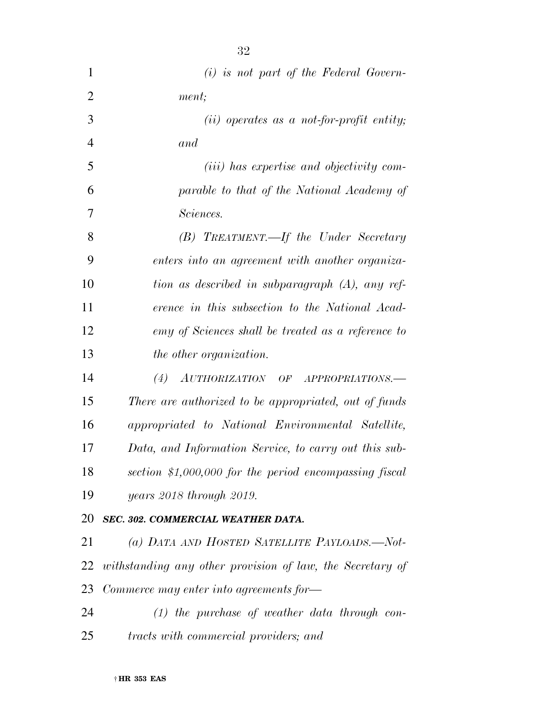| 1              | $(i)$ is not part of the Federal Govern-                  |
|----------------|-----------------------------------------------------------|
| $\overline{2}$ | ment;                                                     |
| 3              | $(ii)$ operates as a not-for-profit entity;               |
| $\overline{4}$ | and                                                       |
| 5              | ( <i>iii</i> ) has expertise and objectivity com-         |
| 6              | parable to that of the National Academy of                |
| 7              | Sciences.                                                 |
| 8              | (B) TREATMENT.—If the Under Secretary                     |
| 9              | enters into an agreement with another organiza-           |
| 10             | tion as described in subparagraph (A), any ref-           |
| 11             | erence in this subsection to the National Acad-           |
| 12             | emy of Sciences shall be treated as a reference to        |
| 13             | the other organization.                                   |
| 14             | (4)<br>AUTHORIZATION OF APPROPRIATIONS.                   |
| 15             | There are authorized to be appropriated, out of funds     |
| 16             | appropriated to National Environmental Satellite,         |
| 17             | Data, and Information Service, to carry out this sub-     |
| 18             | section $$1,000,000$ for the period encompassing fiscal   |
| 19             | <i>years 2018 through 2019.</i>                           |
| 20             | SEC. 302. COMMERCIAL WEATHER DATA.                        |
| 21             | (a) DATA AND HOSTED SATELLITE PAYLOADS.—Not-              |
| 22             | withstanding any other provision of law, the Secretary of |
| 23             | Commerce may enter into agreements for-                   |
| 24             | $(1)$ the purchase of weather data through con-           |
| 25             | tracts with commercial providers; and                     |
|                |                                                           |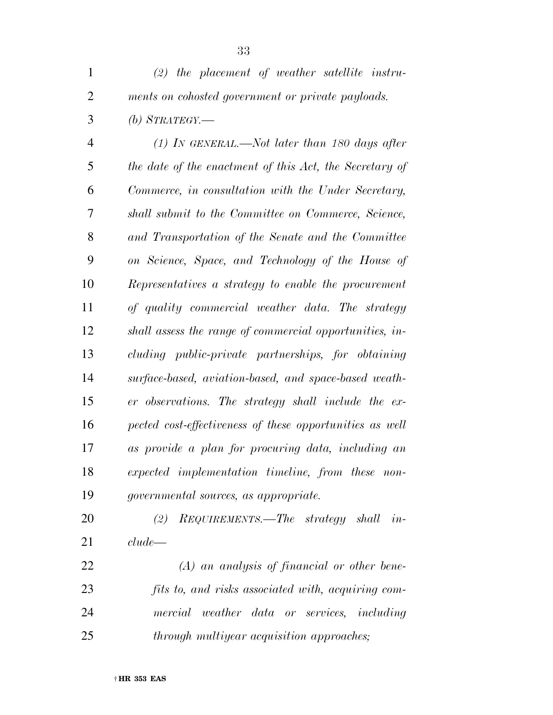*(2) the placement of weather satellite instru-ments on cohosted government or private payloads.* 

*(b) STRATEGY.—* 

 *(1) IN GENERAL.—Not later than 180 days after the date of the enactment of this Act, the Secretary of Commerce, in consultation with the Under Secretary, shall submit to the Committee on Commerce, Science, and Transportation of the Senate and the Committee on Science, Space, and Technology of the House of Representatives a strategy to enable the procurement of quality commercial weather data. The strategy shall assess the range of commercial opportunities, in- cluding public-private partnerships, for obtaining surface-based, aviation-based, and space-based weath- er observations. The strategy shall include the ex- pected cost-effectiveness of these opportunities as well as provide a plan for procuring data, including an expected implementation timeline, from these non-governmental sources, as appropriate.* 

 *(2) REQUIREMENTS.—The strategy shall in-clude—* 

 *(A) an analysis of financial or other bene- fits to, and risks associated with, acquiring com- mercial weather data or services, including through multiyear acquisition approaches;*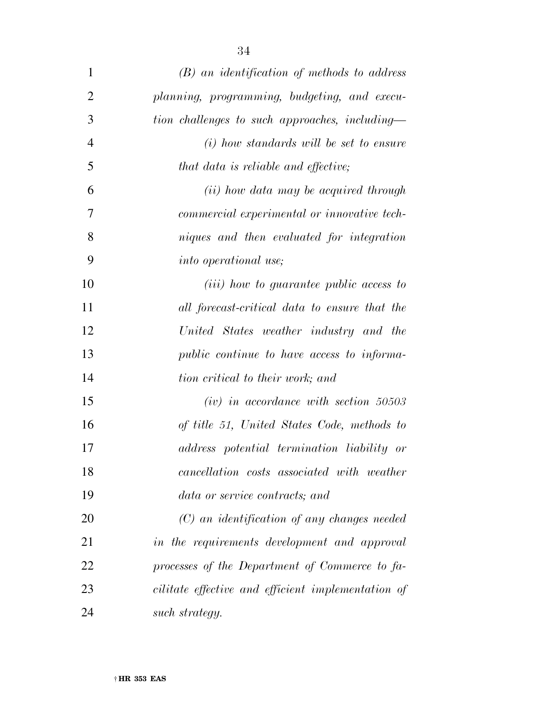| $\mathbf{1}$   | $(B)$ an identification of methods to address      |
|----------------|----------------------------------------------------|
| $\overline{2}$ | planning, programming, budgeting, and execu-       |
| 3              | tion challenges to such approaches, including-     |
| $\overline{4}$ | $(i)$ how standards will be set to ensure          |
| 5              | that data is reliable and effective;               |
| 6              | (ii) how data may be acquired through              |
| 7              | commercial experimental or innovative tech-        |
| 8              | niques and then evaluated for integration          |
| 9              | <i>into operational use</i> ;                      |
| 10             | ( <i>iii</i> ) how to guarantee public access to   |
| 11             | all forecast-critical data to ensure that the      |
| 12             | United States weather industry and the             |
| 13             | public continue to have access to informa-         |
| 14             | tion critical to their work; and                   |
| 15             | $(iv)$ in accordance with section 50503            |
| 16             | of title 51, United States Code, methods to        |
| 17             | address potential termination liability or         |
| 18             | cancellation costs associated with weather         |
| 19             | data or service contracts; and                     |
| 20             | $(C)$ an identification of any changes needed      |
| 21             | in the requirements development and approval       |
| 22             | processes of the Department of Commerce to fa-     |
| 23             | cilitate effective and efficient implementation of |

*such strategy.*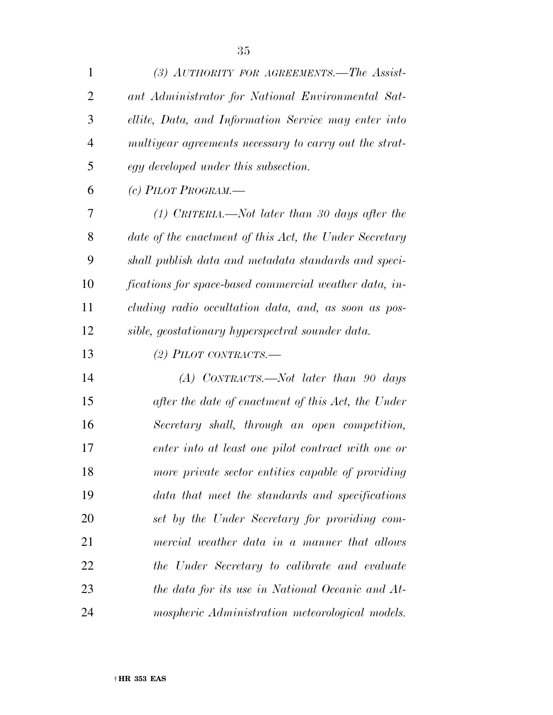| $\mathbf{1}$   | (3) AUTHORITY FOR AGREEMENTS.—The Assist-              |
|----------------|--------------------------------------------------------|
| $\overline{2}$ | ant Administrator for National Environmental Sat-      |
| 3              | ellite, Data, and Information Service may enter into   |
| $\overline{4}$ | multiyear agreements necessary to carry out the strat- |
| 5              | egy developed under this subsection.                   |
| 6              | (c) PILOT PROGRAM. $-$                                 |
| 7              | $(1)$ CRITERIA.—Not later than 30 days after the       |
| 8              | date of the enactment of this Act, the Under Secretary |
| 9              | shall publish data and metadata standards and speci-   |
| 10             | fications for space-based commercial weather data, in- |
| 11             | cluding radio occultation data, and, as soon as pos-   |
| 12             | sible, geostationary hyperspectral sounder data.       |
| 13             | (2) PILOT CONTRACTS.—                                  |
| 14             | $(A)$ CONTRACTS.—Not later than 90 days                |
| 15             | after the date of enactment of this Act, the Under     |
| 16             | Secretary shall, through an open competition,          |
| 17             | enter into at least one pilot contract with one or     |
| 18             | more private sector entities capable of providing      |
| 19             | data that meet the standards and specifications        |
| 20             | set by the Under Secretary for providing com-          |
| 21             | mercial weather data in a manner that allows           |
| 22             | the Under Secretary to calibrate and evaluate          |
| 23             | the data for its use in National Oceanic and At-       |
| 24             | mospheric Administration meteorological models.        |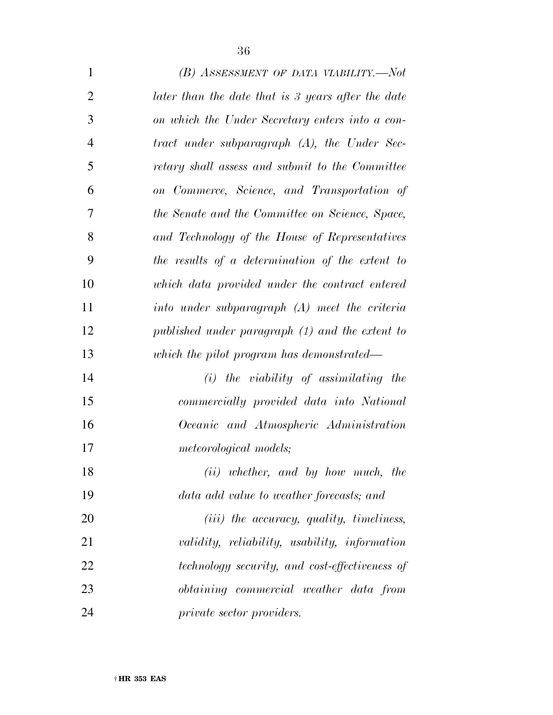| $\mathbf{1}$   | (B) ASSESSMENT OF DATA VIABILITY.—Not              |
|----------------|----------------------------------------------------|
| $\overline{2}$ | later than the date that is 3 years after the date |
| 3              | on which the Under Secretary enters into a con-    |
| $\overline{4}$ | tract under subparagraph (A), the Under Sec-       |
| 5              | retary shall assess and submit to the Committee    |
| 6              | on Commerce, Science, and Transportation of        |
| 7              | the Senate and the Committee on Science, Space,    |
| 8              | and Technology of the House of Representatives     |
| 9              | the results of a determination of the extent to    |
| 10             | which data provided under the contract entered     |
| 11             | into under subparagraph (A) meet the criteria      |
| 12             | published under paragraph (1) and the extent to    |
| 13             | which the pilot program has demonstrated—          |
| 14             | $(i)$ the viability of assimilating the            |
| 15             | commercially provided data into National           |
| 16             | Oceanic and Atmospheric Administration             |
| 17             | <i>meteorological models;</i>                      |
| 18             | (ii) whether, and by how much, the                 |
| 19             | data add value to weather forecasts; and           |
| 20             | $(iii)$ the accuracy, quality, timeliness,         |
| 21             | validity, reliability, usability, information      |
| 22             | technology security, and cost-effectiveness of     |
| 23             | <i>obtaining</i> commercial weather data from      |
| 24             | <i>private sector providers.</i>                   |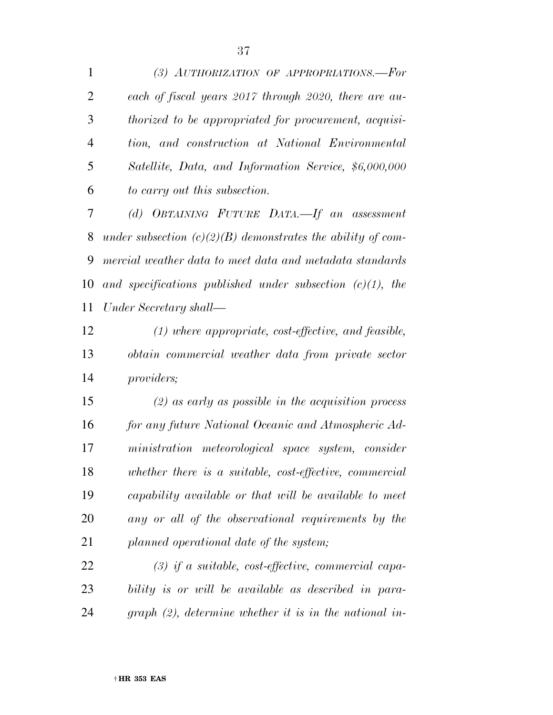*(3) AUTHORIZATION OF APPROPRIATIONS.—For each of fiscal years 2017 through 2020, there are au- thorized to be appropriated for procurement, acquisi- tion, and construction at National Environmental Satellite, Data, and Information Service, \$6,000,000 to carry out this subsection.* 

 *(d) OBTAINING FUTURE DATA.—If an assessment under subsection (c)(2)(B) demonstrates the ability of com- mercial weather data to meet data and metadata standards and specifications published under subsection (c)(1), the Under Secretary shall—* 

 *(1) where appropriate, cost-effective, and feasible, obtain commercial weather data from private sector providers;* 

 *(2) as early as possible in the acquisition process for any future National Oceanic and Atmospheric Ad- ministration meteorological space system, consider whether there is a suitable, cost-effective, commercial capability available or that will be available to meet any or all of the observational requirements by the planned operational date of the system;* 

 *(3) if a suitable, cost-effective, commercial capa- bility is or will be available as described in para-graph (2), determine whether it is in the national in-*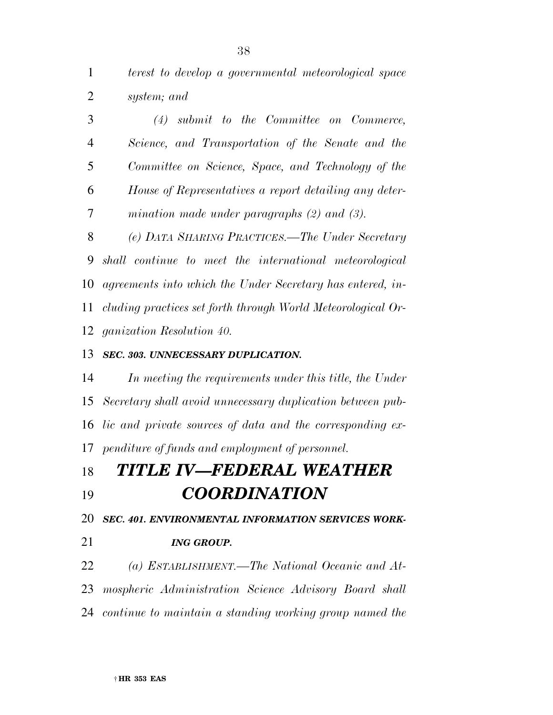*terest to develop a governmental meteorological space system; and* 

 *(4) submit to the Committee on Commerce, Science, and Transportation of the Senate and the Committee on Science, Space, and Technology of the House of Representatives a report detailing any deter-mination made under paragraphs (2) and (3).* 

 *(e) DATA SHARING PRACTICES.—The Under Secretary shall continue to meet the international meteorological agreements into which the Under Secretary has entered, in- cluding practices set forth through World Meteorological Or-ganization Resolution 40.* 

### *SEC. 303. UNNECESSARY DUPLICATION.*

 *In meeting the requirements under this title, the Under Secretary shall avoid unnecessary duplication between pub- lic and private sources of data and the corresponding ex-penditure of funds and employment of personnel.* 

## *TITLE IV—FEDERAL WEATHER COORDINATION*

*SEC. 401. ENVIRONMENTAL INFORMATION SERVICES WORK-*

### *ING GROUP.*

 *(a) ESTABLISHMENT.—The National Oceanic and At- mospheric Administration Science Advisory Board shall continue to maintain a standing working group named the*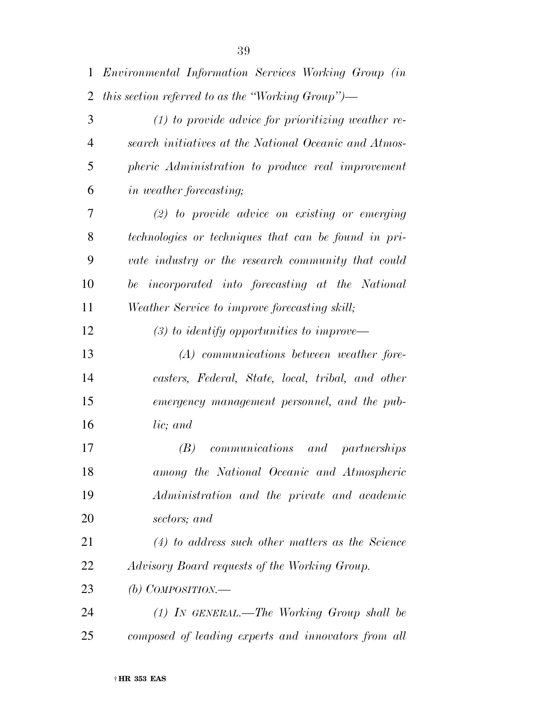|   | 1 Environmental Information Services Working Group (in |
|---|--------------------------------------------------------|
|   | 2 this section referred to as the "Working Group")—    |
| 3 | $(1)$ to provide advice for prioritizing weather re-   |

| $\cdot$        | $(1)$ to provide advice for prioritizing weather re-  |
|----------------|-------------------------------------------------------|
| $\overline{4}$ | search initiatives at the National Oceanic and Atmos- |
| 5              | pheric Administration to produce real improvement     |
| 6              | <i>in weather forecasting</i> ;                       |

 *(2) to provide advice on existing or emerging technologies or techniques that can be found in pri- vate industry or the research community that could be incorporated into forecasting at the National Weather Service to improve forecasting skill;* 

*(3) to identify opportunities to improve—* 

 *(A) communications between weather fore- casters, Federal, State, local, tribal, and other emergency management personnel, and the pub-lic; and* 

 *(B) communications and partnerships among the National Oceanic and Atmospheric Administration and the private and academic sectors; and* 

 *(4) to address such other matters as the Science Advisory Board requests of the Working Group.* 

*(b) COMPOSITION.—* 

 *(1) IN GENERAL.—The Working Group shall be composed of leading experts and innovators from all*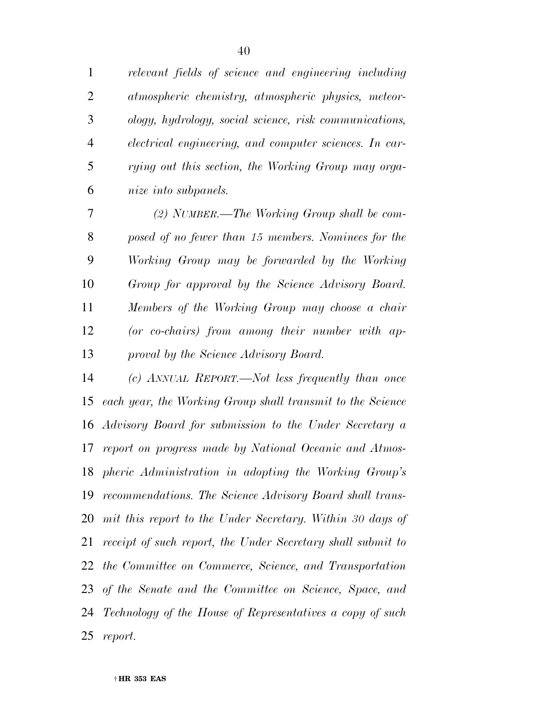*relevant fields of science and engineering including atmospheric chemistry, atmospheric physics, meteor- ology, hydrology, social science, risk communications, electrical engineering, and computer sciences. In car- rying out this section, the Working Group may orga-nize into subpanels.* 

 *(2) NUMBER.—The Working Group shall be com- posed of no fewer than 15 members. Nominees for the Working Group may be forwarded by the Working Group for approval by the Science Advisory Board. Members of the Working Group may choose a chair (or co-chairs) from among their number with ap-proval by the Science Advisory Board.* 

 *(c) ANNUAL REPORT.—Not less frequently than once each year, the Working Group shall transmit to the Science Advisory Board for submission to the Under Secretary a report on progress made by National Oceanic and Atmos- pheric Administration in adopting the Working Group's recommendations. The Science Advisory Board shall trans- mit this report to the Under Secretary. Within 30 days of receipt of such report, the Under Secretary shall submit to the Committee on Commerce, Science, and Transportation of the Senate and the Committee on Science, Space, and Technology of the House of Representatives a copy of such report.*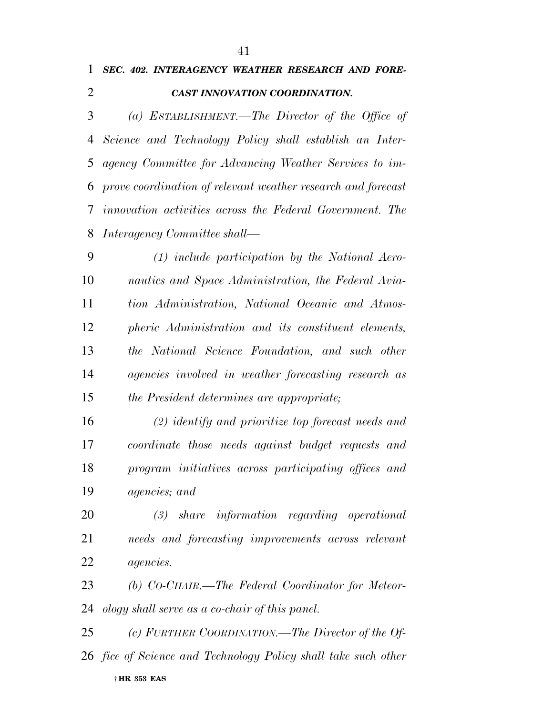|                |  | 1 SEC. 402. INTERAGENCY WEATHER RESEARCH AND FORE- |  |  |
|----------------|--|----------------------------------------------------|--|--|
| $\overline{2}$ |  | <b>CAST INNOVATION COORDINATION.</b>               |  |  |

 *(a) ESTABLISHMENT.—The Director of the Office of Science and Technology Policy shall establish an Inter- agency Committee for Advancing Weather Services to im- prove coordination of relevant weather research and forecast innovation activities across the Federal Government. The Interagency Committee shall—* 

 *(1) include participation by the National Aero- nautics and Space Administration, the Federal Avia- tion Administration, National Oceanic and Atmos- pheric Administration and its constituent elements, the National Science Foundation, and such other agencies involved in weather forecasting research as the President determines are appropriate;* 

 *(2) identify and prioritize top forecast needs and coordinate those needs against budget requests and program initiatives across participating offices and agencies; and* 

 *(3) share information regarding operational needs and forecasting improvements across relevant agencies.* 

 *(b) CO-CHAIR.—The Federal Coordinator for Meteor-ology shall serve as a co-chair of this panel.* 

† **HR 353 EAS**  *(c) FURTHER COORDINATION.—The Director of the Of-fice of Science and Technology Policy shall take such other*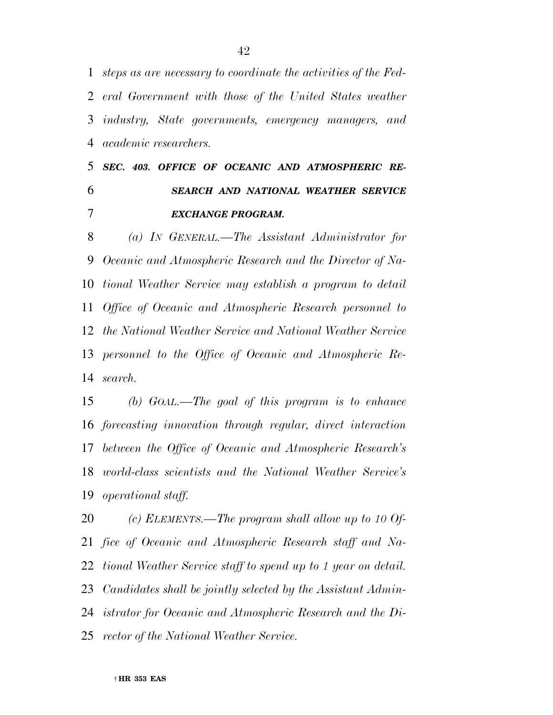*steps as are necessary to coordinate the activities of the Fed- eral Government with those of the United States weather industry, State governments, emergency managers, and academic researchers.* 

 *SEC. 403. OFFICE OF OCEANIC AND ATMOSPHERIC RE- SEARCH AND NATIONAL WEATHER SERVICE EXCHANGE PROGRAM.* 

 *(a) IN GENERAL.—The Assistant Administrator for Oceanic and Atmospheric Research and the Director of Na- tional Weather Service may establish a program to detail Office of Oceanic and Atmospheric Research personnel to the National Weather Service and National Weather Service personnel to the Office of Oceanic and Atmospheric Re-search.* 

 *(b) GOAL.—The goal of this program is to enhance forecasting innovation through regular, direct interaction between the Office of Oceanic and Atmospheric Research's world-class scientists and the National Weather Service's operational staff.* 

 *(c) ELEMENTS.—The program shall allow up to 10 Of- fice of Oceanic and Atmospheric Research staff and Na- tional Weather Service staff to spend up to 1 year on detail. Candidates shall be jointly selected by the Assistant Admin- istrator for Oceanic and Atmospheric Research and the Di-rector of the National Weather Service.*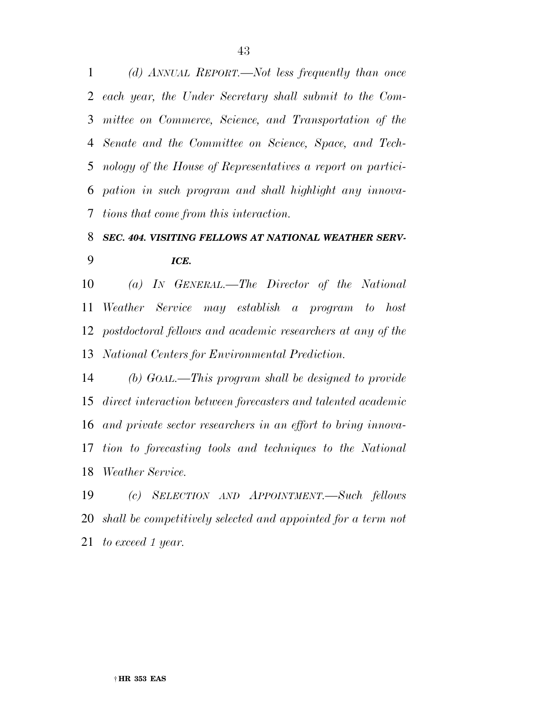*(d) ANNUAL REPORT.—Not less frequently than once each year, the Under Secretary shall submit to the Com- mittee on Commerce, Science, and Transportation of the Senate and the Committee on Science, Space, and Tech- nology of the House of Representatives a report on partici- pation in such program and shall highlight any innova-tions that come from this interaction.* 

## *SEC. 404. VISITING FELLOWS AT NATIONAL WEATHER SERV-ICE.*

 *(a) IN GENERAL.—The Director of the National Weather Service may establish a program to host postdoctoral fellows and academic researchers at any of the National Centers for Environmental Prediction.* 

 *(b) GOAL.—This program shall be designed to provide direct interaction between forecasters and talented academic and private sector researchers in an effort to bring innova- tion to forecasting tools and techniques to the National Weather Service.* 

 *(c) SELECTION AND APPOINTMENT.—Such fellows shall be competitively selected and appointed for a term not to exceed 1 year.*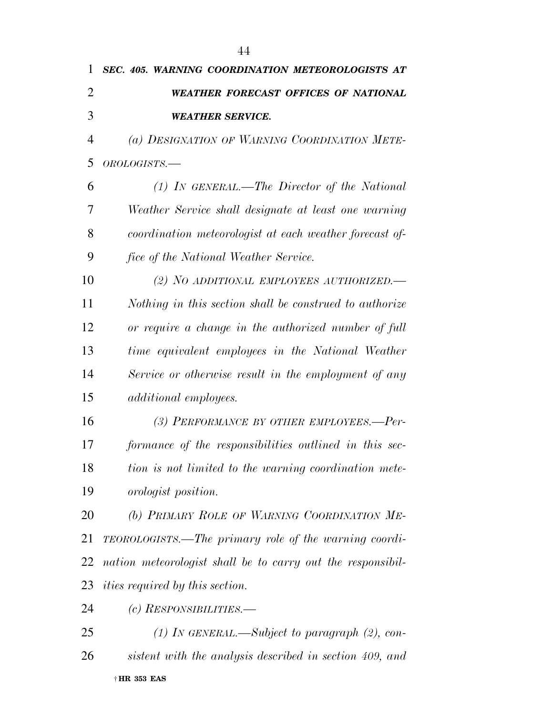| $\overline{2}$ | <b>WEATHER FORECAST OFFICES OF NATIONAL</b>                  |
|----------------|--------------------------------------------------------------|
| 3              | <b>WEATHER SERVICE.</b>                                      |
| $\overline{4}$ | (a) DESIGNATION OF WARNING COORDINATION METE-                |
| 5              | OROLOGISTS.-                                                 |
| 6              | (1) IN GENERAL.—The Director of the National                 |
| 7              | Weather Service shall designate at least one warning         |
| 8              | coordination meteorologist at each weather forecast of-      |
| 9              | fice of the National Weather Service.                        |
| 10             | (2) NO ADDITIONAL EMPLOYEES AUTHORIZED.                      |
| 11             | Nothing in this section shall be construed to authorize      |
| 12             | or require a change in the authorized number of full         |
| 13             | time equivalent employees in the National Weather            |
| 14             | Service or otherwise result in the employment of any         |
| 15             | <i>additional employees.</i>                                 |
| 16             | (3) PERFORMANCE BY OTHER EMPLOYEES.-Per-                     |
| 17             | formance of the responsibilities outlined in this sec-       |
| 18             | tion is not limited to the warning coordination mete-        |
| 19             | orologist position.                                          |
| 20             | (b) PRIMARY ROLE OF WARNING COORDINATION ME-                 |
| 21             | <b>TEOROLOGISTS.—The primary role of the warning coordi-</b> |
| 22             | nation meteorologist shall be to carry out the responsibil-  |
| 23             | <i>ities required by this section.</i>                       |
| 24             | (c) $RESPONSIBILITIES.$                                      |
| 25             | (1) IN GENERAL.—Subject to paragraph $(2)$ , con-            |
| 26             | sistent with the analysis described in section 409, and      |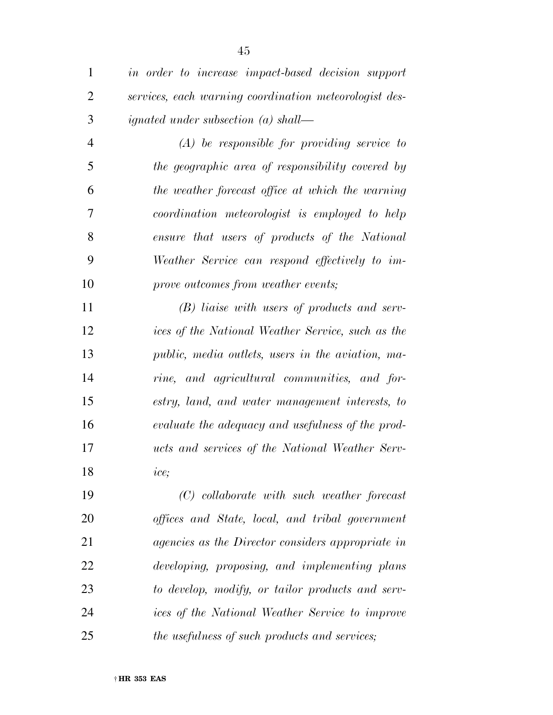| $\mathbf{1}$   | in order to increase impact-based decision support       |
|----------------|----------------------------------------------------------|
| $\overline{2}$ | services, each warning coordination meteorologist des-   |
| 3              | <i>ignated under subsection (a) shall—</i>               |
| $\overline{4}$ | $(A)$ be responsible for providing service to            |
| 5              | the geographic area of responsibility covered by         |
| 6              | the weather forecast office at which the warning         |
| 7              | coordination meteorologist is employed to help           |
| 8              | ensure that users of products of the National            |
| 9              | Weather Service can respond effectively to im-           |
| 10             | prove outcomes from weather events;                      |
| 11             | (B) liaise with users of products and serv-              |
| 12             | ices of the National Weather Service, such as the        |
| 13             | public, media outlets, users in the aviation, ma-        |
| 14             | rine, and agricultural communities, and for-             |
| 15             | estry, land, and water management interests, to          |
| 16             | evaluate the adequacy and usefulness of the prod-        |
| 17             | ucts and services of the National Weather Serv-          |
| 18             | ice;                                                     |
| 19             | $(C)$ collaborate with such weather forecast             |
| 20             | offices and State, local, and tribal government          |
| 21             | <i>agencies as the Director considers appropriate in</i> |
| 22             | developing, proposing, and implementing plans            |
| 23             | to develop, modify, or tailor products and serv-         |
| 24             | ices of the National Weather Service to improve          |
| 25             | the usefulness of such products and services;            |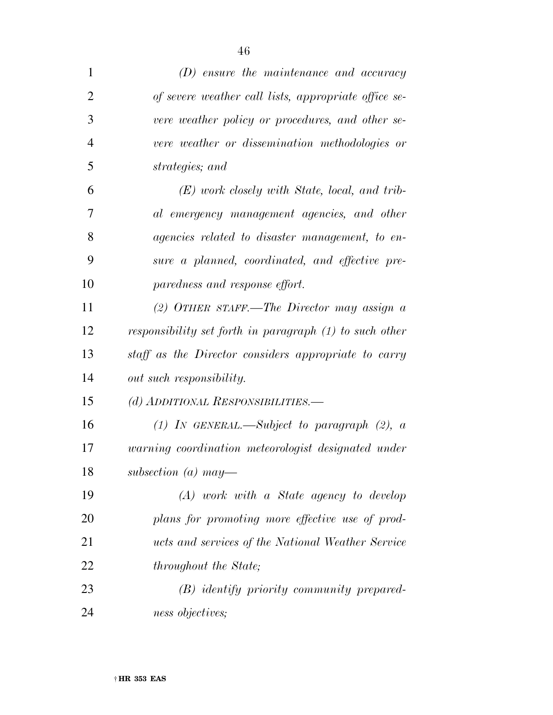| $\mathbf{1}$   | $(D)$ ensure the maintenance and accuracy               |
|----------------|---------------------------------------------------------|
| $\overline{2}$ | of severe weather call lists, appropriate office se-    |
| 3              | vere weather policy or procedures, and other se-        |
| $\overline{4}$ | vere weather or dissemination methodologies or          |
| 5              | strategies; and                                         |
| 6              | $(E)$ work closely with State, local, and trib-         |
| 7              | al emergency management agencies, and other             |
| 8              | <i>agencies related to disaster management, to en-</i>  |
| 9              | sure a planned, coordinated, and effective pre-         |
| 10             | paredness and response effort.                          |
| 11             | $(2)$ OTHER STAFF.—The Director may assign a            |
| 12             | responsibility set forth in paragraph (1) to such other |
| 13             | staff as the Director considers appropriate to carry    |
| 14             | out such responsibility.                                |
| 15             | (d) ADDITIONAL RESPONSIBILITIES.—                       |
| 16             | (1) IN GENERAL.—Subject to paragraph $(2)$ , a          |
| 17             | warning coordination meteorologist designated under     |
| 18             | subsection (a) may-                                     |
| 19             | $(A)$ work with a State agency to develop               |
| 20             | plans for promoting more effective use of prod-         |
| 21             | ucts and services of the National Weather Service       |
| 22             | <i>throughout the State;</i>                            |
| 23             | (B) identify priority community prepared-               |
| 24             | ness objectives;                                        |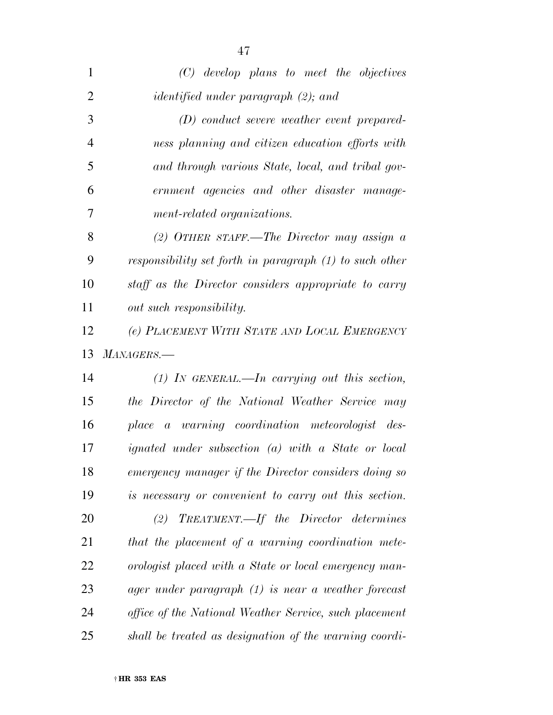| $\mathbf{1}$   | $(C)$ develop plans to meet the objectives                |
|----------------|-----------------------------------------------------------|
| $\overline{2}$ | <i>identified under paragraph</i> (2); and                |
| 3              | $(D)$ conduct severe weather event prepared-              |
| $\overline{4}$ | ness planning and citizen education efforts with          |
| 5              | and through various State, local, and tribal gov-         |
| 6              | ernment agencies and other disaster manage-               |
| 7              | ment-related organizations.                               |
| 8              | (2) OTHER STAFF.—The Director may assign $\alpha$         |
| 9              | responsibility set forth in paragraph $(1)$ to such other |
| 10             | staff as the Director considers appropriate to carry      |
| 11             | out such responsibility.                                  |
| 12             | (e) PLACEMENT WITH STATE AND LOCAL EMERGENCY              |
| 13             | $MANAGERS$ .                                              |
| 14             | $(1)$ In GENERAL.—In carrying out this section,           |
| 15             | the Director of the National Weather Service may          |
|                |                                                           |
| 16             | place a warning coordination meteorologist des-           |
| 17             | <i>ignated under subsection (a) with a State or local</i> |
| 18             | emergency manager if the Director considers doing so      |
| 19             | is necessary or convenient to carry out this section.     |
| 20             | $(2)$ TREATMENT.—If the Director determines               |
| 21             | that the placement of a warning coordination mete-        |
| 22             | orologist placed with a State or local emergency man-     |
| 23             | ager under paragraph $(1)$ is near a weather forecast     |
| 24             | office of the National Weather Service, such placement    |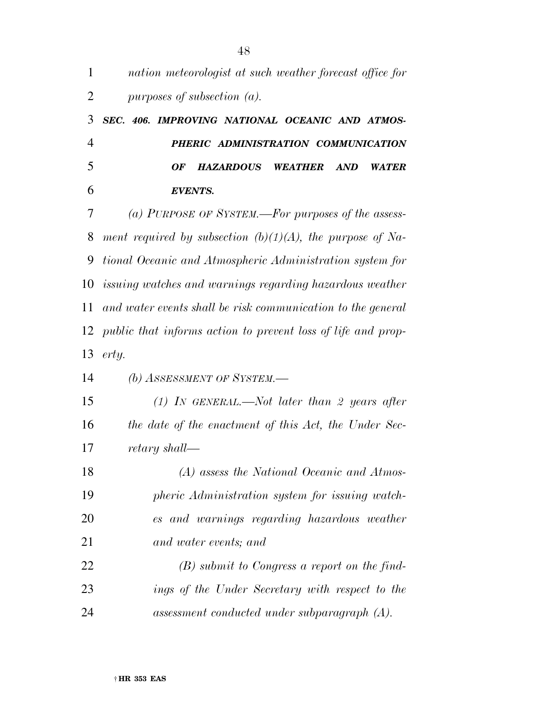| $\mathbf{1}$   | nation meteorologist at such weather forecast office for                      |
|----------------|-------------------------------------------------------------------------------|
| $\overline{2}$ | purposes of subsection $(a)$ .                                                |
| 3              | SEC. 406. IMPROVING NATIONAL OCEANIC AND ATMOS-                               |
| $\overline{4}$ | PHERIC ADMINISTRATION COMMUNICATION                                           |
| 5              | <b>HAZARDOUS</b><br><b>WEATHER</b><br><b>AND</b><br><b>WATER</b><br><b>OF</b> |
| 6              | <b>EVENTS.</b>                                                                |
| 7              | (a) PURPOSE OF SYSTEM.—For purposes of the assess-                            |
| 8              | ment required by subsection $(b)(1)(A)$ , the purpose of Na-                  |
| 9              | tional Oceanic and Atmospheric Administration system for                      |
| 10             | issuing watches and warnings regarding hazardous weather                      |
| 11             | and water events shall be risk communication to the general                   |
| 12             | public that informs action to prevent loss of life and prop-                  |
| 13             | erty.                                                                         |
| 14             | (b) ASSESSMENT OF SYSTEM.-                                                    |
| 15             | (1) IN GENERAL.—Not later than 2 years after                                  |
| 16             | the date of the enactment of this Act, the Under Sec-                         |
| 17             | retary shall—                                                                 |
| 18             | (A) assess the National Oceanic and Atmos-                                    |
| 19             | pheric Administration system for issuing watch-                               |
| 20             | es and warnings regarding hazardous weather                                   |
| 21             | and water events; and                                                         |
| 22             | $(B)$ submit to Congress a report on the find-                                |
| 23             | ings of the Under Secretary with respect to the                               |
| 24             | $assessment\ conducted\ under\ subparagnph\ (A).$                             |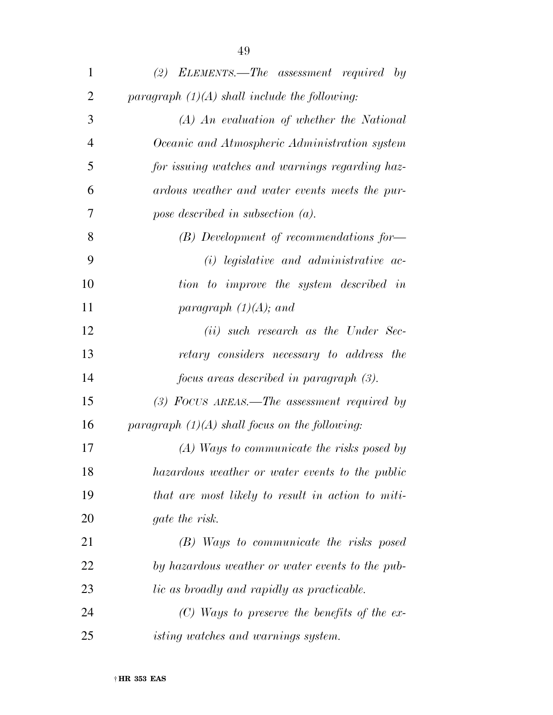| 1              | (2) ELEMENTS.—The assessment required by          |
|----------------|---------------------------------------------------|
| $\overline{2}$ | paragraph $(1)(A)$ shall include the following:   |
| 3              | (A) An evaluation of whether the National         |
| $\overline{4}$ | Oceanic and Atmospheric Administration system     |
| 5              | for issuing watches and warnings regarding haz-   |
| 6              | ardous weather and water events meets the pur-    |
| 7              | pose described in subsection $(a)$ .              |
| 8              | $(B)$ Development of recommendations for-         |
| 9              | $(i)$ legislative and administrative ac-          |
| 10             | tion to improve the system described in           |
| 11             | paragraph $(1)(A)$ ; and                          |
| 12             | ( <i>ii</i> ) such research as the Under Sec-     |
| 13             | retary considers necessary to address the         |
| 14             | focus areas described in paragraph (3).           |
| 15             | $(3)$ FOCUS AREAS.—The assessment required by     |
| 16             | paragraph $(1)(A)$ shall focus on the following:  |
| 17             | (A) Ways to communicate the risks posed by        |
| 18             | hazardous weather or water events to the public   |
| 19             | that are most likely to result in action to miti- |
| 20             | <i>gate the risk.</i>                             |
| 21             | (B) Ways to communicate the risks posed           |
| 22             | by hazardous weather or water events to the pub-  |
| 23             | <i>lic as broadly and rapidly as practicable.</i> |
| 24             | $(C)$ Ways to preserve the benefits of the ex-    |
| 25             | <i>isting watches and warnings system.</i>        |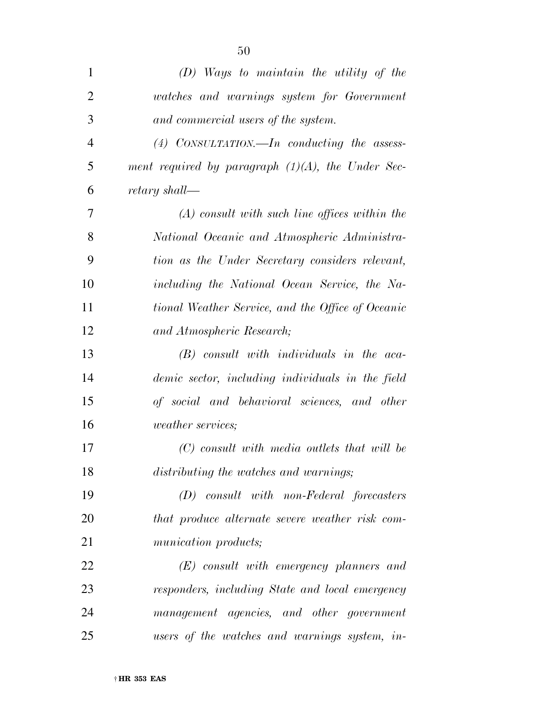| 1              | $(D)$ Ways to maintain the utility of the            |
|----------------|------------------------------------------------------|
| $\overline{2}$ | watches and warnings system for Government           |
| 3              | and commercial users of the system.                  |
| $\overline{4}$ | (4) CONSULTATION.—In conducting the assess-          |
| 5              | ment required by paragraph $(1)(A)$ , the Under Sec- |
| 6              | retary shall—                                        |
| 7              | $(A)$ consult with such line offices within the      |
| 8              | National Oceanic and Atmospheric Administra-         |
| 9              | tion as the Under Secretary considers relevant,      |
| 10             | including the National Ocean Service, the Na-        |
| 11             | tional Weather Service, and the Office of Oceanic    |
| 12             | and Atmospheric Research;                            |
| 13             | $(B)$ consult with individuals in the aca-           |
| 14             | demic sector, including individuals in the field     |
| 15             | of social and behavioral sciences, and other         |
| 16             | <i>weather services;</i>                             |
| 17             | (C) consult with media outlets that will be          |
| 18             | distributing the watches and warnings;               |
| 19             | $(D)$ consult with non-Federal forecasters           |
| 20             | that produce alternate severe weather risk com-      |
| 21             | munication products;                                 |
| 22             | $(E)$ consult with emergency planners and            |
| 23             | responders, including State and local emergency      |
| 24             | management agencies, and other government            |
| 25             | users of the watches and warnings system, in-        |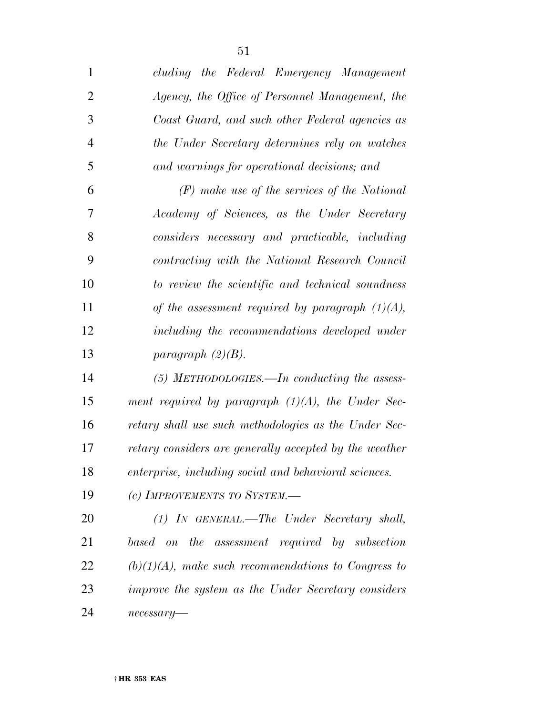| $\mathbf{1}$   | cluding the Federal Emergency Management               |
|----------------|--------------------------------------------------------|
| $\overline{2}$ | Agency, the Office of Personnel Management, the        |
| 3              | Coast Guard, and such other Federal agencies as        |
| $\overline{4}$ | the Under Secretary determines rely on watches         |
| 5              | and warnings for operational decisions; and            |
| 6              | $(F)$ make use of the services of the National         |
| 7              | Academy of Sciences, as the Under Secretary            |
| 8              | considers necessary and practicable, including         |
| 9              | contracting with the National Research Council         |
| 10             | to review the scientific and technical soundness       |
| 11             | of the assessment required by paragraph $(1)(A)$ ,     |
| 12             | including the recommendations developed under          |
| 13             | paragraph $(2)(B)$ .                                   |
| 14             | $(5)$ METHODOLOGIES.—In conducting the assess-         |
| 15             | ment required by paragraph $(1)(A)$ , the Under Sec-   |
| 16             | retary shall use such methodologies as the Under Sec-  |
| 17             | retary considers are generally accepted by the weather |
| 18             | enterprise, including social and behavioral sciences.  |
| 19             | (c) IMPROVEMENTS TO SYSTEM.—                           |
| 20             | $(1)$ IN GENERAL.—The Under Secretary shall,           |
| 21             | based on the assessment required by subsection         |
| 22             | $(b)(1)(A)$ , make such recommendations to Congress to |
| 23             | improve the system as the Under Secretary considers    |
| 24             | $necessary-$                                           |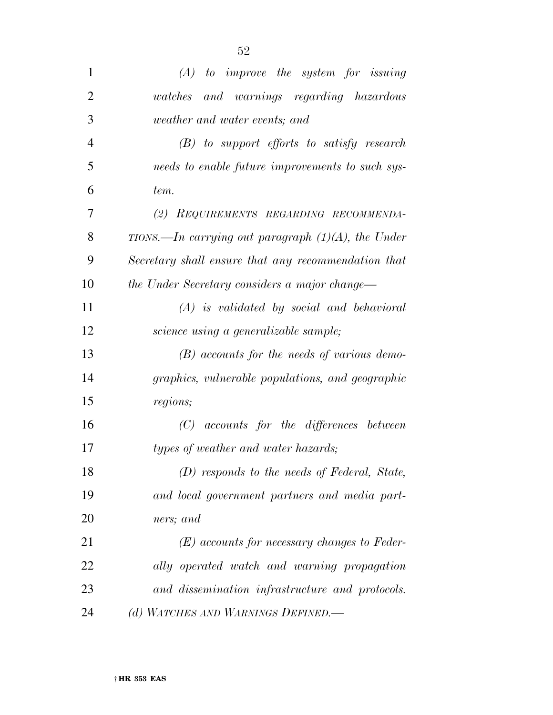| $\mathbf{1}$   | $(A)$ to improve the system for issuing               |
|----------------|-------------------------------------------------------|
| $\overline{2}$ | watches and warnings regarding hazardous              |
| 3              | weather and water events; and                         |
| $\overline{4}$ | $(B)$ to support efforts to satisfy research          |
| 5              | needs to enable future improvements to such sys-      |
| 6              | tem.                                                  |
| 7              | (2) REQUIREMENTS REGARDING RECOMMENDA-                |
| 8              | TIONS.—In carrying out paragraph $(1)(A)$ , the Under |
| 9              | Secretary shall ensure that any recommendation that   |
| 10             | the Under Secretary considers a major change—         |
| 11             | $(A)$ is validated by social and behavioral           |
| 12             | science using a generalizable sample;                 |
| 13             | $(B)$ accounts for the needs of various demo-         |
| 14             | graphics, vulnerable populations, and geographic      |
| 15             | regions;                                              |
| 16             | $(C)$ accounts for the differences between            |
| 17             | types of weather and water hazards;                   |
| 18             | (D) responds to the needs of Federal, State,          |
| 19             | and local government partners and media part-         |
| 20             | ners; and                                             |
| 21             | $(E)$ accounts for necessary changes to Feder-        |
| 22             | ally operated watch and warning propagation           |
| 23             | and dissemination infrastructure and protocols.       |
| 24             | (d) WATCHES AND WARNINGS DEFINED.                     |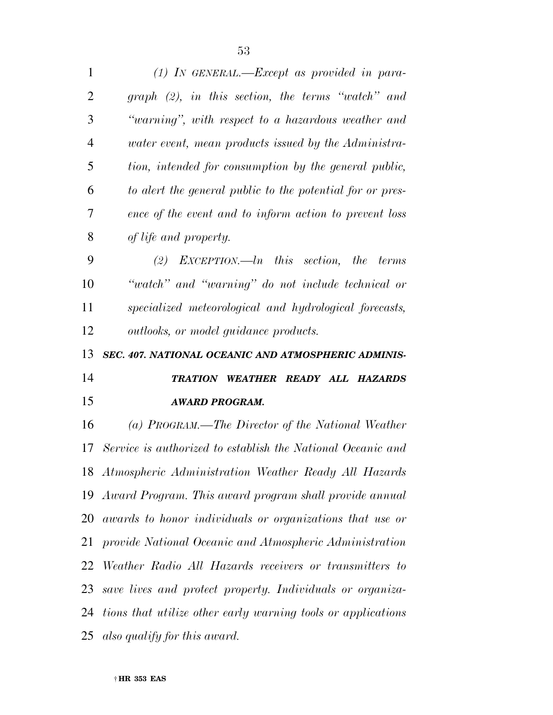*(1) IN GENERAL.—Except as provided in para- graph (2), in this section, the terms ''watch'' and ''warning'', with respect to a hazardous weather and water event, mean products issued by the Administra- tion, intended for consumption by the general public, to alert the general public to the potential for or pres- ence of the event and to inform action to prevent loss of life and property. (2) EXCEPTION.—ln this section, the terms ''watch'' and ''warning'' do not include technical or specialized meteorological and hydrological forecasts, outlooks, or model guidance products. SEC. 407. NATIONAL OCEANIC AND ATMOSPHERIC ADMINIS-TRATION WEATHER READY ALL HAZARDS* 

## *AWARD PROGRAM.*

 *(a) PROGRAM.—The Director of the National Weather Service is authorized to establish the National Oceanic and Atmospheric Administration Weather Ready All Hazards Award Program. This award program shall provide annual awards to honor individuals or organizations that use or provide National Oceanic and Atmospheric Administration Weather Radio All Hazards receivers or transmitters to save lives and protect property. Individuals or organiza- tions that utilize other early warning tools or applications also qualify for this award.*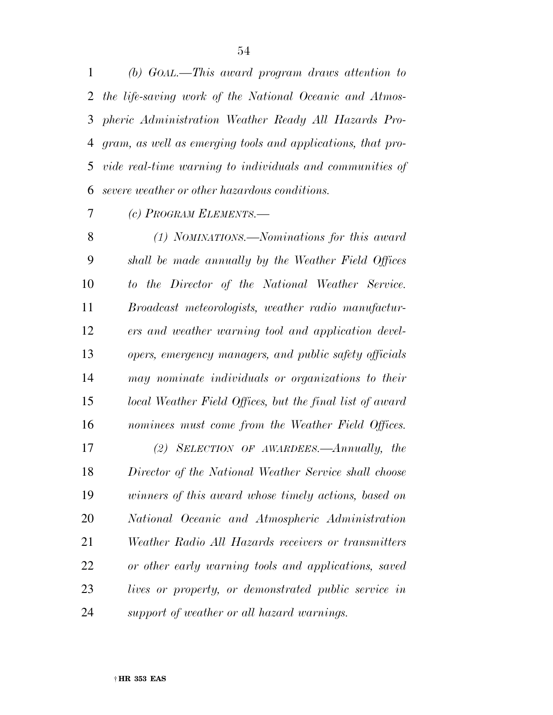*(b) GOAL.—This award program draws attention to the life-saving work of the National Oceanic and Atmos- pheric Administration Weather Ready All Hazards Pro- gram, as well as emerging tools and applications, that pro- vide real-time warning to individuals and communities of severe weather or other hazardous conditions.* 

*(c) PROGRAM ELEMENTS.—* 

 *(1) NOMINATIONS.—Nominations for this award shall be made annually by the Weather Field Offices to the Director of the National Weather Service. Broadcast meteorologists, weather radio manufactur- ers and weather warning tool and application devel- opers, emergency managers, and public safety officials may nominate individuals or organizations to their local Weather Field Offices, but the final list of award nominees must come from the Weather Field Offices. (2) SELECTION OF AWARDEES.—Annually, the Director of the National Weather Service shall choose winners of this award whose timely actions, based on National Oceanic and Atmospheric Administration Weather Radio All Hazards receivers or transmitters* 

 *or other early warning tools and applications, saved lives or property, or demonstrated public service in support of weather or all hazard warnings.*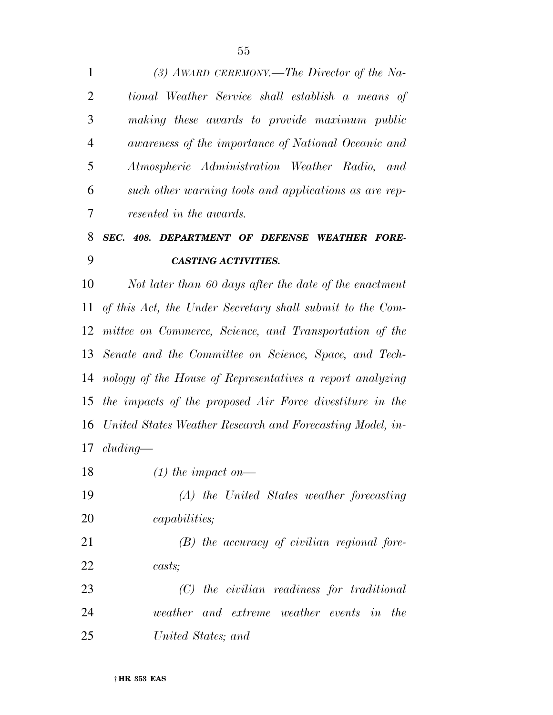*(3) AWARD CEREMONY.—The Director of the Na- tional Weather Service shall establish a means of making these awards to provide maximum public awareness of the importance of National Oceanic and Atmospheric Administration Weather Radio, and such other warning tools and applications as are rep-resented in the awards.* 

## *SEC. 408. DEPARTMENT OF DEFENSE WEATHER FORE-CASTING ACTIVITIES.*

 *Not later than 60 days after the date of the enactment of this Act, the Under Secretary shall submit to the Com- mittee on Commerce, Science, and Transportation of the Senate and the Committee on Science, Space, and Tech- nology of the House of Representatives a report analyzing the impacts of the proposed Air Force divestiture in the United States Weather Research and Forecasting Model, in-cluding—* 

- *(1) the impact on—*
- *(A) the United States weather forecasting capabilities;*

 *(B) the accuracy of civilian regional fore-casts;* 

 *(C) the civilian readiness for traditional weather and extreme weather events in the United States; and*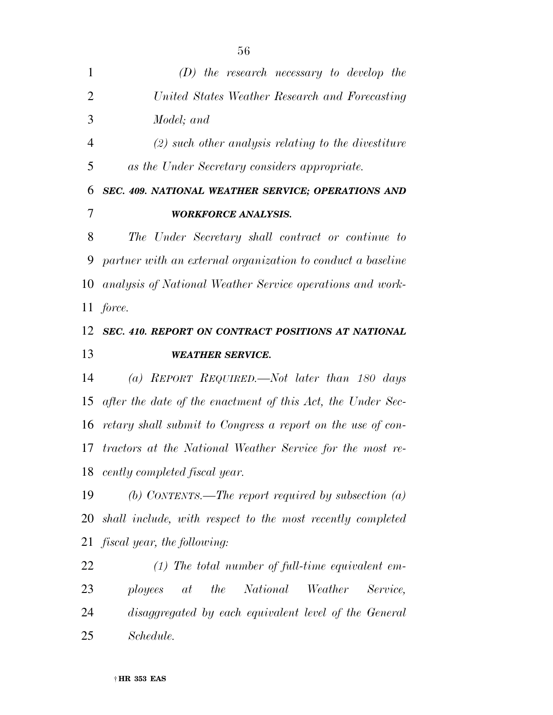*(D) the research necessary to develop the United States Weather Research and Forecasting Model; and (2) such other analysis relating to the divestiture as the Under Secretary considers appropriate. SEC. 409. NATIONAL WEATHER SERVICE; OPERATIONS AND WORKFORCE ANALYSIS. The Under Secretary shall contract or continue to partner with an external organization to conduct a baseline analysis of National Weather Service operations and work- force. SEC. 410. REPORT ON CONTRACT POSITIONS AT NATIONAL* 

# *WEATHER SERVICE.*

 *(a) REPORT REQUIRED.—Not later than 180 days after the date of the enactment of this Act, the Under Sec- retary shall submit to Congress a report on the use of con- tractors at the National Weather Service for the most re-cently completed fiscal year.* 

 *(b) CONTENTS.—The report required by subsection (a) shall include, with respect to the most recently completed fiscal year, the following:* 

 *(1) The total number of full-time equivalent em- ployees at the National Weather Service, disaggregated by each equivalent level of the General Schedule.* 

####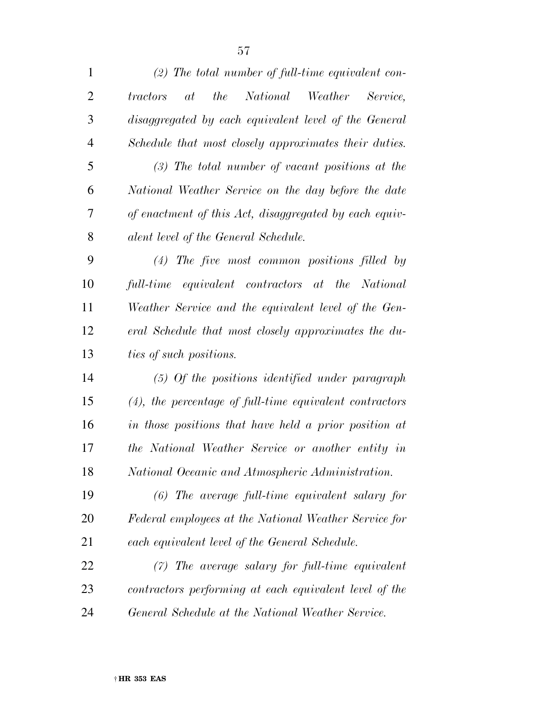| $\mathbf{1}$   | $(2)$ The total number of full-time equivalent con-        |
|----------------|------------------------------------------------------------|
| $\overline{2}$ | the National Weather Service,<br>tractors<br>at            |
| 3              | disaggregated by each equivalent level of the General      |
| $\overline{4}$ | Schedule that most closely approximates their duties.      |
| 5              | $(3)$ The total number of vacant positions at the          |
| 6              | National Weather Service on the day before the date        |
| 7              | of enactment of this Act, disaggregated by each equiv-     |
| 8              | alent level of the General Schedule.                       |
| 9              | $(4)$ The five most common positions filled by             |
| 10             | full-time equivalent contractors at the National           |
| 11             | Weather Service and the equivalent level of the Gen-       |
| 12             | eral Schedule that most closely approximates the du-       |
| 13             | ties of such positions.                                    |
| 14             | $(5)$ Of the positions identified under paragraph          |
| 15             | $(4)$ , the percentage of full-time equivalent contractors |
| 16             | in those positions that have held a prior position at      |
| 17             | the National Weather Service or another entity in          |
| 18             | National Oceanic and Atmospheric Administration.           |
| 19             | $(6)$ The average full-time equivalent salary for          |
| 20             | Federal employees at the National Weather Service for      |
| 21             | each equivalent level of the General Schedule.             |
| 22             | $(7)$ The average salary for full-time equivalent          |
| 23             | contractors performing at each equivalent level of the     |
| 24             | General Schedule at the National Weather Service.          |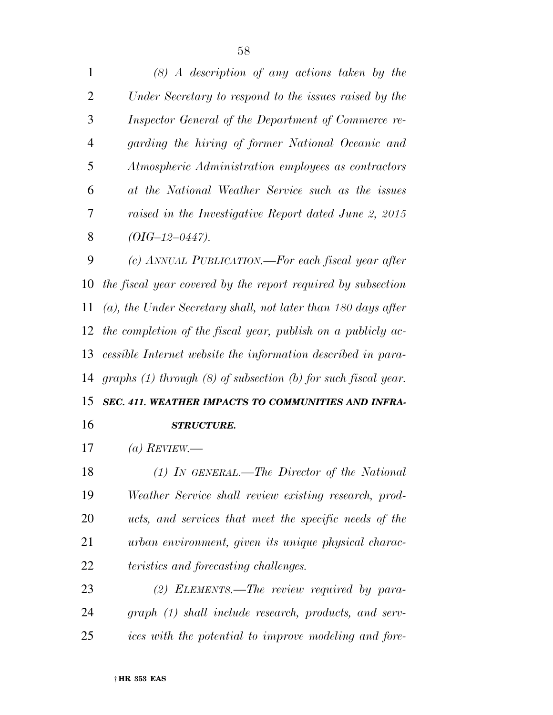*(8) A description of any actions taken by the Under Secretary to respond to the issues raised by the Inspector General of the Department of Commerce re- garding the hiring of former National Oceanic and Atmospheric Administration employees as contractors at the National Weather Service such as the issues raised in the Investigative Report dated June 2, 2015 (OIG–12–0447). (c) ANNUAL PUBLICATION.—For each fiscal year after the fiscal year covered by the report required by subsection* 

 *(a), the Under Secretary shall, not later than 180 days after the completion of the fiscal year, publish on a publicly ac- cessible Internet website the information described in para-graphs (1) through (8) of subsection (b) for such fiscal year.* 

### *SEC. 411. WEATHER IMPACTS TO COMMUNITIES AND INFRA-STRUCTURE.*

*(a) REVIEW.—* 

 *(1) IN GENERAL.—The Director of the National Weather Service shall review existing research, prod- ucts, and services that meet the specific needs of the urban environment, given its unique physical charac-teristics and forecasting challenges.* 

 *(2) ELEMENTS.—The review required by para- graph (1) shall include research, products, and serv-ices with the potential to improve modeling and fore-*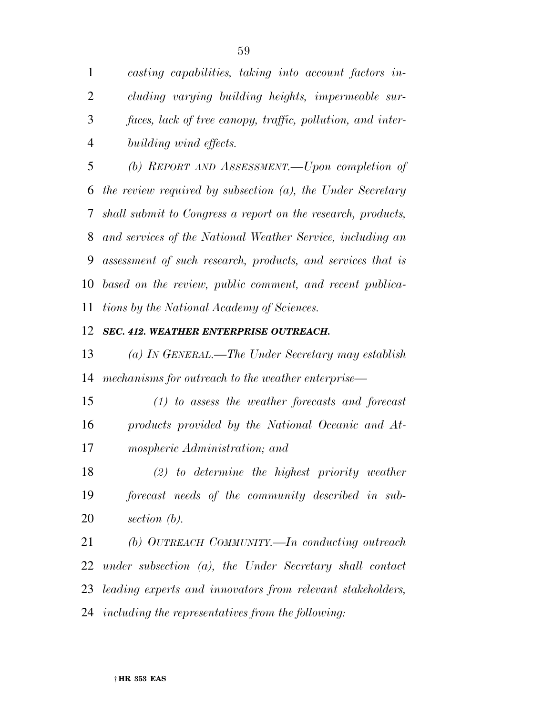*casting capabilities, taking into account factors in- cluding varying building heights, impermeable sur- faces, lack of tree canopy, traffic, pollution, and inter-building wind effects.* 

 *(b) REPORT AND ASSESSMENT.—Upon completion of the review required by subsection (a), the Under Secretary shall submit to Congress a report on the research, products, and services of the National Weather Service, including an assessment of such research, products, and services that is based on the review, public comment, and recent publica-tions by the National Academy of Sciences.* 

### *SEC. 412. WEATHER ENTERPRISE OUTREACH.*

 *(a) IN GENERAL.—The Under Secretary may establish mechanisms for outreach to the weather enterprise—* 

 *(1) to assess the weather forecasts and forecast products provided by the National Oceanic and At-mospheric Administration; and* 

 *(2) to determine the highest priority weather forecast needs of the community described in sub-section (b).* 

 *(b) OUTREACH COMMUNITY.—In conducting outreach under subsection (a), the Under Secretary shall contact leading experts and innovators from relevant stakeholders, including the representatives from the following:*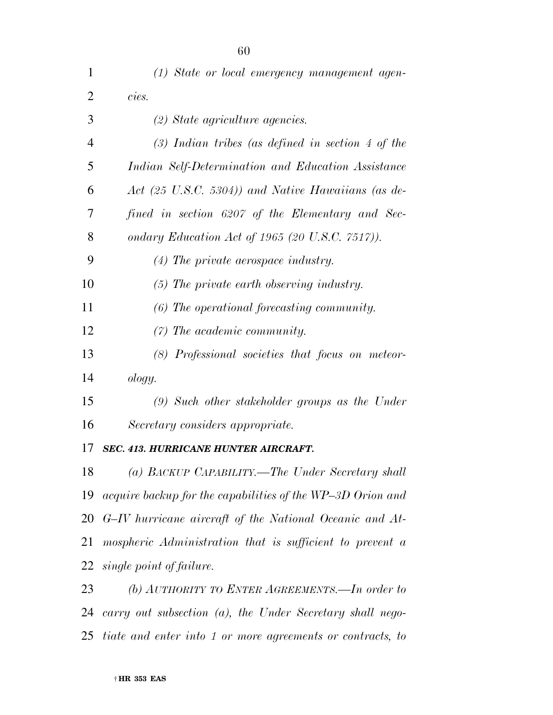| 1              | (1) State or local emergency management agen-                |
|----------------|--------------------------------------------------------------|
| $\overline{2}$ | cies.                                                        |
| 3              | (2) State agriculture agencies.                              |
| 4              | $(3)$ Indian tribes (as defined in section 4 of the          |
| 5              | Indian Self-Determination and Education Assistance           |
| 6              | Act (25 U.S.C. 5304)) and Native Hawaiians (as de-           |
| 7              | fined in section 6207 of the Elementary and Sec-             |
| 8              | ondary Education Act of 1965 (20 U.S.C. $7517$ ).            |
| 9              | $(4)$ The private aerospace industry.                        |
| 10             | (5) The private earth observing industry.                    |
| 11             | (6) The operational forecasting community.                   |
| 12             | $(7)$ The academic community.                                |
| 13             | (8) Professional societies that focus on meteor-             |
| 14             | ology.                                                       |
| 15             | $(9)$ Such other stakeholder groups as the Under             |
| 16             | Secretary considers appropriate.                             |
| 17             | <b>SEC. 413. HURRICANE HUNTER AIRCRAFT.</b>                  |
| 18             | (a) BACKUP CAPABILITY.—The Under Secretary shall             |
| 19             | acquire backup for the capabilities of the WP-3D Orion and   |
|                | 20 G-IV hurricane aircraft of the National Oceanic and At-   |
| 21             | mospheric Administration that is sufficient to prevent a     |
| 22             | single point of failure.                                     |
| 23             | (b) AUTHORITY TO ENTER AGREEMENTS.—In order to               |
| 24             | carry out subsection $(a)$ , the Under Secretary shall nego- |

*tiate and enter into 1 or more agreements or contracts, to*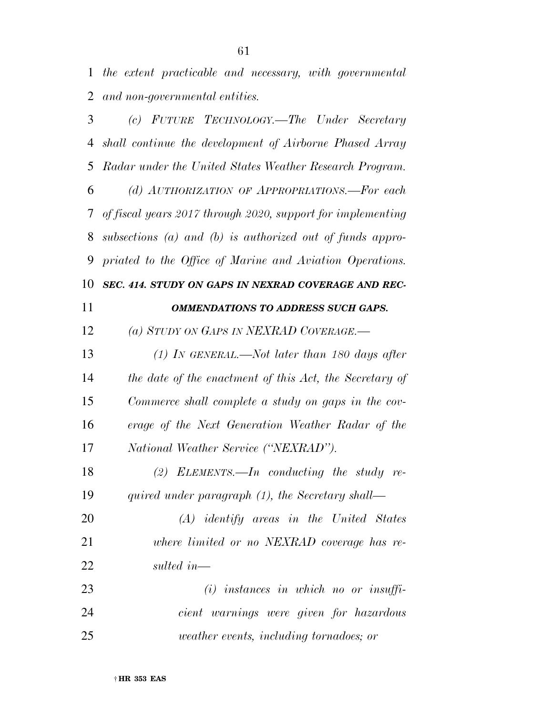*the extent practicable and necessary, with governmental and non-governmental entities.* 

 *(c) FUTURE TECHNOLOGY.—The Under Secretary shall continue the development of Airborne Phased Array Radar under the United States Weather Research Program. (d) AUTHORIZATION OF APPROPRIATIONS.—For each of fiscal years 2017 through 2020, support for implementing subsections (a) and (b) is authorized out of funds appro- priated to the Office of Marine and Aviation Operations. SEC. 414. STUDY ON GAPS IN NEXRAD COVERAGE AND REC- OMMENDATIONS TO ADDRESS SUCH GAPS. (a) STUDY ON GAPS IN NEXRAD COVERAGE.— (1) IN GENERAL.—Not later than 180 days after the date of the enactment of this Act, the Secretary of Commerce shall complete a study on gaps in the cov- erage of the Next Generation Weather Radar of the National Weather Service (''NEXRAD''). (2) ELEMENTS.—In conducting the study re- quired under paragraph (1), the Secretary shall— (A) identify areas in the United States where limited or no NEXRAD coverage has re- sulted in— (i) instances in which no or insuffi- cient warnings were given for hazardous weather events, including tornadoes; or*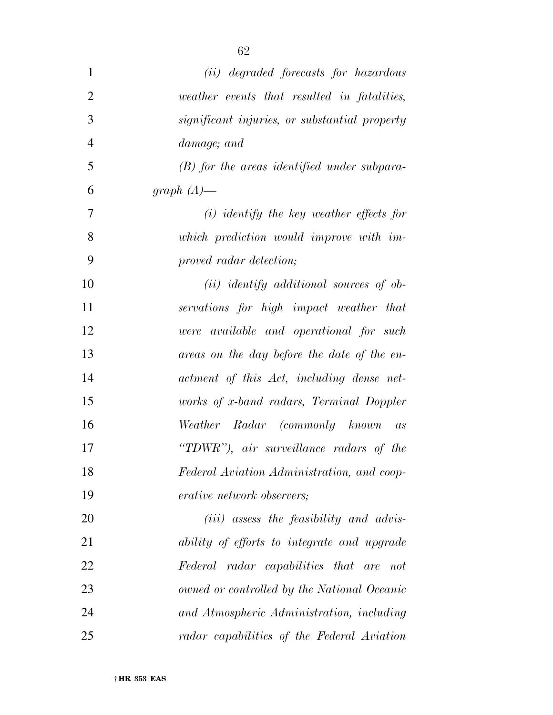| $\mathbf{1}$   | (ii) degraded forecasts for hazardous         |
|----------------|-----------------------------------------------|
| $\overline{2}$ | weather events that resulted in fatalities,   |
| 3              | significant injuries, or substantial property |
| $\overline{4}$ | damage; and                                   |
| 5              | $(B)$ for the areas identified under subpara- |
| 6              | graph $(A)$ —                                 |
| 7              | $(i)$ identify the key weather effects for    |
| 8              | which prediction would improve with im-       |
| 9              | proved radar detection;                       |
| 10             | $(ii)$ identify additional sources of ob-     |
| 11             | servations for high impact weather that       |
| 12             | were available and operational for such       |
| 13             | areas on the day before the date of the en-   |
| 14             | actment of this Act, including dense net-     |
| 15             | works of x-band radars, Terminal Doppler      |
| 16             | Weather Radar (commonly known as              |
| 17             | "TDWR"), air surveillance radars of the       |
| 18             | Federal Aviation Administration, and coop-    |
| 19             | <i>erative network observers;</i>             |
| 20             | $(iii)$ assess the feasibility and advis-     |
| 21             | ability of efforts to integrate and upgrade   |
| 22             | Federal radar capabilities that are not       |
| 23             | owned or controlled by the National Oceanic   |
| 24             | and Atmospheric Administration, including     |
| 25             | radar capabilities of the Federal Aviation    |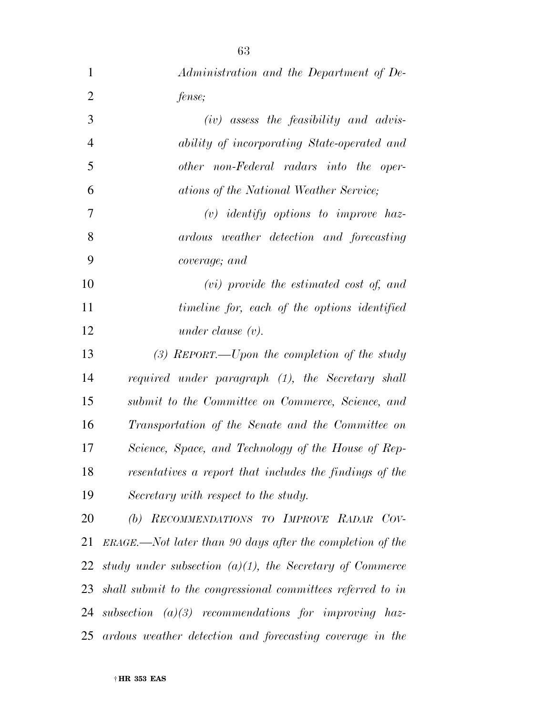| $\mathbf{1}$   | Administration and the Department of De-                     |
|----------------|--------------------------------------------------------------|
| $\overline{2}$ | fense;                                                       |
| 3              | $(iv)$ assess the feasibility and advis-                     |
| $\overline{4}$ | ability of incorporating State-operated and                  |
| 5              | other non-Federal radars into the oper-                      |
| 6              | ations of the National Weather Service;                      |
| 7              | $(v)$ identify options to improve haz-                       |
| 8              | ardous weather detection and forecasting                     |
| 9              | coverage; and                                                |
| 10             | $(vi)$ provide the estimated cost of, and                    |
| 11             | timeline for, each of the options identified                 |
| 12             | under clause $(v)$ .                                         |
| 13             | $(3)$ REPORT.—Upon the completion of the study               |
| 14             | required under paragraph (1), the Secretary shall            |
| 15             | submit to the Committee on Commerce, Science, and            |
| 16             | Transportation of the Senate and the Committee on            |
| 17             | Science, Space, and Technology of the House of Rep-          |
| 18             | resentatives a report that includes the findings of the      |
| 19             | Secretary with respect to the study.                         |
| 20             | (b) RECOMMENDATIONS TO IMPROVE RADAR COV-                    |
| 21             | $ERAGE.$ —Not later than 90 days after the completion of the |
| 22             | study under subsection $(a)(1)$ , the Secretary of Commerce  |
| 23             | shall submit to the congressional committees referred to in  |
| 24             | subsection $(a)(3)$ recommendations for improving haz-       |
| 25             | ardous weather detection and forecasting coverage in the     |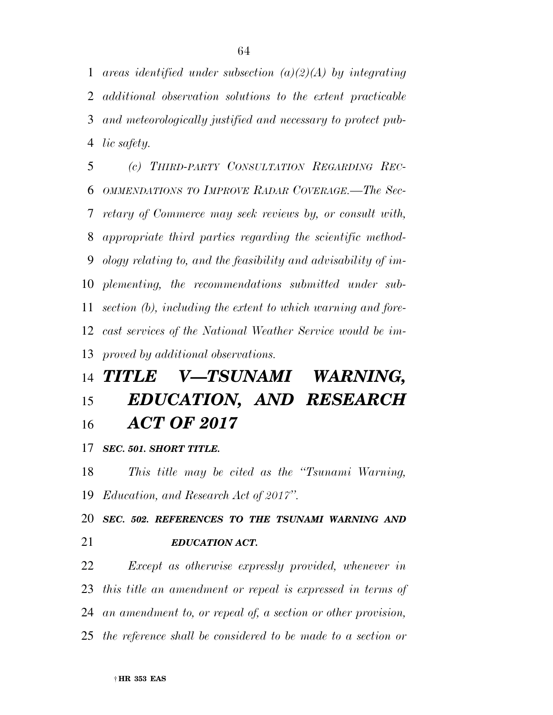*additional observation solutions to the extent practicable and meteorologically justified and necessary to protect pub- lic safety. (c) THIRD-PARTY CONSULTATION REGARDING REC-*

 *OMMENDATIONS TO IMPROVE RADAR COVERAGE.—The Sec- retary of Commerce may seek reviews by, or consult with, appropriate third parties regarding the scientific method- ology relating to, and the feasibility and advisability of im- plementing, the recommendations submitted under sub- section (b), including the extent to which warning and fore- cast services of the National Weather Service would be im-proved by additional observations.* 

# *TITLE V—TSUNAMI WARNING, EDUCATION, AND RESEARCH ACT OF 2017*

### *SEC. 501. SHORT TITLE.*

 *This title may be cited as the ''Tsunami Warning, Education, and Research Act of 2017''.* 

 *SEC. 502. REFERENCES TO THE TSUNAMI WARNING AND EDUCATION ACT.* 

 *Except as otherwise expressly provided, whenever in this title an amendment or repeal is expressed in terms of an amendment to, or repeal of, a section or other provision, the reference shall be considered to be made to a section or* 

*areas identified under subsection (a)(2)(A) by integrating*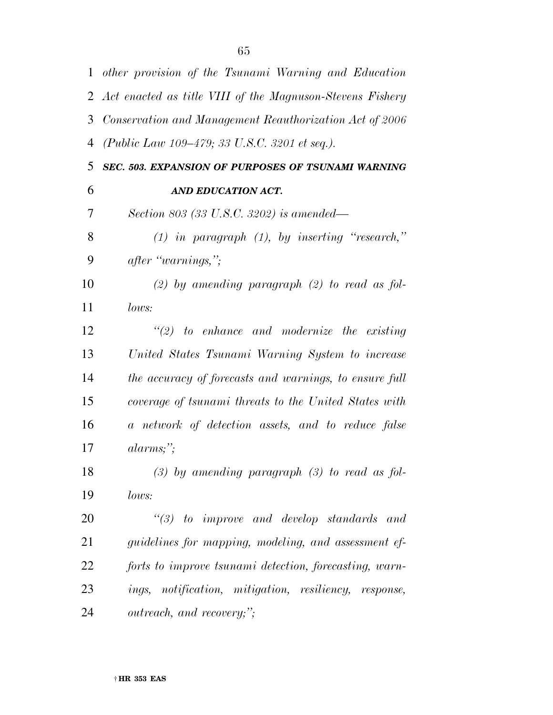|                | 1 other provision of the Tsunami Warning and Education      |
|----------------|-------------------------------------------------------------|
|                | 2 Act enacted as title VIII of the Magnuson-Stevens Fishery |
| 3              | Conservation and Management Reauthorization Act of 2006     |
| $\overline{4}$ | (Public Law 109–479; 33 U.S.C. 3201 et seq.).               |
| 5              | SEC. 503. EXPANSION OF PURPOSES OF TSUNAMI WARNING          |
| 6              | AND EDUCATION ACT.                                          |
| 7              | Section 803 (33 U.S.C. 3202) is amended—                    |
| 8              | $(1)$ in paragraph $(1)$ , by inserting "research,"         |
| 9              | after "warnings,";                                          |
| 10             | $(2)$ by amending paragraph $(2)$ to read as fol-           |
| 11             | lows:                                                       |
| 12             | $\lq(2)$ to enhance and modernize the existing              |
| 13             | United States Tsunami Warning System to increase            |
| 14             | the accuracy of forecasts and warnings, to ensure full      |
| 15             | coverage of tsunami threats to the United States with       |
| 16             | a network of detection assets, and to reduce false          |
| 17             | $alarms;$ ";                                                |
| 18             | $(3)$ by amending paragraph $(3)$ to read as fol-           |
| 19             | lows:                                                       |
| 20             | $\lq(3)$ to improve and develop standards and               |
| 21             | guidelines for mapping, modeling, and assessment ef-        |
| 22             | forts to improve tsunami detection, forecasting, warn-      |
| 23             | ings, notification, mitigation, resiliency, response,       |
| 24             | outreach, and recovery;";                                   |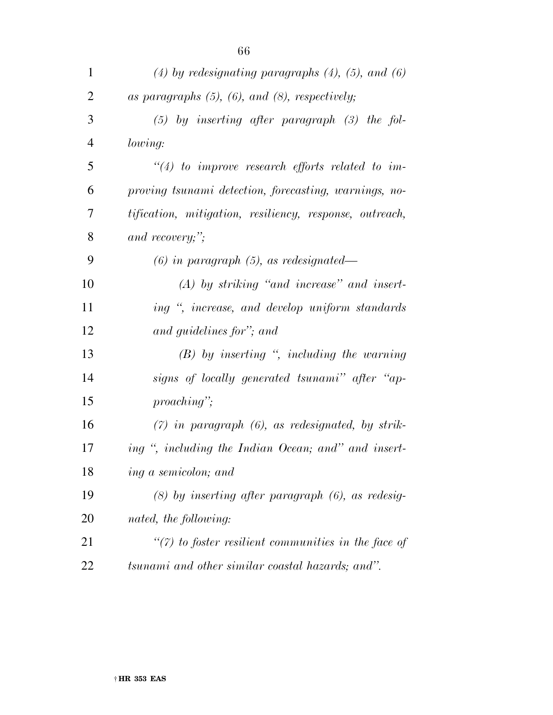| $\mathbf{1}$   | $(4)$ by redesignating paragraphs $(4)$ , $(5)$ , and $(6)$ |
|----------------|-------------------------------------------------------------|
| 2              | as paragraphs $(5)$ , $(6)$ , and $(8)$ , respectively;     |
| 3              | $(5)$ by inserting after paragraph $(3)$ the fol-           |
| $\overline{4}$ | lowing:                                                     |
| 5              | $\lq(4)$ to improve research efforts related to im-         |
| 6              | proving tsunami detection, forecasting, warnings, no-       |
| 7              | tification, mitigation, resiliency, response, outreach,     |
| 8              | and recovery;";                                             |
| 9              | $(6)$ in paragraph $(5)$ , as redesignated—                 |
| 10             | $(A)$ by striking "and increase" and insert-                |
| 11             | ing ", increase, and develop uniform standards              |
| 12             | and guidelines for"; and                                    |
| 13             | $(B)$ by inserting ", including the warning                 |
| 14             | signs of locally generated tsunami" after "ap-              |
| 15             | $proaching$ ";                                              |
| 16             | $(7)$ in paragraph $(6)$ , as redesignated, by strik-       |
| 17             | ing ", including the Indian Ocean; and" and insert-         |
| 18             | ing a semicolon; and                                        |
| 19             | $(8)$ by inserting after paragraph $(6)$ , as redesig-      |
| 20             | nated, the following:                                       |
| 21             | $\lq(7)$ to foster resilient communities in the face of     |
| 22             | tsunami and other similar coastal hazards; and".            |

† **HR 353 EAS**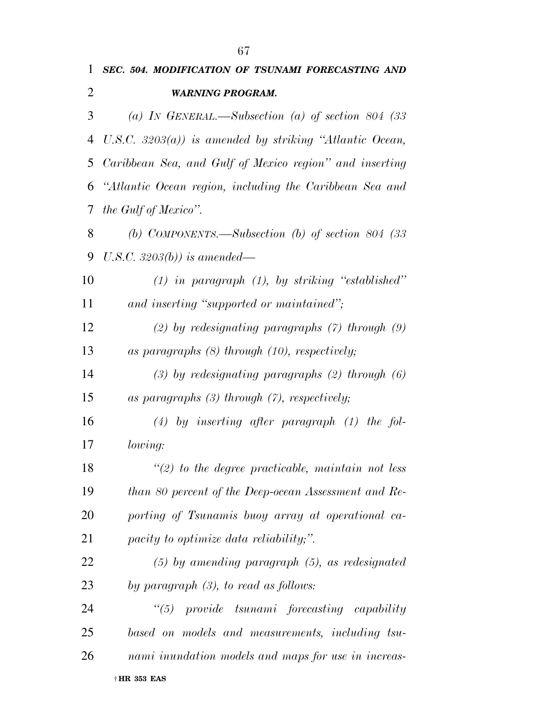| 1  | SEC. 504. MODIFICATION OF TSUNAMI FORECASTING AND          |
|----|------------------------------------------------------------|
| 2  | <b>WARNING PROGRAM.</b>                                    |
| 3  | (a) IN GENERAL.—Subsection (a) of section 804 (33          |
| 4  | U.S.C. $3203(a)$ ) is amended by striking "Atlantic Ocean, |
| 5  | Caribbean Sea, and Gulf of Mexico region" and inserting    |
| 6  | "Atlantic Ocean region, including the Caribbean Sea and    |
| 7  | the Gulf of Mexico".                                       |
| 8  | (b) COMPONENTS.—Subsection (b) of section 804 (33          |
| 9  | U.S.C. 3203(b)) is amended—                                |
| 10 | $(1)$ in paragraph $(1)$ , by striking "established"       |
| 11 | and inserting "supported or maintained";                   |
| 12 | $(2)$ by redesignating paragraphs $(7)$ through $(9)$      |
| 13 | as paragraphs $(8)$ through $(10)$ , respectively;         |
| 14 | $(3)$ by redesignating paragraphs $(2)$ through $(6)$      |
| 15 | as paragraphs $(3)$ through $(7)$ , respectively;          |
| 16 | $(4)$ by inserting after paragraph $(1)$ the fol-          |
| 17 | lowing:                                                    |
| 18 | $\lq(2)$ to the degree practicable, maintain not less      |
| 19 | than 80 percent of the Deep-ocean Assessment and Re-       |
| 20 | porting of Tsunamis buoy array at operational ca-          |
| 21 | pacity to optimize data reliability,".                     |
| 22 | $(5)$ by amending paragraph $(5)$ , as redesignated        |
| 23 | by paragraph $(3)$ , to read as follows:                   |
| 24 | $\lq(5)$ provide tsunami forecasting capability            |
| 25 | based on models and measurements, including tsu-           |
| 26 | nami inundation models and maps for use in increas-        |
|    |                                                            |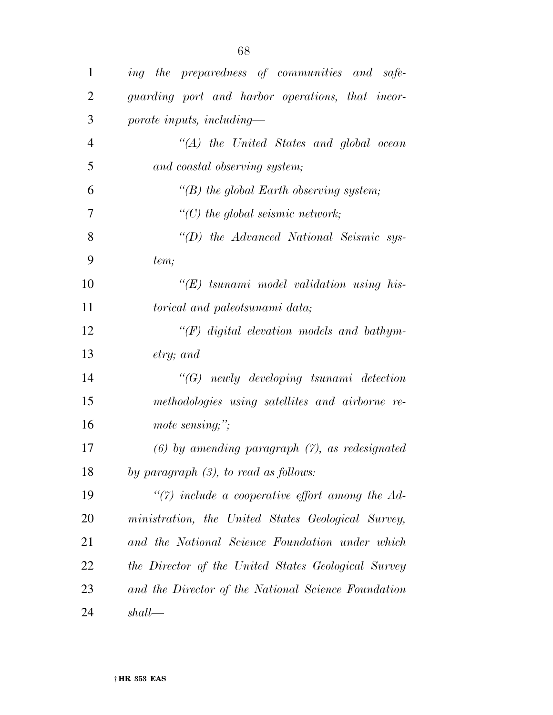| $\mathbf{1}$   | ing the preparedness of communities and safe-       |
|----------------|-----------------------------------------------------|
| $\overline{2}$ | guarding port and harbor operations, that incor-    |
| 3              | porate inputs, including—                           |
| $\overline{4}$ | $\lq (A)$ the United States and global ocean        |
| 5              | and coastal observing system;                       |
| 6              | $\lq (B)$ the global Earth observing system;        |
| 7              | $\lq\lq C$ the global seismic network;              |
| 8              | "(D) the Advanced National Seismic sys-             |
| 9              | tem;                                                |
| 10             | $H(E)$ tsunami model validation using his-          |
| 11             | torical and paleotsunami data;                      |
| 12             | $\lq (F)$ digital elevation models and bathym-      |
| 13             | $\mathit{etry}; \mathit{and}$                       |
| 14             | $\lq\lq(G)$ newly developing tsunami detection      |
| 15             | methodologies using satellites and airborne re-     |
| 16             | mote sensing;";                                     |
| 17             | $(6)$ by amending paragraph $(7)$ , as redesignated |
| 18             | by paragraph $(3)$ , to read as follows:            |
| 19             | $\lq(7)$ include a cooperative effort among the Ad- |
| <b>20</b>      | ministration, the United States Geological Survey,  |
| 21             | and the National Science Foundation under which     |
| 22             | the Director of the United States Geological Survey |
| 23             | and the Director of the National Science Foundation |
| 24             | shall                                               |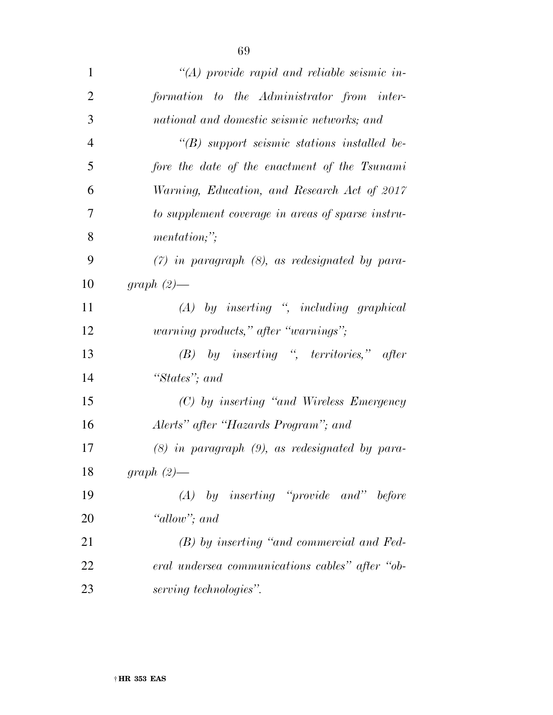| $\mathbf{1}$   | $\lq (A)$ provide rapid and reliable seismic in-     |
|----------------|------------------------------------------------------|
| $\overline{2}$ | formation to the Administrator from inter-           |
| 3              | national and domestic seismic networks; and          |
| $\overline{4}$ | $\lq\lq(B)$ support seismic stations installed be-   |
| 5              | fore the date of the enactment of the Tsunami        |
| 6              | Warning, Education, and Research Act of 2017         |
| 7              | to supplement coverage in areas of sparse instru-    |
| 8              | mentation;                                           |
| 9              | $(7)$ in paragraph $(8)$ , as redesignated by para-  |
| 10             | $graph(2)$ —                                         |
| 11             | $(A)$ by inserting ", including graphical            |
| 12             | <i>warning products,</i> " <i>after "warnings</i> "; |
| 13             | $(B)$ by inserting ", territories," after            |
| 14             | "States"; and                                        |
| 15             | (C) by inserting "and Wireless Emergency             |
| 16             | Alerts" after "Hazards Program"; and                 |
| 17             | $(8)$ in paragraph $(9)$ , as redesignated by para-  |
| 18             | $graph(2)$ —                                         |
| 19             | by inserting "provide and" before<br>(A)             |
| 20             | "allow"; and                                         |
| 21             | $(B)$ by inserting "and commercial and Fed-          |
| 22             | eral undersea communications cables" after "ob-      |
| 23             | serving technologies".                               |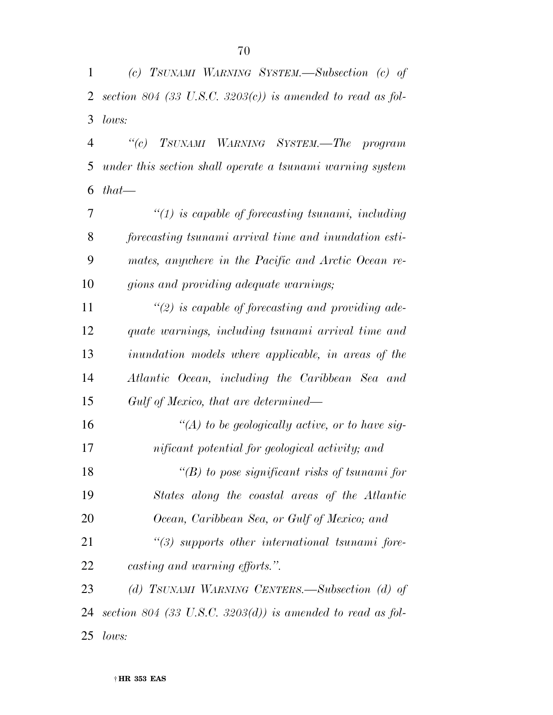*(c) TSUNAMI WARNING SYSTEM.—Subsection (c) of section 804 (33 U.S.C. 3203(c)) is amended to read as fol-lows:* 

 *''(c) TSUNAMI WARNING SYSTEM.—The program under this section shall operate a tsunami warning system that—* 

 *''(1) is capable of forecasting tsunami, including forecasting tsunami arrival time and inundation esti- mates, anywhere in the Pacific and Arctic Ocean re-gions and providing adequate warnings;* 

 *''(2) is capable of forecasting and providing ade- quate warnings, including tsunami arrival time and inundation models where applicable, in areas of the Atlantic Ocean, including the Caribbean Sea and Gulf of Mexico, that are determined—* 

 *''(A) to be geologically active, or to have sig- nificant potential for geological activity; and ''(B) to pose significant risks of tsunami for States along the coastal areas of the Atlantic Ocean, Caribbean Sea, or Gulf of Mexico; and ''(3) supports other international tsunami fore- casting and warning efforts.''. (d) TSUNAMI WARNING CENTERS.—Subsection (d) of* 

 *section 804 (33 U.S.C. 3203(d)) is amended to read as fol-lows:*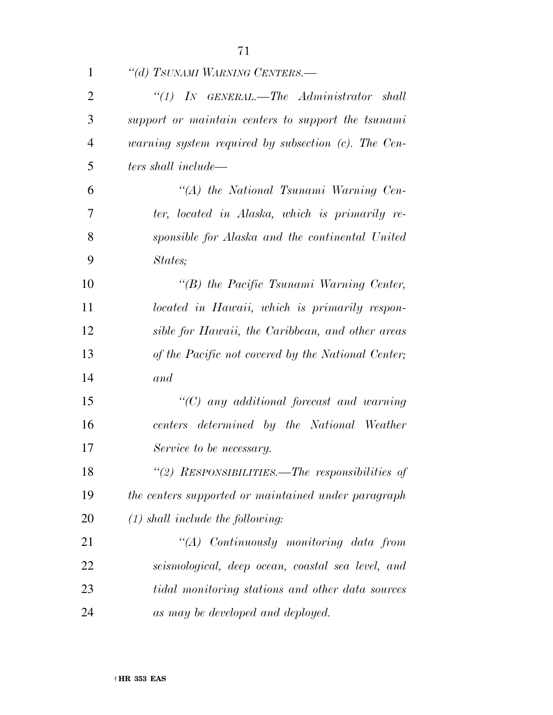| $\mathbf{1}$   | "(d) TSUNAMI WARNING CENTERS.—                                          |
|----------------|-------------------------------------------------------------------------|
| $\overline{2}$ | $``(1)$ IN GENERAL.—The Administrator shall                             |
| 3              | support or maintain centers to support the tsunami                      |
| $\overline{4}$ | <i>warning system required by subsection <math>(c)</math>. The Cen-</i> |
| 5              | ters shall include—                                                     |
| 6              | $\lq (A)$ the National Tsunami Warning Cen-                             |
| 7              | ter, located in Alaska, which is primarily re-                          |
| 8              | sponsible for Alaska and the continental United                         |
| 9              | States;                                                                 |
| 10             | $\lq\lq(B)$ the Pacific Tsunami Warning Center,                         |
| 11             | located in Hawaii, which is primarily respon-                           |
| 12             | sible for Hawaii, the Caribbean, and other areas                        |
| 13             | of the Pacific not covered by the National Center;                      |
| 14             | and                                                                     |
| 15             | $\lq\lq C$ any additional forecast and warning                          |
| 16             | centers determined by the National Weather                              |
| 17             | Service to be necessary.                                                |
| 18             | "(2) RESPONSIBILITIES.—The responsibilities of                          |
| 19             | the centers supported or maintained under paragraph                     |
| 20             | $(1)$ shall include the following:                                      |
| 21             | $\lq (A)$ Continuously monitoring data from                             |
| 22             | seismological, deep ocean, coastal sea level, and                       |
| 23             | tidal monitoring stations and other data sources                        |
| 24             | as may be developed and deployed.                                       |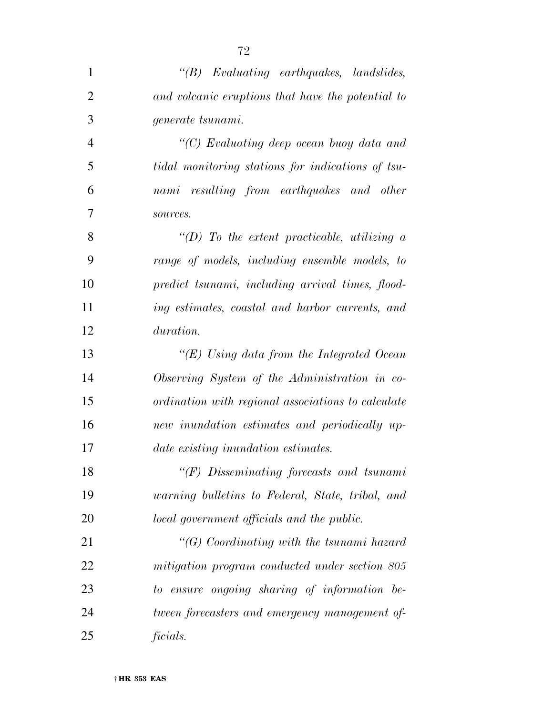| $\mathbf{1}$   | $\lq\lq B$ Evaluating earthquakes, landslides,     |
|----------------|----------------------------------------------------|
| $\overline{2}$ | and volcanic eruptions that have the potential to  |
| 3              | generate tsunami.                                  |
| $\overline{4}$ | " $(C)$ Evaluating deep ocean buoy data and        |
| 5              | tidal monitoring stations for indications of tsu-  |
| 6              | nami resulting from earthquakes and other          |
| $\overline{7}$ | sources.                                           |
| 8              | "(D) To the extent practicable, utilizing $a$      |
| 9              | range of models, including ensemble models, to     |
| 10             | predict tsunami, including arrival times, flood-   |
| 11             | ing estimates, coastal and harbor currents, and    |
| 12             | duration.                                          |
| 13             | "(E) Using data from the Integrated Ocean          |
| 14             | Observing System of the Administration in co-      |
| 15             | ordination with regional associations to calculate |
| 16             | new inundation estimates and periodically up-      |
| 17             | date existing inundation estimates.                |
| 18             | $"$ (F) Disseminating forecasts and tsunami        |
| 19             | warning bulletins to Federal, State, tribal, and   |
| 20             | local government officials and the public.         |
| 21             | " $(G)$ Coordinating with the tsunami hazard       |
| 22             | mitigation program conducted under section 805     |
| 23             | to ensure ongoing sharing of information be-       |
| 24             | tween forecasters and emergency management of-     |
| 25             | ficials.                                           |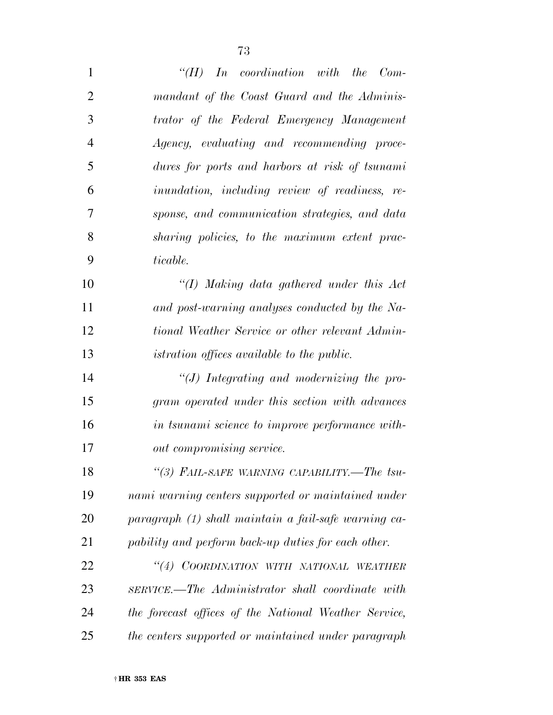| $\mathbf{1}$   | In coordination with the Com-<br>$\lq\lq(H)$          |
|----------------|-------------------------------------------------------|
| $\overline{2}$ | mandant of the Coast Guard and the Adminis-           |
| 3              | trator of the Federal Emergency Management            |
| 4              | Agency, evaluating and recommending proce-            |
| 5              | dures for ports and harbors at risk of tsunami        |
| 6              | <i>inundation, including review of readiness, re-</i> |
| 7              | sponse, and communication strategies, and data        |
| 8              | sharing policies, to the maximum extent prac-         |
| 9              | ticable.                                              |
| 10             | $\lq (I)$ Making data gathered under this Act         |
| 11             | and post-warning analyses conducted by the Na-        |
| 12             | tional Weather Service or other relevant Admin-       |
| 13             | <i>istration offices available to the public.</i>     |
| 14             | $\lq\lq J$ ) Integrating and modernizing the pro-     |
| 15             | gram operated under this section with advances        |
| 16             | in tsunami science to improve performance with-       |
| 17             | out compromising service.                             |
| 18             | "(3) FAIL-SAFE WARNING CAPABILITY.-The tsu-           |
| 19             | nami warning centers supported or maintained under    |
| <b>20</b>      | paragraph (1) shall maintain a fail-safe warning ca-  |
| 21             | pability and perform back-up duties for each other.   |
| 22             | "(4) COORDINATION WITH NATIONAL WEATHER               |
| 23             | SERVICE.—The Administrator shall coordinate with      |
| 24             | the forecast offices of the National Weather Service, |
| 25             | the centers supported or maintained under paragraph   |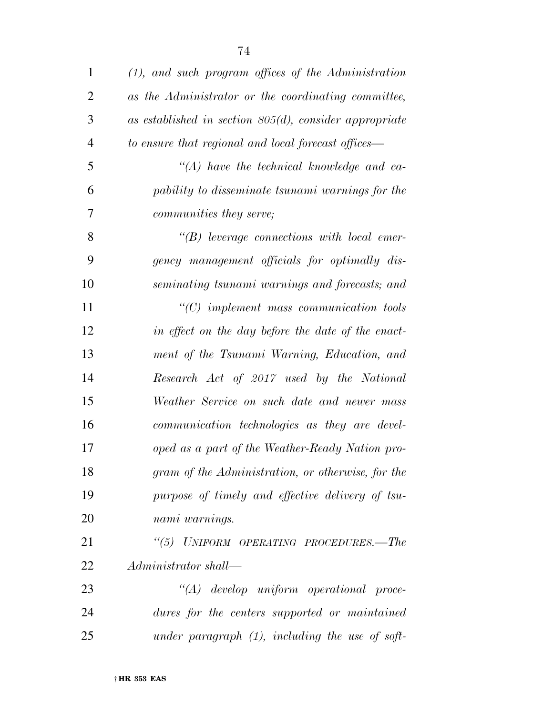| $\mathbf{1}$   | $(1)$ , and such program offices of the Administration    |
|----------------|-----------------------------------------------------------|
| $\overline{2}$ | as the Administrator or the coordinating committee,       |
| 3              | as established in section $805(d)$ , consider appropriate |
| $\overline{4}$ | to ensure that regional and local forecast offices—       |
| 5              | $\lq (A)$ have the technical knowledge and ca-            |
| 6              | pability to disseminate tsunami warnings for the          |
| 7              | <i>communities they serve;</i>                            |
| 8              | $\lq\lq(B)$ leverage connections with local emer-         |
| 9              | gency management officials for optimally dis-             |
| 10             | seminating tsunami warnings and forecasts; and            |
| 11             | $\lq$ (C) implement mass communication tools              |
| 12             | in effect on the day before the date of the enact-        |
| 13             | ment of the Tsunami Warning, Education, and               |
| 14             | Research Act of 2017 used by the National                 |
| 15             | Weather Service on such date and newer mass               |
| 16             | communication technologies as they are devel-             |
| 17             | oped as a part of the Weather-Ready Nation pro-           |
| 18             | gram of the Administration, or otherwise, for the         |
| 19             | purpose of timely and effective delivery of tsu-          |
| 20             | nami warnings.                                            |
| 21             | "(5) UNIFORM OPERATING PROCEDURES.—The                    |
| 22             | Administrator shall—                                      |
| 23             | $\lq\lq (A)$ develop uniform operational proce-           |
| 24             | dures for the centers supported or maintained             |
| 25             | under paragraph $(1)$ , including the use of soft-        |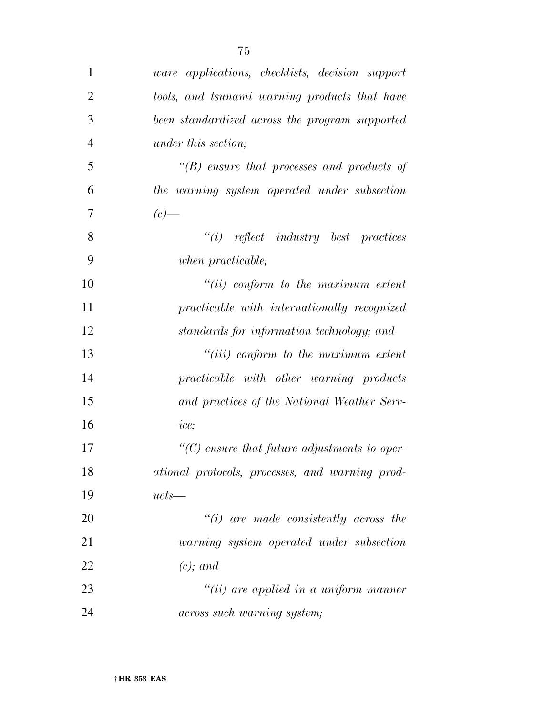| 1              | <i>ware applications, checklists, decision support</i> |
|----------------|--------------------------------------------------------|
| $\overline{2}$ | tools, and tsunami warning products that have          |
| 3              | been standardized across the program supported         |
| $\overline{4}$ | <i>under this section;</i>                             |
| 5              | $\lq\lq(B)$ ensure that processes and products of      |
| 6              | the warning system operated under subsection           |
| 7              | $(c)$ —                                                |
| 8              | $"(i)$ reflect industry best practices                 |
| 9              | when practicable;                                      |
| 10             | $``(ii)$ conform to the maximum extent                 |
| 11             | practicable with internationally recognized            |
| 12             | standards for information technology; and              |
| 13             | $``(iii)$ conform to the maximum extent                |
| 14             | practicable with other warning products                |
| 15             | and practices of the National Weather Serv-            |
| 16             | ice;                                                   |
| 17             | $\lq\lq C$ ensure that future adjustments to oper-     |
| 18             | ational protocols, processes, and warning prod-        |
| 19             | $ucts$ —                                               |
| 20             | $``(i)$ are made consistently across the               |
| 21             | warning system operated under subsection               |
| 22             | $(c)$ ; and                                            |
| 23             | $``(ii)$ are applied in a uniform manner               |
| 24             | <i>across such warning system;</i>                     |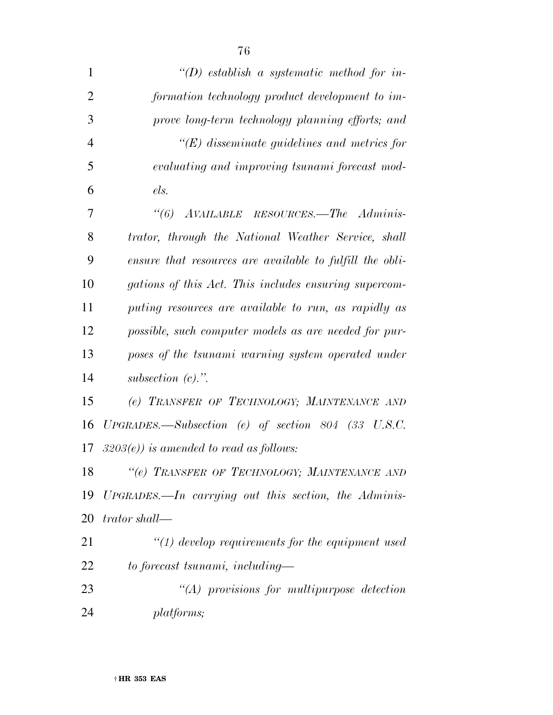| 1              | $\lq (D)$ establish a systematic method for in-          |
|----------------|----------------------------------------------------------|
| $\overline{2}$ | formation technology product development to im-          |
| 3              | prove long-term technology planning efforts; and         |
| $\overline{4}$ | $\lq\lq (E)$ disseminate guidelines and metrics for      |
| 5              | evaluating and improving tsunami forecast mod-           |
| 6              | els.                                                     |
| 7              | AVAILABLE RESOURCES.—The Adminis-<br>$\lq(6)$            |
| 8              | trator, through the National Weather Service, shall      |
| 9              | ensure that resources are available to fulfill the obli- |
| 10             | gations of this Act. This includes ensuring supercom-    |
| 11             | puting resources are available to run, as rapidly as     |
| 12             | possible, such computer models as are needed for pur-    |
| 13             | poses of the tsunami warning system operated under       |
| 14             | subsection $(c)$ .".                                     |
| 15             | (e) TRANSFER OF TECHNOLOGY; MAINTENANCE AND              |
| 16             | $UPGRADES.$ Subsection (e) of section 804 (33 U.S.C.     |
| 17             | $3203(e)$ ) is amended to read as follows:               |
| 18             | "(e) TRANSFER OF TECHNOLOGY; MAINTENANCE AND             |
| 19             | $UPGRADES.$ In carrying out this section, the Adminis-   |
| 20             | trator shall—                                            |
| 21             | $\lq(1)$ develop requirements for the equipment used     |
| 22             | to forecast tsunami, including—                          |
| 23             | $"(A)$ provisions for multipurpose detection             |
| 24             | platforms;                                               |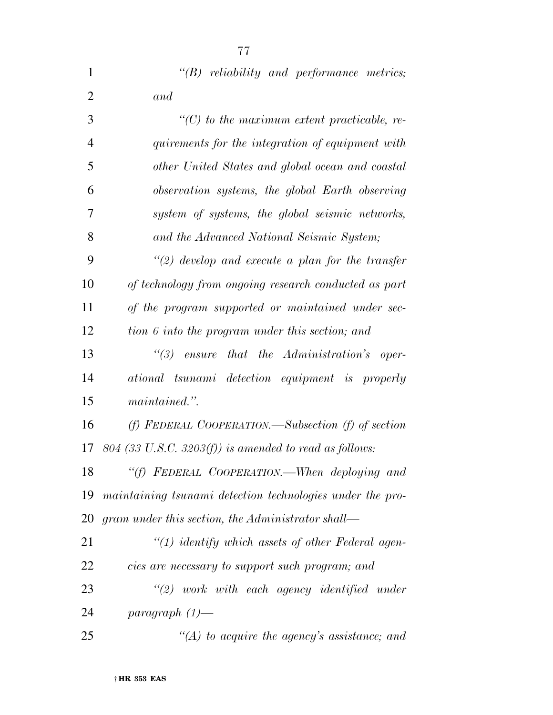| $\mathbf{1}$   | $\lq\lq B$ reliability and performance metrics;           |
|----------------|-----------------------------------------------------------|
| $\overline{2}$ | and                                                       |
| 3              | $\lq\lq C$ ) to the maximum extent practicable, re-       |
| $\overline{4}$ | quirements for the integration of equipment with          |
| 5              | other United States and global ocean and coastal          |
| 6              | observation systems, the global Earth observing           |
| 7              | system of systems, the global seismic networks,           |
| 8              | and the Advanced National Seismic System;                 |
| 9              | $\lq(2)$ develop and execute a plan for the transfer      |
| 10             | of technology from ongoing research conducted as part     |
| 11             | of the program supported or maintained under sec-         |
| 12             | tion 6 into the program under this section; and           |
| 13             | that the Administration's oper-<br>$\degree$ (3) ensure   |
| 14             | ational tsunami detection equipment is properly           |
| 15             | maintained.".                                             |
| 16             | (f) FEDERAL COOPERATION.—Subsection (f) of section        |
| 17             | $804$ (33 U.S.C. 3203(f)) is amended to read as follows:  |
| 18             | "(f) FEDERAL COOPERATION.—When deploying and              |
| 19             | maintaining tsunami detection technologies under the pro- |
| 20             | gram under this section, the Administrator shall—         |
| 21             | $"(1)$ identify which assets of other Federal agen-       |
| 22             | cies are necessary to support such program; and           |
| 23             | $"(2)$ work with each agency identified under             |
| 24             | paragraph $(1)$ —                                         |
| 25             | $\lq (A)$ to acquire the agency's assistance; and         |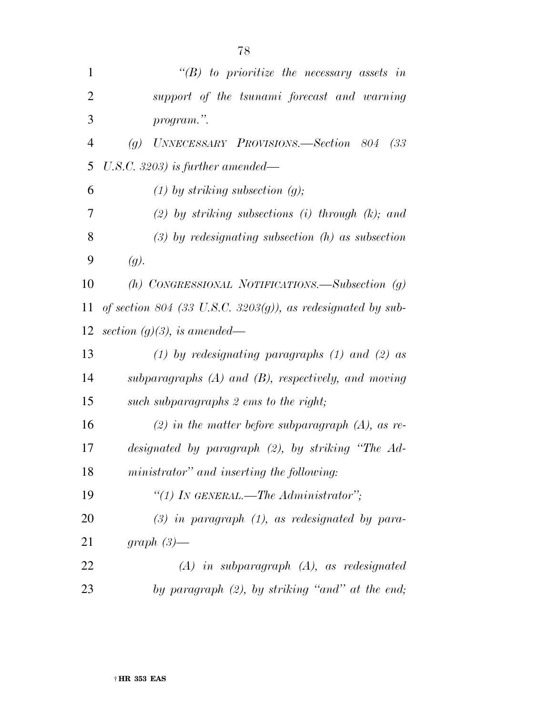| $\mathbf{1}$   | $\lq\lq(B)$ to prioritize the necessary assets in                |
|----------------|------------------------------------------------------------------|
| $\overline{2}$ | support of the tsunami forecast and warning                      |
| 3              | program.".                                                       |
| 4              | UNNECESSARY PROVISIONS.—Section 804<br>(33)<br>$\left( q\right)$ |
| 5              | U.S.C. 3203) is further amended—                                 |
| 6              | $(1)$ by striking subsection $(g)$ ;                             |
| 7              | $(2)$ by striking subsections (i) through $(k)$ ; and            |
| 8              | $(3)$ by redesignating subsection $(h)$ as subsection            |
| 9              | (g).                                                             |
| 10             | (h) CONGRESSIONAL NOTIFICATIONS.—Subsection $(g)$                |
| 11             | of section 804 (33 U.S.C. 3203 $(g)$ ), as redesignated by sub-  |
| 12             | section $(g)(3)$ , is amended—                                   |
| 13             | (1) by redesignating paragraphs (1) and (2) as                   |
| 14             | subparagraphs $(A)$ and $(B)$ , respectively, and moving         |
| 15             | such subparagraphs 2 ems to the right;                           |
| 16             | (2) in the matter before subparagraph $(A)$ , as re-             |
| 17             | designated by paragraph $(2)$ , by striking "The Ad-             |
| 18             | ministrator" and inserting the following:                        |
| 19             | "(1) IN GENERAL.—The Administrator";                             |
| 20             | $(3)$ in paragraph $(1)$ , as redesignated by para-              |
| 21             | graph $(3)$ —                                                    |
| 22             | $(A)$ in subparagraph $(A)$ , as redesignated                    |
| 23             | by paragraph $(2)$ , by striking "and" at the end;               |
|                |                                                                  |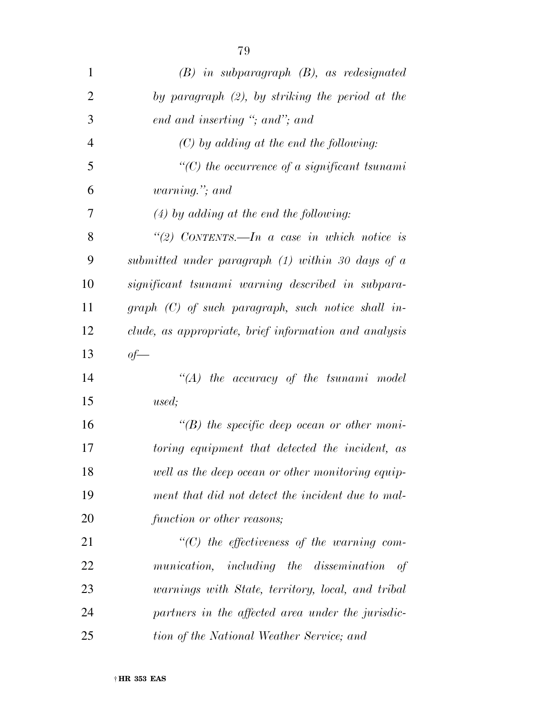| 79       |
|----------|
| subparag |

| $\mathbf{1}$   | $(B)$ in subparagraph $(B)$ , as redesignated         |
|----------------|-------------------------------------------------------|
| $\mathfrak{2}$ | by paragraph $(2)$ , by striking the period at the    |
| 3              | end and inserting "; and"; and                        |
| $\overline{4}$ | $(C)$ by adding at the end the following:             |
| 5              | $\lq\lq C$ the occurrence of a significant tsunami    |
| 6              | <i>warning.</i> "; and                                |
| 7              | $(4)$ by adding at the end the following:             |
| 8              | "(2) CONTENTS.—In a case in which notice is           |
| 9              | submitted under paragraph (1) within 30 days of a     |
| 10             | significant tsunami warning described in subpara-     |
| 11             | $graph (C)$ of such paragraph, such notice shall in-  |
| 12             | clude, as appropriate, brief information and analysis |
| 13             | $of$ —                                                |
| 14             | $\lq\lq (A)$ the accuracy of the tsunami model        |
| 15             | used;                                                 |
| 16             | $\lq\lq(B)$ the specific deep ocean or other moni-    |
| 17             | toring equipment that detected the incident, as       |
| 18             | well as the deep ocean or other monitoring equip-     |
| 19             | ment that did not detect the incident due to mal-     |
| 20             | function or other reasons;                            |
| 21             | $\lq\lq C$ the effectiveness of the warning com-      |
| 22             | munication, including the dissemination<br>of         |
| 23             | warnings with State, territory, local, and tribal     |
| 24             | partners in the affected area under the jurisdic-     |
| 25             | tion of the National Weather Service; and             |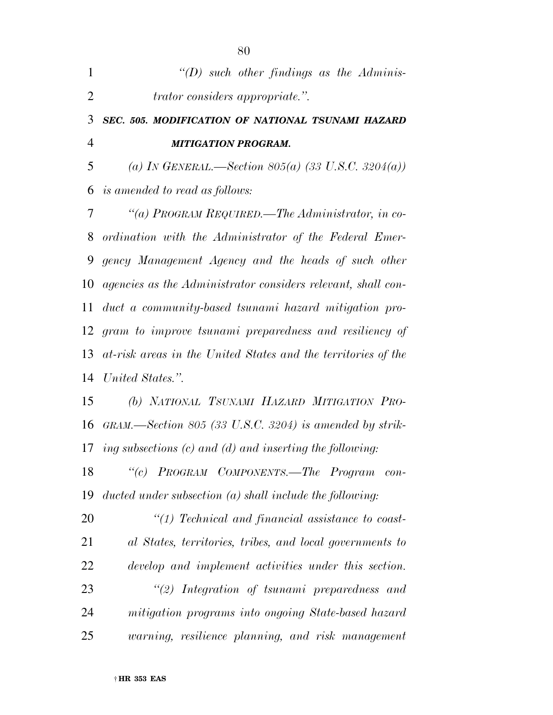| 1              | $\lq (D)$ such other findings as the Adminis-                   |
|----------------|-----------------------------------------------------------------|
| $\overline{2}$ | <i>trator considers appropriate."</i> .                         |
| 3              | SEC. 505. MODIFICATION OF NATIONAL TSUNAMI HAZARD               |
| $\overline{4}$ | <b>MITIGATION PROGRAM.</b>                                      |
| 5              | (a) In GENERAL.—Section 805(a) (33 U.S.C. 3204(a))              |
| 6              | is amended to read as follows:                                  |
| 7              | "(a) PROGRAM REQUIRED.—The Administrator, in co-                |
| 8              | ordination with the Administrator of the Federal Emer-          |
| 9              | gency Management Agency and the heads of such other             |
| 10             | agencies as the Administrator considers relevant, shall con-    |
| 11             | duct a community-based tsunami hazard mitigation pro-           |
| 12             | gram to improve tsunami preparedness and resiliency of          |
| 13             | at-risk areas in the United States and the territories of the   |
| 14             | United States.".                                                |
| 15             | (b) NATIONAL TSUNAMI HAZARD MITIGATION PRO-                     |
| 16             | $GRAM$ —Section 805 (33 U.S.C. 3204) is amended by strik-       |
|                | 17 ing subsections $(c)$ and $(d)$ and inserting the following: |
| 18             | "(c) PROGRAM COMPONENTS.—The Program<br>$con-$                  |
| 19             | ducted under subsection $(a)$ shall include the following:      |
| 20             | $\lq(1)$ Technical and financial assistance to coast-           |
| 21             | al States, territories, tribes, and local governments to        |
| 22             | develop and implement activities under this section.            |
| 23             | $\lq(2)$ Integration of tsunami preparedness and                |
| 24             | mitigation programs into ongoing State-based hazard             |
| 25             | warning, resilience planning, and risk management               |

† **HR 353 EAS**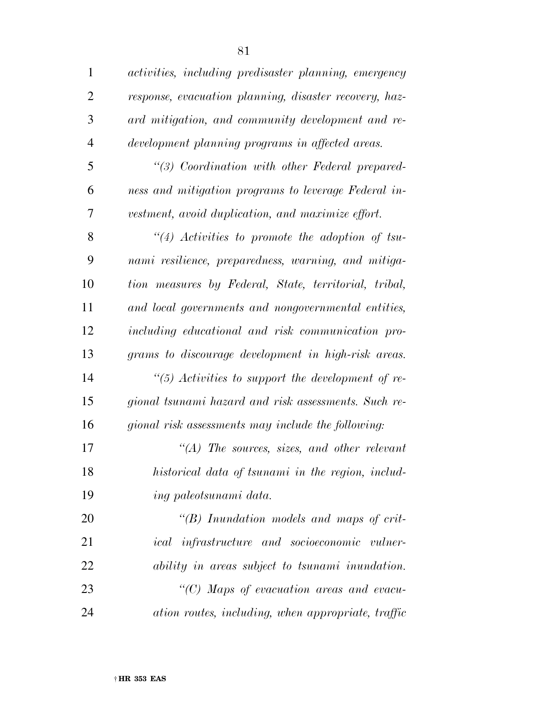| $\mathbf{1}$   | activities, including predisaster planning, emergency  |
|----------------|--------------------------------------------------------|
| $\overline{2}$ | response, evacuation planning, disaster recovery, haz- |
| 3              | ard mitigation, and community development and re-      |
| $\overline{4}$ | development planning programs in affected areas.       |
| 5              | "(3) Coordination with other Federal prepared-         |
| 6              | ness and mitigation programs to leverage Federal in-   |
| 7              | vestment, avoid duplication, and maximize effort.      |
| 8              | $``(4)$ Activities to promote the adoption of tsu-     |
| 9              | nami resilience, preparedness, warning, and mitiga-    |
| 10             | tion measures by Federal, State, territorial, tribal,  |
| 11             | and local governments and nongovernmental entities,    |
| 12             | including educational and risk communication pro-      |
| 13             | grams to discourage development in high-risk areas.    |
| 14             | "(5) Activities to support the development of re-      |
| 15             | gional tsunami hazard and risk assessments. Such re-   |
| 16             | gional risk assessments may include the following:     |
| 17             | $\lq\lq (A)$ The sources, sizes, and other relevant    |
| 18             | historical data of tsunami in the region, includ-      |
| 19             | ing paleotsunami data.                                 |
| 20             | $\lq\lq B$ ) Inundation models and maps of crit-       |
| 21             | ical infrastructure and socioeconomic vulner-          |
| 22             | ability in areas subject to tsunami inundation.        |
| 23             | "(C) Maps of evacuation areas and evacu-               |

*ation routes, including, when appropriate, traffic*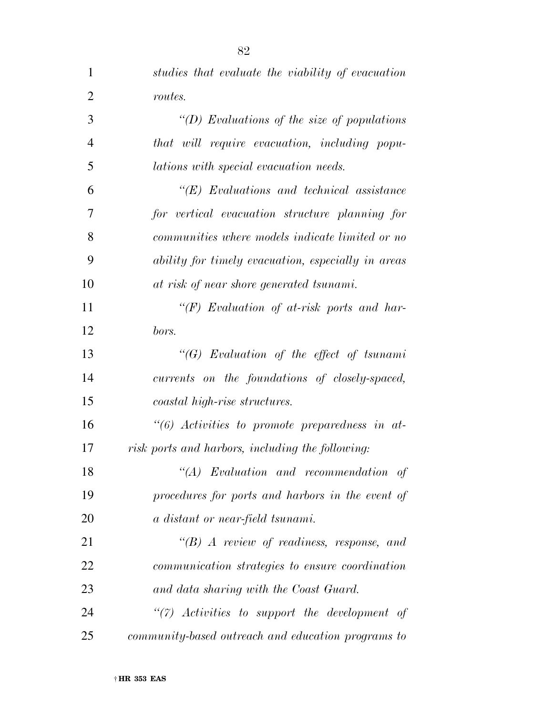| $\mathbf{1}$   | studies that evaluate the viability of evacuation  |
|----------------|----------------------------------------------------|
| $\overline{2}$ | routes.                                            |
| 3              | "(D) Evaluations of the size of populations        |
| $\overline{4}$ | that will require evacuation, including popu-      |
| 5              | <i>lations with special evacuation needs.</i>      |
| 6              | $\lq\lq E$ Evaluations and technical assistance    |
| 7              | for vertical evacuation structure planning for     |
| 8              | communities where models indicate limited or no    |
| 9              | ability for timely evacuation, especially in areas |
| 10             | at risk of near shore generated tsunami.           |
| 11             | " $(F)$ Evaluation of at-risk ports and har-       |
| 12             | bors.                                              |
| 13             | " $(G)$ Evaluation of the effect of tsunami        |
| 14             | currents on the foundations of closely-spaced,     |
| 15             | coastal high-rise structures.                      |
| 16             | $\lq(6)$ Activities to promote preparedness in at- |
| 17             | risk ports and harbors, including the following:   |
| 18             | $``(A)$ Evaluation and recommendation of           |
| 19             | procedures for ports and harbors in the event of   |
| 20             | a distant or near-field tsunami.                   |
| 21             | $\lq\lq B$ A review of readiness, response, and    |
| 22             | communication strategies to ensure coordination    |
| 23             | and data sharing with the Coast Guard.             |
| 24             | $\lq(7)$ Activities to support the development of  |
| 25             | community-based outreach and education programs to |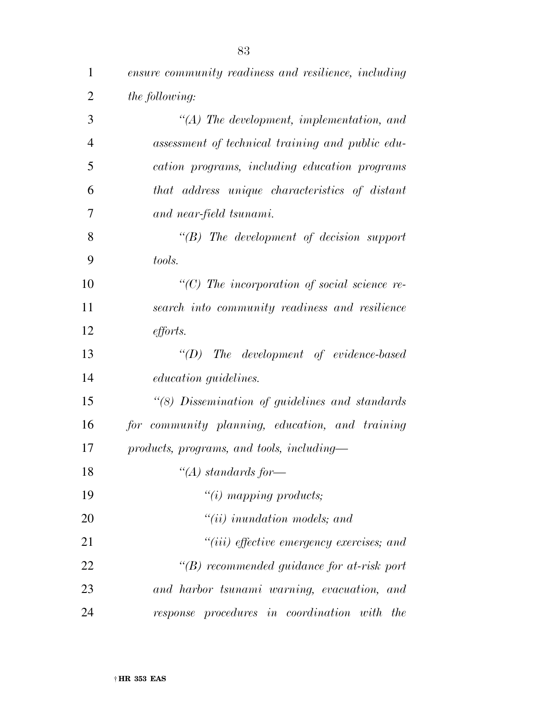| $\mathbf{1}$   | ensure community readiness and resilience, including      |
|----------------|-----------------------------------------------------------|
| $\overline{2}$ | the following:                                            |
| 3              | $\lq (A)$ The development, implementation, and            |
| $\overline{4}$ | assessment of technical training and public edu-          |
| 5              | cation programs, including education programs             |
| 6              | that address unique characteristics of distant            |
| 7              | and near-field tsunami.                                   |
| 8              | $\lq\lq B$ ) The development of decision support          |
| 9              | tools.                                                    |
| 10             | $\lq$ (C) The incorporation of social science re-         |
| 11             | search into community readiness and resilience            |
| 12             | <i>efforts.</i>                                           |
| 13             | $\lq (D)$ The development of evidence-based               |
| 14             | <i>education guidelines.</i>                              |
| 15             | "(8) Dissemination of guidelines and standards            |
| 16             | for community planning, education, and training           |
| 17             | products, programs, and tools, including-                 |
| 18             | "(A) standards for-                                       |
| 19             | $"(i)$ mapping products;                                  |
| 20             | $``(ii)$ inundation models; and                           |
| 21             | $``(iii)$ effective emergency exercises; and              |
| 22             | $\lq\lq(B)$ recommended guidance for at-risk port         |
| 23             | and harbor tsunami warning, evacuation, and               |
| 24             | response procedures in coordination<br>with<br><i>the</i> |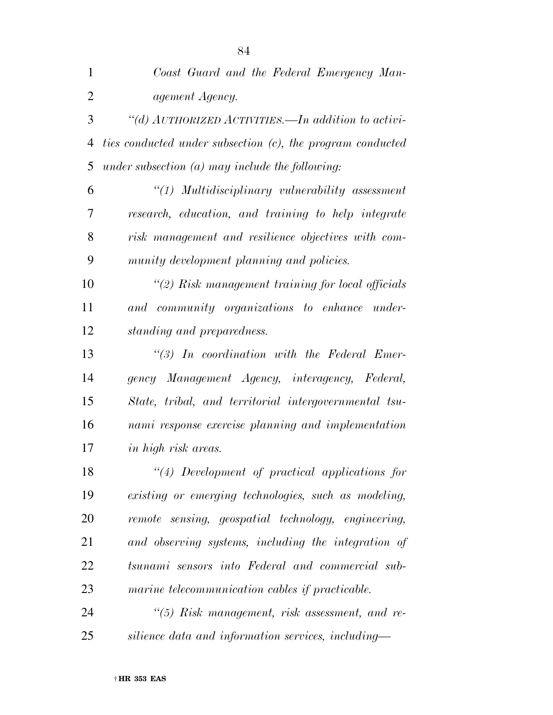| 1              | Coast Guard and the Federal Emergency Man-                 |
|----------------|------------------------------------------------------------|
| $\overline{2}$ | agement Agency.                                            |
| 3              | "(d) $AUTHORIZED~ACTIVITIES.$ In addition to activi-       |
| 4              | ties conducted under subsection (c), the program conducted |
| 5              | under subsection $(a)$ may include the following:          |
| 6              | "(1) Multidisciplinary vulnerability assessment            |
| 7              | research, education, and training to help integrate        |
| 8              | risk management and resilience objectives with com-        |
| 9              | munity development planning and policies.                  |
| 10             | $\lq(2)$ Risk management training for local officials      |
| 11             | and community organizations to enhance under-              |
| 12             | standing and preparedness.                                 |
| 13             | $\lq(3)$ In coordination with the Federal Emer-            |
| 14             | gency Management Agency, interagency, Federal,             |
| 15             | State, tribal, and territorial intergovernmental tsu-      |
| 16             | nami response exercise planning and implementation         |
| 17             | <i>in high risk areas.</i>                                 |
| 18             | "(4) Development of practical applications for             |
| 19             | existing or emerging technologies, such as modeling,       |
| 20             | remote sensing, geospatial technology, engineering,        |
| 21             | and observing systems, including the integration of        |
| 22             | tsunami sensors into Federal and commercial sub-           |
| 23             | marine telecommunication cables if practicable.            |
| 24             | $\lq(5)$ Risk management, risk assessment, and re-         |
| 25             | silience data and information services, including—         |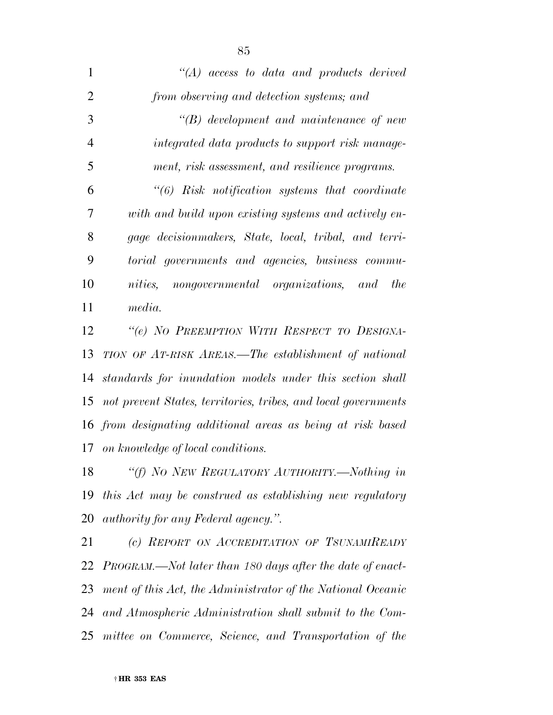| 1              | $\lq\lq (A)$ access to data and products derived                   |
|----------------|--------------------------------------------------------------------|
| $\overline{2}$ | from observing and detection systems; and                          |
| 3              | $\lq\lq B$ development and maintenance of new                      |
| $\overline{4}$ | integrated data products to support risk manage-                   |
| 5              | ment, risk assessment, and resilience programs.                    |
| 6              |                                                                    |
| 7              | with and build upon existing systems and actively en-              |
| 8              | gage decisionmakers, State, local, tribal, and terri-              |
| 9              | torial governments and agencies, business commu-                   |
| 10             | nongovernmental organizations, and<br><i>nities.</i><br><i>the</i> |
| 11             | media.                                                             |
| 12             | "(e) NO PREEMPTION WITH RESPECT TO DESIGNA-                        |
| 13             | TION OF AT-RISK AREAS.—The establishment of national               |
| 14             | standards for inundation models under this section shall           |
|                | 15 not prevent States, territories, tribes, and local governments  |
|                | 16 from designating additional areas as being at risk based        |

*on knowledge of local conditions.* 

 *''(f) NO NEW REGULATORY AUTHORITY.—Nothing in this Act may be construed as establishing new regulatory authority for any Federal agency.''.* 

 *(c) REPORT ON ACCREDITATION OF TSUNAMIREADY PROGRAM.—Not later than 180 days after the date of enact- ment of this Act, the Administrator of the National Oceanic and Atmospheric Administration shall submit to the Com-mittee on Commerce, Science, and Transportation of the*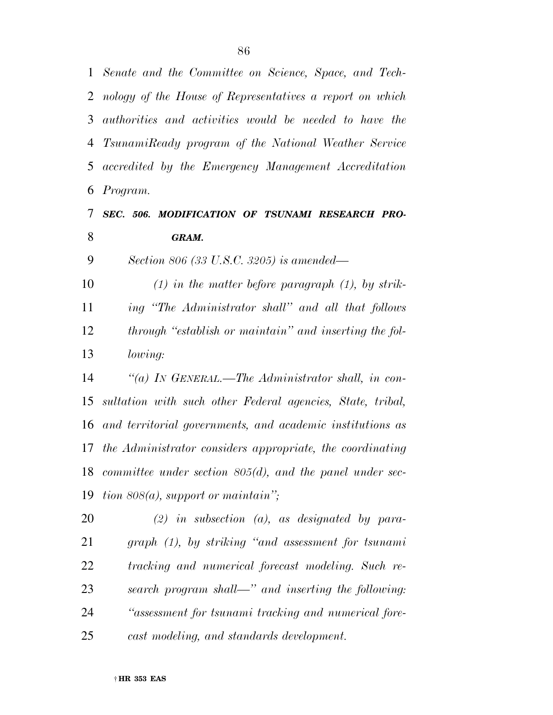*Senate and the Committee on Science, Space, and Tech- nology of the House of Representatives a report on which authorities and activities would be needed to have the TsunamiReady program of the National Weather Service accredited by the Emergency Management Accreditation Program.* 

## *SEC. 506. MODIFICATION OF TSUNAMI RESEARCH PRO-GRAM.*

*Section 806 (33 U.S.C. 3205) is amended—* 

 *(1) in the matter before paragraph (1), by strik- ing ''The Administrator shall'' and all that follows through ''establish or maintain'' and inserting the fol-lowing:* 

 *''(a) IN GENERAL.—The Administrator shall, in con- sultation with such other Federal agencies, State, tribal, and territorial governments, and academic institutions as the Administrator considers appropriate, the coordinating committee under section 805(d), and the panel under sec-tion 808(a), support or maintain'';* 

 *(2) in subsection (a), as designated by para- graph (1), by striking ''and assessment for tsunami tracking and numerical forecast modeling. Such re- search program shall—'' and inserting the following: ''assessment for tsunami tracking and numerical fore-cast modeling, and standards development.*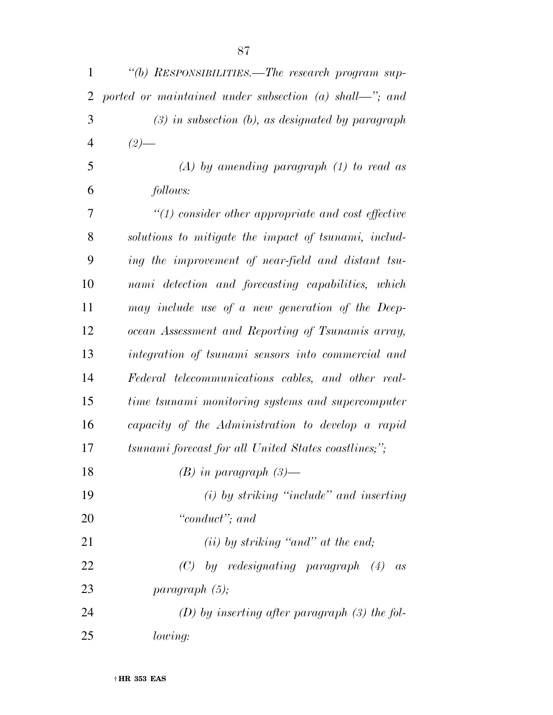| $\mathbf{1}$ | "(b) RESPONSIBILITIES.—The research program sup-       |
|--------------|--------------------------------------------------------|
| 2            | ported or maintained under subsection (a) shall—"; and |
| 3            | $(3)$ in subsection $(b)$ , as designated by paragraph |
| 4            | $(2)$ —                                                |
| 5            | $(A)$ by amending paragraph $(1)$ to read as           |
| 6            | follows:                                               |
| 7            | $\lq(1)$ consider other appropriate and cost effective |
| 8            | solutions to mitigate the impact of tsunami, includ-   |
| 9            | ing the improvement of near-field and distant tsu-     |
| 10           | nami detection and forecasting capabilities, which     |
| 11           | may include use of a new generation of the Deep-       |
| 12           | ocean Assessment and Reporting of Tsunamis array,      |
| 13           | integration of tsunami sensors into commercial and     |
| 14           | Federal telecommunications cables, and other real-     |
| 15           | time tsunami monitoring systems and supercomputer      |
| 16           | capacity of the Administration to develop a rapid      |
| 17           | tsunami forecast for all United States coastlines;";   |
| 18           | $(B)$ in paragraph $(3)$ —                             |
| 19           | $(i)$ by striking "include" and inserting              |
| 20           | "conduct"; and                                         |
| 21           | $(ii)$ by striking "and" at the end;                   |
| 22           | $(C)$ by redesignating paragraph $(4)$ as              |
| 23           | paragnath(5);                                          |
| 24           | $(D)$ by inserting after paragraph (3) the fol-        |
| 25           | lowing:                                                |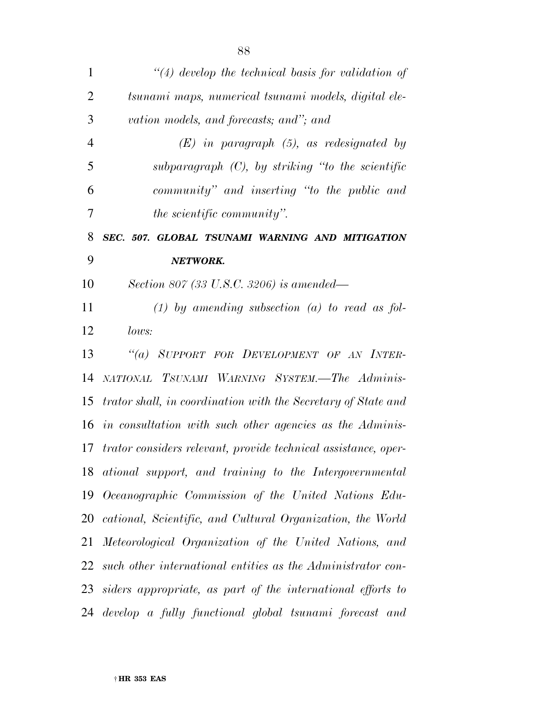| $\mathbf{1}$   | $\lq(4)$ develop the technical basis for validation of         |
|----------------|----------------------------------------------------------------|
| $\overline{2}$ | tsunami maps, numerical tsunami models, digital ele-           |
| 3              | vation models, and forecasts; and"; and                        |
| $\overline{4}$ | $(E)$ in paragraph $(5)$ , as redesignated by                  |
| 5              | subparagraph $(C)$ , by striking "to the scientific            |
| 6              | community" and inserting "to the public and                    |
| 7              | <i>the scientific community</i> ".                             |
| 8              | SEC. 507. GLOBAL TSUNAMI WARNING AND MITIGATION                |
| 9              | NETWORK.                                                       |
| 10             | Section 807 (33 U.S.C. 3206) is amended—                       |
| 11             | $(1)$ by amending subsection $(a)$ to read as fol-             |
| 12             | lows:                                                          |
| 13             | "(a) SUPPORT FOR DEVELOPMENT OF AN INTER-                      |
| 14             | NATIONAL TSUNAMI WARNING SYSTEM.—The Adminis-                  |
| 15             | trator shall, in coordination with the Secretary of State and  |
| 16             | in consultation with such other agencies as the Adminis-       |
| 17             | trator considers relevant, provide technical assistance, oper- |
| 18             | ational support, and training to the Intergovernmental         |
| 19             | Oceanographic Commission of the United Nations Edu-            |
| 20             | cational, Scientific, and Cultural Organization, the World     |
| 21             | Meteorological Organization of the United Nations, and         |
| 22             | such other international entities as the Administrator con-    |
| 23             | siders appropriate, as part of the international efforts to    |
| 24             | develop a fully functional global tsunami forecast and         |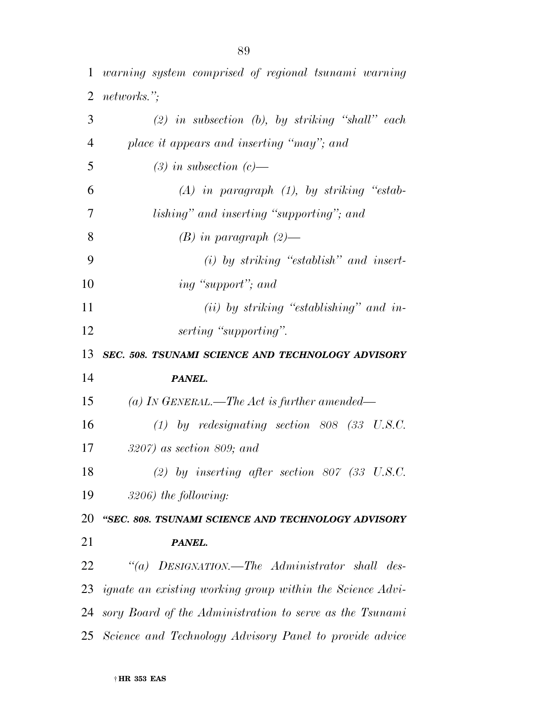*warning system comprised of regional tsunami warning networks.''; (2) in subsection (b), by striking ''shall'' each place it appears and inserting ''may''; and (3) in subsection (c)— (A) in paragraph (1), by striking ''estab- lishing'' and inserting ''supporting''; and (B) in paragraph (2)— (i) by striking ''establish'' and insert- ing ''support''; and (ii) by striking ''establishing'' and in- serting ''supporting''. SEC. 508. TSUNAMI SCIENCE AND TECHNOLOGY ADVISORY PANEL. (a) IN GENERAL.—The Act is further amended— (1) by redesignating section 808 (33 U.S.C. 3207) as section 809; and (2) by inserting after section 807 (33 U.S.C. 3206) the following: ''SEC. 808. TSUNAMI SCIENCE AND TECHNOLOGY ADVISORY PANEL. ''(a) DESIGNATION.—The Administrator shall des- ignate an existing working group within the Science Advi- sory Board of the Administration to serve as the Tsunami Science and Technology Advisory Panel to provide advice*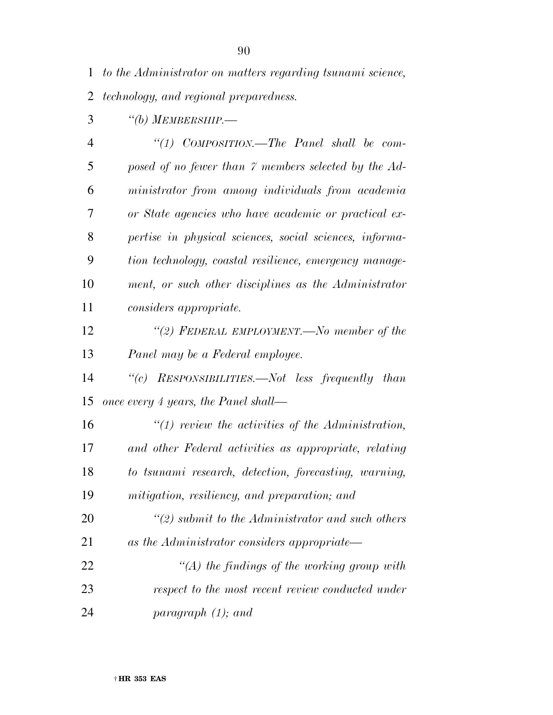*''(b) MEMBERSHIP.—* 

| 4  | "(1) $COMPOSITION$ —The Panel shall be com-             |
|----|---------------------------------------------------------|
| 5  | posed of no fewer than 7 members selected by the Ad-    |
| 6  | ministrator from among individuals from academia        |
| 7  | or State agencies who have academic or practical ex-    |
| 8  | pertise in physical sciences, social sciences, informa- |
| 9  | tion technology, coastal resilience, emergency manage-  |
| 10 | ment, or such other disciplines as the Administrator    |
| 11 | considers appropriate.                                  |
| 12 | "(2) FEDERAL EMPLOYMENT.—No member of the               |
| 13 | Panel may be a Federal employee.                        |
| 14 | "(c) RESPONSIBILITIES.—Not less frequently than         |
| 15 | once every 4 years, the Panel shall—                    |
| 16 | $\lq(1)$ review the activities of the Administration,   |
| 17 | and other Federal activities as appropriate, relating   |
| 18 | to tsunami research, detection, forecasting, warning,   |
|    |                                                         |

*mitigation, resiliency, and preparation; and* 

 *''(2) submit to the Administrator and such others as the Administrator considers appropriate— ''(A) the findings of the working group with respect to the most recent review conducted under* 

*paragraph (1); and*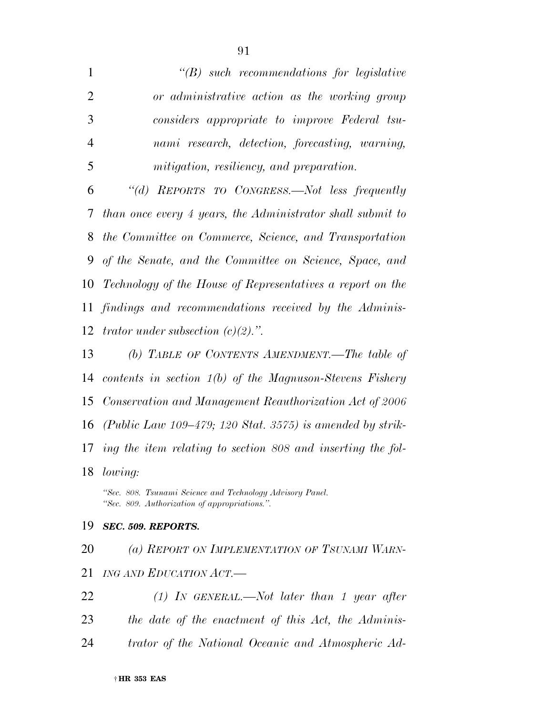*''(B) such recommendations for legislative or administrative action as the working group considers appropriate to improve Federal tsu- nami research, detection, forecasting, warning, mitigation, resiliency, and preparation.* 

 *''(d) REPORTS TO CONGRESS.—Not less frequently than once every 4 years, the Administrator shall submit to the Committee on Commerce, Science, and Transportation of the Senate, and the Committee on Science, Space, and Technology of the House of Representatives a report on the findings and recommendations received by the Adminis-trator under subsection (c)(2).''.* 

 *(b) TABLE OF CONTENTS AMENDMENT.—The table of contents in section 1(b) of the Magnuson-Stevens Fishery Conservation and Management Reauthorization Act of 2006 (Public Law 109–479; 120 Stat. 3575) is amended by strik- ing the item relating to section 808 and inserting the fol-lowing:* 

*''Sec. 808. Tsunami Science and Technology Advisory Panel. ''Sec. 809. Authorization of appropriations.''.* 

## *SEC. 509. REPORTS.*

 *(a) REPORT ON IMPLEMENTATION OF TSUNAMI WARN- ING AND EDUCATION ACT.— (1) IN GENERAL.—Not later than 1 year after the date of the enactment of this Act, the Adminis-*

*trator of the National Oceanic and Atmospheric Ad-*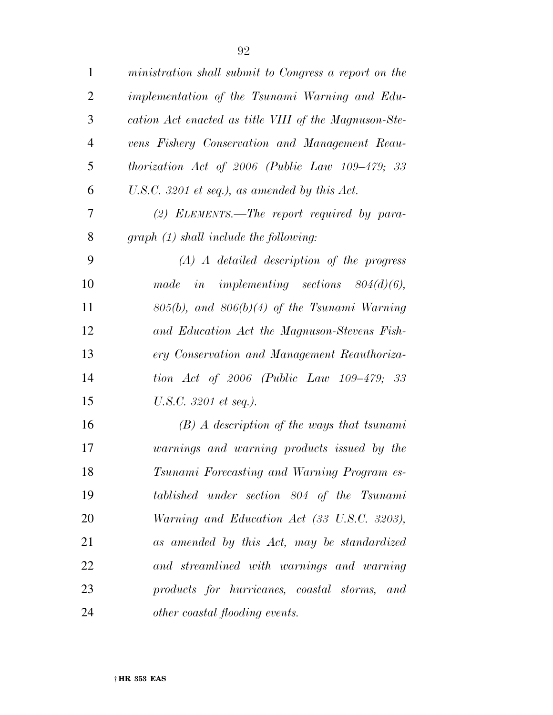| $\mathbf{1}$   | ministration shall submit to Congress a report on the |
|----------------|-------------------------------------------------------|
| $\overline{2}$ | implementation of the Tsunami Warning and Edu-        |
| 3              | cation Act enacted as title VIII of the Magnuson-Ste- |
| $\overline{4}$ | vens Fishery Conservation and Management Reau-        |
| 5              | thorization Act of $2006$ (Public Law $109-479$ ; 33  |
| 6              | U.S.C. 3201 et seq.), as amended by this $Act.$       |
| $\overline{7}$ | $(2)$ ELEMENTS.—The report required by para-          |
| 8              | $graph (1) shall include the following:$              |
| 9              | $(A)$ A detailed description of the progress          |
| 10             | made in implementing sections $804(d)(6)$ ,           |
| 11             | $805(b)$ , and $806(b)(4)$ of the Tsunami Warning     |
| 12             | and Education Act the Magnuson-Stevens Fish-          |
| 13             | ery Conservation and Management Reauthoriza-          |
| 14             | tion Act of 2006 (Public Law $109-479$ ; 33           |
| 15             | U.S.C. 3201 et seq.).                                 |
| 16             | $(B)$ A description of the ways that tsunami          |
| 17             | warnings and warning products issued by the           |
| 18             | Tsunami Forecasting and Warning Program es-           |
| 19             | tablished under section 804 of the Tsunami            |
| 20             | Warning and Education Act (33 U.S.C. 3203),           |
| 21             | as amended by this Act, may be standardized           |
| 22             | and streamlined with warnings and warning             |
| 23             | products for hurricanes, coastal storms, and          |
| 24             | <i>other coastal flooding events.</i>                 |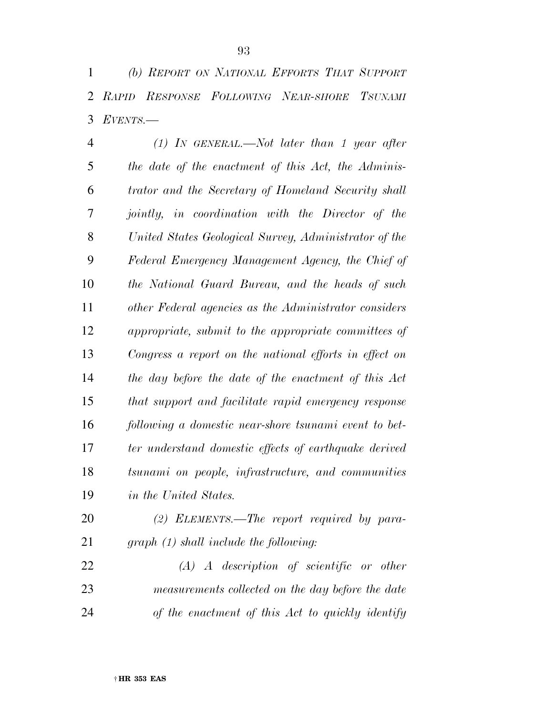*(b) REPORT ON NATIONAL EFFORTS THAT SUPPORT RAPID RESPONSE FOLLOWING NEAR-SHORE TSUNAMI EVENTS.—* 

 *(1) IN GENERAL.—Not later than 1 year after the date of the enactment of this Act, the Adminis- trator and the Secretary of Homeland Security shall jointly, in coordination with the Director of the United States Geological Survey, Administrator of the Federal Emergency Management Agency, the Chief of the National Guard Bureau, and the heads of such other Federal agencies as the Administrator considers appropriate, submit to the appropriate committees of Congress a report on the national efforts in effect on the day before the date of the enactment of this Act that support and facilitate rapid emergency response following a domestic near-shore tsunami event to bet- ter understand domestic effects of earthquake derived tsunami on people, infrastructure, and communities in the United States.* 

 *(2) ELEMENTS.—The report required by para-graph (1) shall include the following:* 

 *(A) A description of scientific or other measurements collected on the day before the date of the enactment of this Act to quickly identify*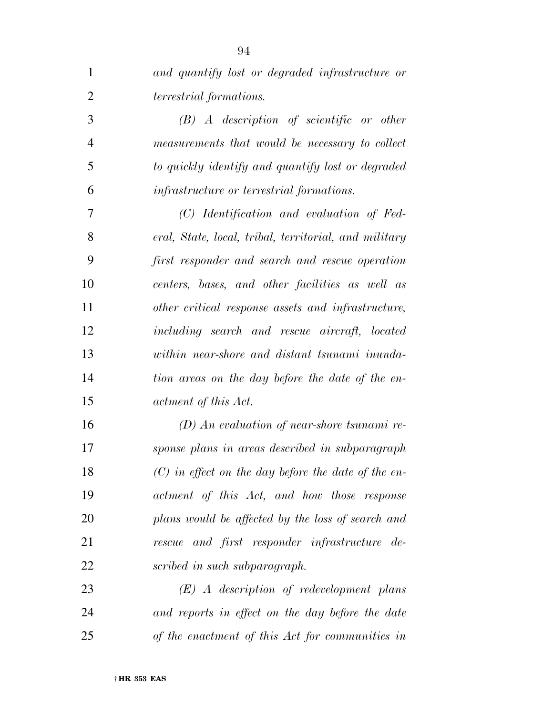| $\mathbf{1}$   | and quantify lost or degraded infrastructure or       |
|----------------|-------------------------------------------------------|
| $\overline{2}$ | terrestrial formations.                               |
| 3              | $(B)$ A description of scientific or other            |
| $\overline{4}$ | measurements that would be necessary to collect       |
| 5              | to quickly identify and quantify lost or degraded     |
| 6              | <i>infrastructure or terrestrial formations.</i>      |
| 7              | (C) Identification and evaluation of Fed-             |
| 8              | eral, State, local, tribal, territorial, and military |
| 9              | first responder and search and rescue operation       |
| 10             | centers, bases, and other facilities as well as       |
| 11             | other critical response assets and infrastructure,    |
| 12             | including search and rescue aircraft, located         |
| 13             | within near-shore and distant tsunami inunda-         |
| 14             | tion areas on the day before the date of the en-      |
| 15             | actment of this Act.                                  |
| 16             | $(D)$ An evaluation of near-shore tsunami re-         |
| 17             | sponse plans in areas described in subparagraph       |
| 18             | $(C)$ in effect on the day before the date of the en- |
| 19             | actment of this Act, and how those response           |
| 20             | plans would be affected by the loss of search and     |
| 21             | rescue and first responder infrastructure de-         |
| 22             | scribed in such subparagraph.                         |
| 23             | $(E)$ A description of redevelopment plans            |
| 24             | and reports in effect on the day before the date      |
| 25             | of the enactment of this Act for communities in       |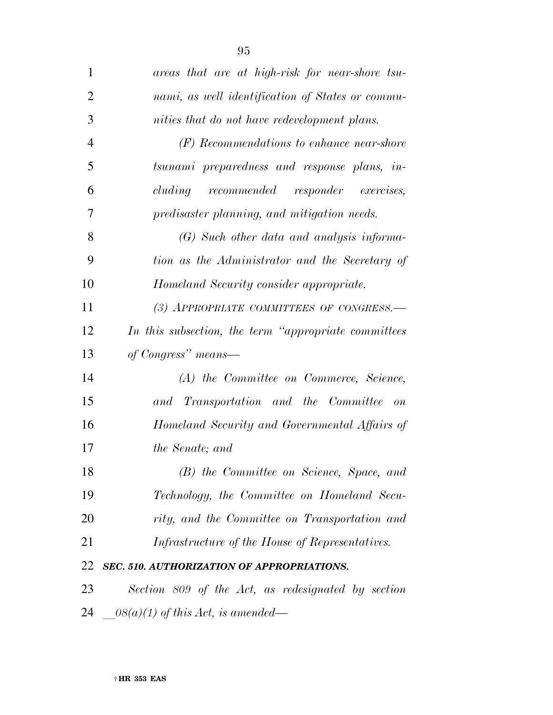| $\mathbf{1}$   | areas that are at high-risk for near-shore tsu-       |
|----------------|-------------------------------------------------------|
| $\overline{2}$ | nami, as well identification of States or commu-      |
| 3              | nities that do not have redevelopment plans.          |
| $\overline{4}$ | (F) Recommendations to enhance near-shore             |
| 5              | tsunami preparedness and response plans, in-          |
| 6              | cluding recommended responder exercises,              |
| 7              | predisaster planning, and mitigation needs.           |
| 8              | (G) Such other data and analysis informa-             |
| 9              | tion as the Administrator and the Secretary of        |
| 10             | Homeland Security consider appropriate.               |
| 11             | (3) APPROPRIATE COMMITTEES OF CONGRESS.-              |
| 12             | In this subsection, the term "appropriate committees" |
| 13             | of Congress" means—                                   |
| 14             | (A) the Committee on Commerce, Science,               |
| 15             | and Transportation and the Committee<br>$-$ on        |
| 16             | Homeland Security and Governmental Affairs of         |
| 17             | <i>the Senate</i> ; and                               |
| 18             | (B) the Committee on Science, Space, and              |
| 19             | Technology, the Committee on Homeland Secu-           |
| 20             | rity, and the Committee on Transportation and         |
| 21             | Infrastructure of the House of Representatives.       |
| 22             | SEC. 510. AUTHORIZATION OF APPROPRIATIONS.            |
| 23             | Section 809 of the Act, as redesignated by section    |
| 24             | $-08(a)(1)$ of this Act, is amended—                  |
|                |                                                       |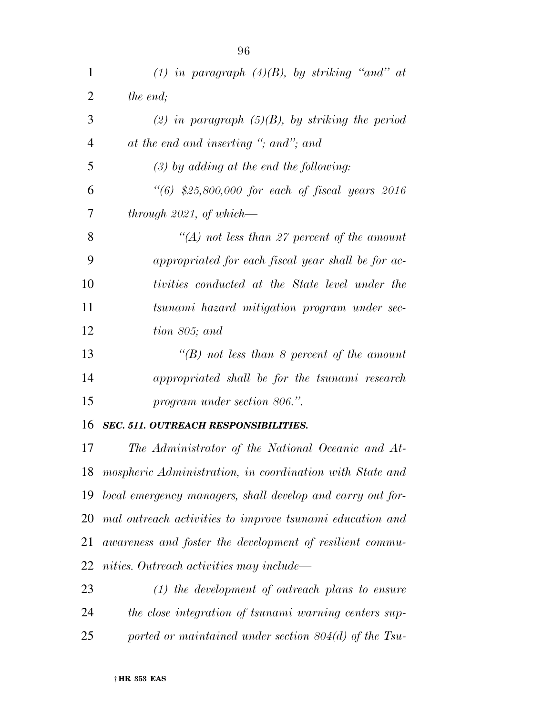| (1) in paragraph $(4)(B)$ , by striking "and" at          |
|-----------------------------------------------------------|
| the end;                                                  |
| (2) in paragraph $(5)(B)$ , by striking the period        |
| at the end and inserting "; and"; and                     |
| $(3)$ by adding at the end the following:                 |
| $\frac{1}{16}$ \$25,800,000 for each of fiscal years 2016 |
| through $2021$ , of which—                                |
| "(A) not less than 27 percent of the amount               |
| appropriated for each fiscal year shall be for ac-        |
| tivities conducted at the State level under the           |
| tsunami hazard mitigation program under sec-              |
| tion 805; and                                             |
| "(B) not less than 8 percent of the amount                |
| appropriated shall be for the tsunami research            |
| program under section 806.".                              |
|                                                           |

## *SEC. 511. OUTREACH RESPONSIBILITIES.*

 *The Administrator of the National Oceanic and At- mospheric Administration, in coordination with State and local emergency managers, shall develop and carry out for- mal outreach activities to improve tsunami education and awareness and foster the development of resilient commu-nities. Outreach activities may include—* 

 *(1) the development of outreach plans to ensure the close integration of tsunami warning centers sup-ported or maintained under section 804(d) of the Tsu-*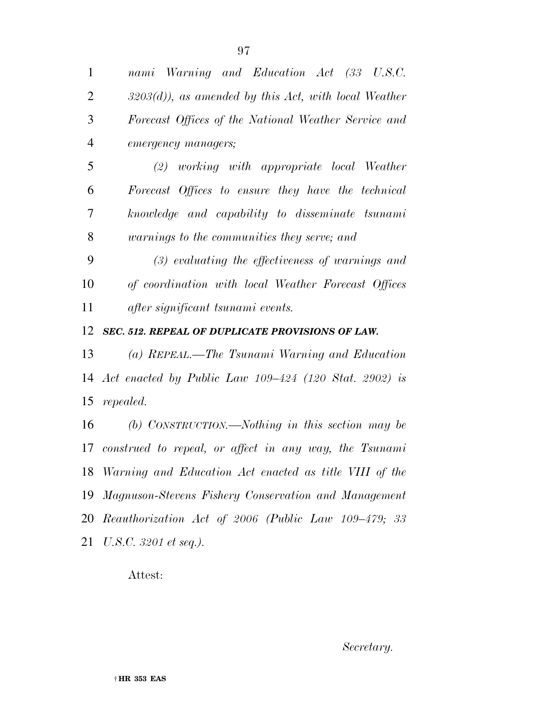† **HR 353 EAS** 

 *nami Warning and Education Act (33 U.S.C. 3203(d)), as amended by this Act, with local Weather Forecast Offices of the National Weather Service and emergency managers;* 

 *(2) working with appropriate local Weather Forecast Offices to ensure they have the technical knowledge and capability to disseminate tsunami warnings to the communities they serve; and* 

 *(3) evaluating the effectiveness of warnings and of coordination with local Weather Forecast Offices after significant tsunami events.* 

*SEC. 512. REPEAL OF DUPLICATE PROVISIONS OF LAW.* 

 *(a) REPEAL.—The Tsunami Warning and Education Act enacted by Public Law 109–424 (120 Stat. 2902) is repealed.* 

 *(b) CONSTRUCTION.—Nothing in this section may be construed to repeal, or affect in any way, the Tsunami Warning and Education Act enacted as title VIII of the Magnuson-Stevens Fishery Conservation and Management Reauthorization Act of 2006 (Public Law 109–479; 33 U.S.C. 3201 et seq.).* 

Attest:

*Secretary.*